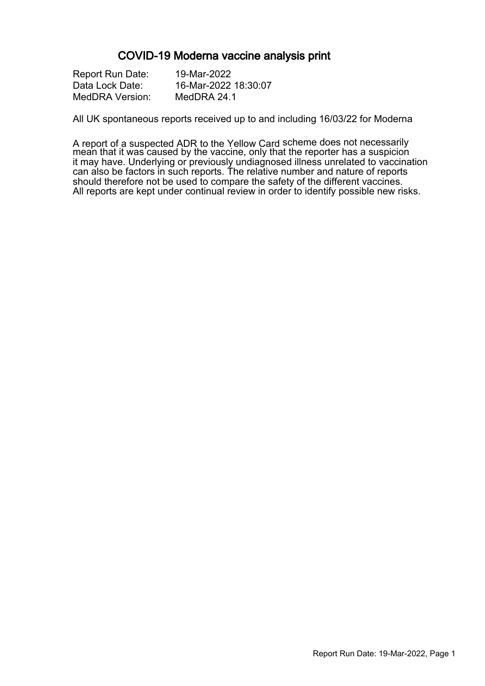#### COVID-19 Moderna vaccine analysis print

| <b>Report Run Date:</b> | 19-Mar-2022          |
|-------------------------|----------------------|
| Data Lock Date:         | 16-Mar-2022 18:30:07 |
| MedDRA Version:         | MedDRA 24.1          |

All UK spontaneous reports received up to and including 16/03/22 for Moderna

A report of a suspected ADR to the Yellow Card scheme does not necessarily mean that it was caused by the vaccine, only that the reporter has a suspicion it may have. Underlying or previously undiagnosed illness unrelated to vaccination can also be factors in such reports. The relative number and nature of reports should therefore not be used to compare the safety of the different vaccines. All reports are kept under continual review in order to identify possible new risks.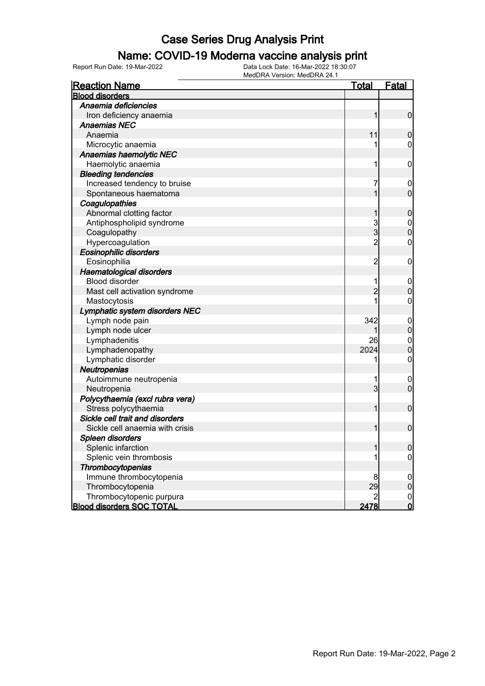#### Name: COVID-19 Moderna vaccine analysis print

Report Run Date: 19-Mar-2022 Data Lock Date: 16-Mar-2022 18:30:07

| <b>Reaction Name</b>             | <u>Total</u>   | <b>Fatal</b>                     |
|----------------------------------|----------------|----------------------------------|
| <b>Blood disorders</b>           |                |                                  |
| Anaemia deficiencies             |                |                                  |
| Iron deficiency anaemia          | 1              | $\mathbf 0$                      |
| <b>Anaemias NEC</b>              |                |                                  |
| Anaemia                          | 11             | $\mathbf 0$                      |
| Microcytic anaemia               | 1              | $\mathbf 0$                      |
| Anaemias haemolytic NEC          |                |                                  |
| Haemolytic anaemia               | 1              | $\mathbf 0$                      |
| <b>Bleeding tendencies</b>       |                |                                  |
| Increased tendency to bruise     | 7              | $\overline{0}$                   |
| Spontaneous haematoma            | 1              | $\overline{0}$                   |
| Coagulopathies                   |                |                                  |
| Abnormal clotting factor         | 1              | $\boldsymbol{0}$                 |
| Antiphospholipid syndrome        |                |                                  |
| Coagulopathy                     | $\frac{3}{3}$  | $\begin{matrix}0\\0\end{matrix}$ |
| Hypercoagulation                 | $\overline{2}$ | 0                                |
| <b>Eosinophilic disorders</b>    |                |                                  |
| Eosinophilia                     | $\overline{2}$ | $\boldsymbol{0}$                 |
| <b>Haematological disorders</b>  |                |                                  |
| <b>Blood disorder</b>            | 1              | $\mathbf 0$                      |
| Mast cell activation syndrome    | $\overline{2}$ | $\overline{0}$                   |
| Mastocytosis                     | 1              | 0                                |
| Lymphatic system disorders NEC   |                |                                  |
| Lymph node pain                  | 342            | $\overline{0}$                   |
| Lymph node ulcer                 |                | $\overline{0}$                   |
| Lymphadenitis                    | 26             | $\mathbf{0}$                     |
| Lymphadenopathy                  | 2024           | $\overline{0}$                   |
| Lymphatic disorder               | 1              | $\mathbf 0$                      |
| Neutropenias                     |                |                                  |
| Autoimmune neutropenia           | 1              | $\mathbf 0$                      |
| Neutropenia                      | $\overline{3}$ | $\overline{0}$                   |
| Polycythaemia (excl rubra vera)  |                |                                  |
| Stress polycythaemia             | 1              | $\mathbf 0$                      |
| Sickle cell trait and disorders  |                |                                  |
| Sickle cell anaemia with crisis  | 1              | $\mathbf 0$                      |
| Spleen disorders                 |                |                                  |
| Splenic infarction               | 1              | 0                                |
| Splenic vein thrombosis          |                | $\overline{0}$                   |
| Thrombocytopenias                |                |                                  |
| Immune thrombocytopenia          | 8              | $\mathbf 0$                      |
| Thrombocytopenia                 | 29             | $\boldsymbol{0}$                 |
| Thrombocytopenic purpura         | $\overline{2}$ | $\overline{0}$                   |
| <b>Blood disorders SOC TOTAL</b> | 2478           | $\mathsf{O}$                     |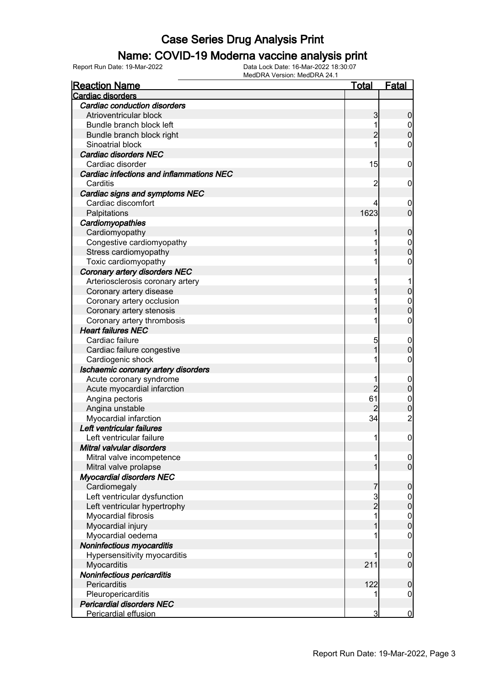#### Name: COVID-19 Moderna vaccine analysis print

Report Run Date: 19-Mar-2022 Data Lock Date: 16-Mar-2022 18:30:07

| <b>Reaction Name</b>                     | Total          | <b>Fatal</b>     |
|------------------------------------------|----------------|------------------|
| Cardiac disorders                        |                |                  |
| Cardiac conduction disorders             |                |                  |
| Atrioventricular block                   | 3              | $\boldsymbol{0}$ |
| Bundle branch block left                 | 1              | $\boldsymbol{0}$ |
| Bundle branch block right                | $\overline{2}$ | $\overline{0}$   |
| Sinoatrial block                         |                | 0                |
| Cardiac disorders NEC                    |                |                  |
| Cardiac disorder                         | 15             | $\mathbf 0$      |
| Cardiac infections and inflammations NEC |                |                  |
| Carditis                                 | 2              | $\mathbf 0$      |
| Cardiac signs and symptoms NEC           |                |                  |
| Cardiac discomfort                       |                | $\overline{0}$   |
| Palpitations                             | 1623           | $\overline{0}$   |
| Cardiomyopathies                         |                |                  |
| Cardiomyopathy                           | 1              | $\boldsymbol{0}$ |
| Congestive cardiomyopathy                |                | $\boldsymbol{0}$ |
| Stress cardiomyopathy                    |                | $\mathbf 0$      |
| Toxic cardiomyopathy                     |                | 0                |
| Coronary artery disorders NEC            |                |                  |
| Arteriosclerosis coronary artery         |                |                  |
| Coronary artery disease                  |                | $\mathbf 0$      |
| Coronary artery occlusion                |                | $\mathbf{0}$     |
| Coronary artery stenosis                 |                | $\mathbf 0$      |
| Coronary artery thrombosis               |                | 0                |
| <b>Heart failures NEC</b>                |                |                  |
| Cardiac failure                          | 5              | $\mathbf 0$      |
| Cardiac failure congestive               |                | $\mathbf 0$      |
| Cardiogenic shock                        |                | $\mathbf 0$      |
| Ischaemic coronary artery disorders      |                |                  |
| Acute coronary syndrome                  |                | $\boldsymbol{0}$ |
| Acute myocardial infarction              | $\overline{2}$ | $\mathbf 0$      |
| Angina pectoris                          | 61             | $\mathbf{0}$     |
| Angina unstable                          |                | $\mathbf 0$      |
| Myocardial infarction                    | 34             | $\overline{c}$   |
| Left ventricular failures                |                |                  |
| Left ventricular failure                 | 1              | $\boldsymbol{0}$ |
| Mitral valvular disorders                |                |                  |
| Mitral valve incompetence                | 1              | $\overline{0}$   |
| Mitral valve prolapse                    | 1              | $\overline{0}$   |
| <b>Myocardial disorders NEC</b>          |                |                  |
| Cardiomegaly                             | 7              | $\mathbf 0$      |
| Left ventricular dysfunction             |                | $\mathbf 0$      |
| Left ventricular hypertrophy             | 3<br>2         | $\mathbf 0$      |
| Myocardial fibrosis                      |                | $\mathbf{0}$     |
| Myocardial injury                        |                | $\overline{0}$   |
| Myocardial oedema                        |                | $\boldsymbol{0}$ |
| Noninfectious myocarditis                |                |                  |
| Hypersensitivity myocarditis             |                | $\mathbf 0$      |
| Myocarditis                              | 211            | $\mathbf 0$      |
| Noninfectious pericarditis               |                |                  |
| Pericarditis                             | 122            | $\boldsymbol{0}$ |
| Pleuropericarditis                       |                | $\boldsymbol{0}$ |
| <b>Pericardial disorders NEC</b>         |                |                  |
| Pericardial effusion                     | $\overline{3}$ | $\bf{0}$         |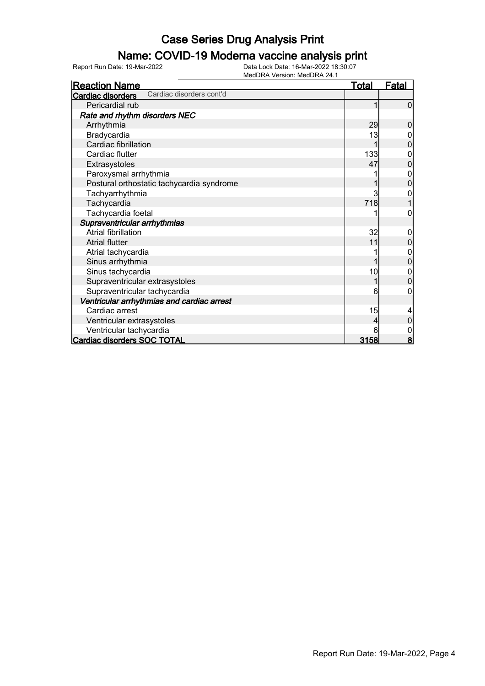### Name: COVID-19 Moderna vaccine analysis print

Report Run Date: 19-Mar-2022 Data Lock Date: 16-Mar-2022 18:30:07

| <b>Reaction Name</b>                          | <u>Total</u> | <u>Fatal</u>   |
|-----------------------------------------------|--------------|----------------|
| Cardiac disorders cont'd<br>Cardiac disorders |              |                |
| Pericardial rub                               |              | 0              |
| Rate and rhythm disorders NEC                 |              |                |
| Arrhythmia                                    | 29           | 0              |
| Bradycardia                                   | 13           |                |
| Cardiac fibrillation                          |              | 0              |
| Cardiac flutter                               | 133          |                |
| Extrasystoles                                 | 47           | 0              |
| Paroxysmal arrhythmia                         |              | 0              |
| Postural orthostatic tachycardia syndrome     |              | 0              |
| Tachyarrhythmia                               | 3            |                |
| Tachycardia                                   | 718          |                |
| Tachycardia foetal                            |              | 0              |
| Supraventricular arrhythmias                  |              |                |
| <b>Atrial fibrillation</b>                    | 32           | 0              |
| <b>Atrial flutter</b>                         | 11           | 0              |
| Atrial tachycardia                            |              | 0              |
| Sinus arrhythmia                              |              | 0              |
| Sinus tachycardia                             | 10           | 0              |
| Supraventricular extrasystoles                |              | $\overline{0}$ |
| Supraventricular tachycardia                  | 6            | 0              |
| Ventricular arrhythmias and cardiac arrest    |              |                |
| Cardiac arrest                                | 15           |                |
| Ventricular extrasystoles                     |              | 0              |
| Ventricular tachycardia                       | 6            |                |
| Cardiac disorders SOC TOTAL                   | 3158         | 8              |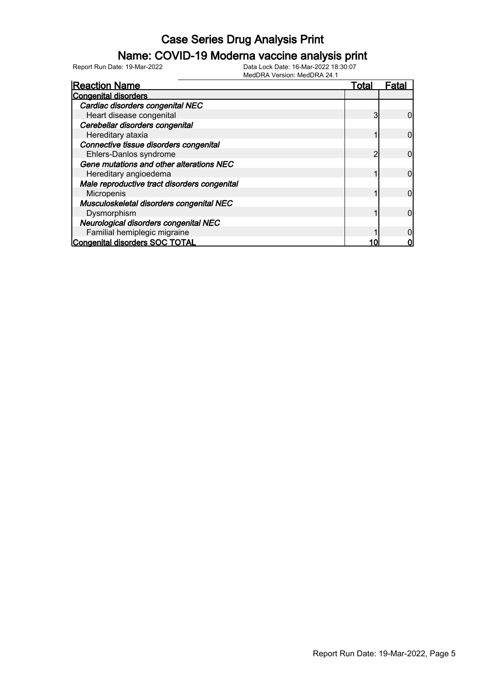#### Name: COVID-19 Moderna vaccine analysis print

Report Run Date: 19-Mar-2022 Data Lock Date: 16-Mar-2022 18:30:07

| <b>Reaction Name</b>                         | Total | ⊦ata |
|----------------------------------------------|-------|------|
| <b>Congenital disorders</b>                  |       |      |
| Cardiac disorders congenital NEC             |       |      |
| Heart disease congenital                     |       |      |
| Cerebellar disorders congenital              |       |      |
| Hereditary ataxia                            |       |      |
| Connective tissue disorders congenital       |       |      |
| Ehlers-Danlos syndrome                       | າ     |      |
| Gene mutations and other alterations NEC     |       |      |
| Hereditary angioedema                        |       |      |
| Male reproductive tract disorders congenital |       |      |
| Micropenis                                   |       |      |
| Musculoskeletal disorders congenital NEC     |       |      |
| Dysmorphism                                  |       |      |
| Neurological disorders congenital NEC        |       |      |
| Familial hemiplegic migraine                 |       |      |
| Congenital disorders SOC TOTAL               |       |      |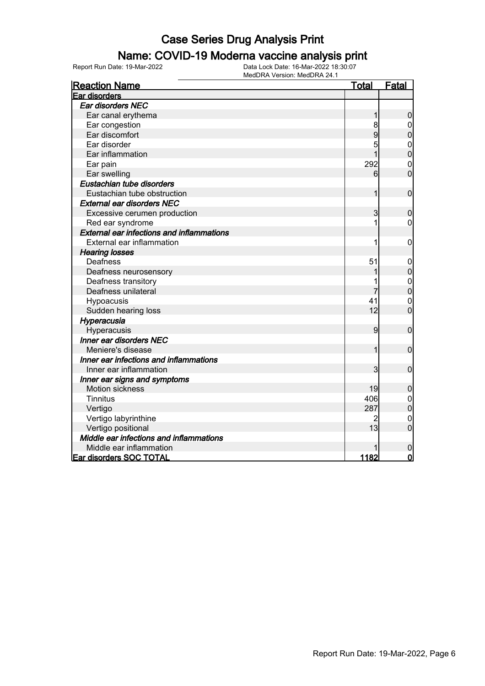#### Name: COVID-19 Moderna vaccine analysis print

Report Run Date: 19-Mar-2022 Data Lock Date: 16-Mar-2022 18:30:07

| <b>Reaction Name</b>                             | <u>Total</u> | Fatal          |
|--------------------------------------------------|--------------|----------------|
| Ear disorders                                    |              |                |
| Ear disorders NEC                                |              |                |
| Ear canal erythema                               |              | $\overline{0}$ |
| Ear congestion                                   |              |                |
| Ear discomfort                                   | 9            | $\mathbf 0$    |
| Ear disorder                                     |              | $\mathbf{0}$   |
| Ear inflammation                                 |              | $\mathbf 0$    |
| Ear pain                                         | 292          | $\mathbf{0}$   |
| Ear swelling                                     | 6            | $\mathbf 0$    |
| Eustachian tube disorders                        |              |                |
| Eustachian tube obstruction                      |              | $\mathbf 0$    |
| <b>External ear disorders NEC</b>                |              |                |
| Excessive cerumen production                     | 3            | $\mathbf 0$    |
| Red ear syndrome                                 |              | 0              |
| <b>External ear infections and inflammations</b> |              |                |
| External ear inflammation                        |              | 0              |
| <b>Hearing losses</b>                            |              |                |
| Deafness                                         | 51           | 0              |
| Deafness neurosensory                            |              | 0              |
| Deafness transitory                              |              | $\mathbf{0}$   |
| Deafness unilateral                              |              | $\overline{0}$ |
| Hypoacusis                                       | 41           | $\mathbf{0}$   |
| Sudden hearing loss                              | 12           | $\overline{0}$ |
| Hyperacusia                                      |              |                |
| Hyperacusis                                      | 9            | $\mathbf 0$    |
| <b>Inner ear disorders NEC</b>                   |              |                |
| Meniere's disease                                | 1            | $\mathbf 0$    |
| Inner ear infections and inflammations           |              |                |
| Inner ear inflammation                           | 3            | $\mathbf 0$    |
| Inner ear signs and symptoms                     |              |                |
| <b>Motion sickness</b>                           | 19           | 0              |
| <b>Tinnitus</b>                                  | 406          | $\mathbf 0$    |
| Vertigo                                          | 287          | $\overline{0}$ |
| Vertigo labyrinthine                             |              | $\mathbf 0$    |
| Vertigo positional                               | 13           | $\overline{0}$ |
| Middle ear infections and inflammations          |              |                |
| Middle ear inflammation                          |              | 0              |
| <b>Ear disorders SOC TOTAL</b>                   | 1182         | $\overline{0}$ |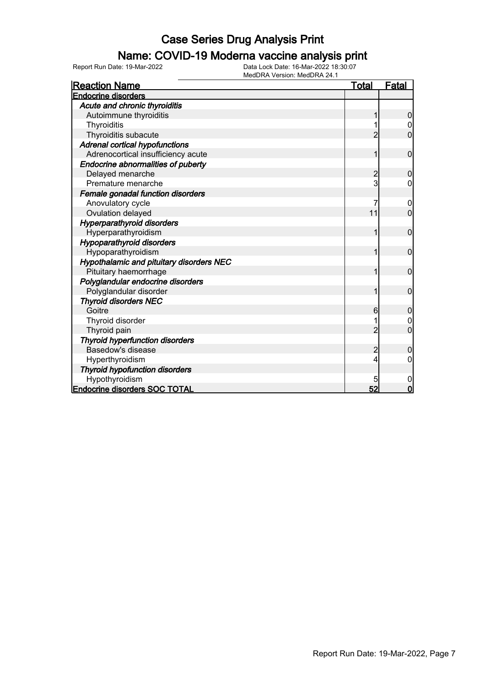#### Name: COVID-19 Moderna vaccine analysis print

Report Run Date: 19-Mar-2022 Data Lock Date: 16-Mar-2022 18:30:07

| <b>Reaction Name</b>                     | Total        | <b>Fatal</b>     |
|------------------------------------------|--------------|------------------|
| <b>Endocrine disorders</b>               |              |                  |
| Acute and chronic thyroiditis            |              |                  |
| Autoimmune thyroiditis                   | 1            | $\boldsymbol{0}$ |
| Thyroiditis                              |              | 0                |
| Thyroiditis subacute                     | 2            | 0                |
| <b>Adrenal cortical hypofunctions</b>    |              |                  |
| Adrenocortical insufficiency acute       |              | $\mathbf 0$      |
| Endocrine abnormalities of puberty       |              |                  |
| Delayed menarche                         | 2            | 0                |
| Premature menarche                       | $\mathsf{3}$ | 0                |
| Female gonadal function disorders        |              |                  |
| Anovulatory cycle                        |              | 0                |
| Ovulation delayed                        | 11           | $\overline{0}$   |
| <b>Hyperparathyroid disorders</b>        |              |                  |
| Hyperparathyroidism                      |              | 0                |
| <b>Hypoparathyroid disorders</b>         |              |                  |
| Hypoparathyroidism                       | 1            | $\overline{0}$   |
| Hypothalamic and pituitary disorders NEC |              |                  |
| Pituitary haemorrhage                    | 1            | 0                |
| Polyglandular endocrine disorders        |              |                  |
| Polyglandular disorder                   |              | 0                |
| <b>Thyroid disorders NEC</b>             |              |                  |
| Goitre                                   | 6            | $\mathbf 0$      |
| Thyroid disorder                         |              |                  |
| Thyroid pain                             |              | 0                |
| <b>Thyroid hyperfunction disorders</b>   |              |                  |
| Basedow's disease                        | 2            | 0                |
| Hyperthyroidism                          | 4            | 0                |
| <b>Thyroid hypofunction disorders</b>    |              |                  |
| Hypothyroidism                           | 5            | 0                |
| <b>Endocrine disorders SOC TOTAL</b>     | 52           | $\mathbf 0$      |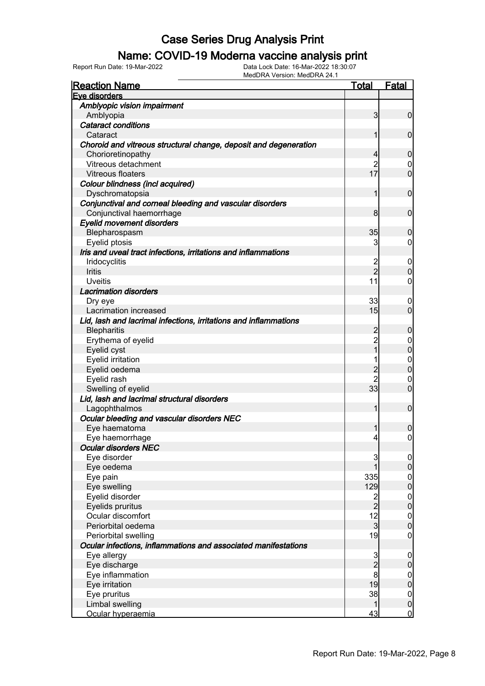#### Name: COVID-19 Moderna vaccine analysis print

| <b>Reaction Name</b>                                             | <u>Total</u>                               | <b>Fatal</b>                  |
|------------------------------------------------------------------|--------------------------------------------|-------------------------------|
| Eve disorders                                                    |                                            |                               |
| Amblyopic vision impairment                                      |                                            |                               |
| Amblyopia                                                        | 3                                          | $\overline{0}$                |
| <b>Cataract conditions</b>                                       |                                            |                               |
| Cataract                                                         | 1                                          | $\mathbf 0$                   |
| Choroid and vitreous structural change, deposit and degeneration |                                            |                               |
| Chorioretinopathy                                                | 4                                          | $\mathbf 0$                   |
| Vitreous detachment                                              | $\overline{2}$                             | $\mathbf 0$                   |
| Vitreous floaters                                                | 17                                         | $\overline{0}$                |
| Colour blindness (incl acquired)                                 |                                            |                               |
| Dyschromatopsia                                                  | 1                                          | $\mathbf 0$                   |
| Conjunctival and corneal bleeding and vascular disorders         |                                            |                               |
| Conjunctival haemorrhage                                         | 8                                          | $\mathbf 0$                   |
| <b>Eyelid movement disorders</b>                                 |                                            |                               |
| Blepharospasm                                                    | 35                                         | $\mathbf 0$                   |
| Eyelid ptosis                                                    | 3                                          | $\overline{0}$                |
| Iris and uveal tract infections, irritations and inflammations   |                                            |                               |
| Iridocyclitis                                                    | 2                                          | $\mathbf 0$                   |
| Iritis                                                           | $\overline{2}$                             | $\mathbf 0$                   |
| <b>Uveitis</b>                                                   | 11                                         | $\mathbf 0$                   |
| <b>Lacrimation disorders</b>                                     |                                            |                               |
|                                                                  | 33                                         | 0                             |
| Dry eye<br>Lacrimation increased                                 | 15                                         | $\overline{0}$                |
| Lid, lash and lacrimal infections, irritations and inflammations |                                            |                               |
|                                                                  |                                            |                               |
| <b>Blepharitis</b>                                               | 2<br>$\overline{2}$                        | $\mathbf 0$                   |
| Erythema of eyelid                                               | $\overline{1}$                             | $\mathbf 0$<br>$\overline{0}$ |
| Eyelid cyst                                                      |                                            |                               |
| Eyelid irritation                                                | 1                                          | $\mathbf 0$                   |
| Eyelid oedema                                                    | $\overline{2}$                             | $\overline{0}$                |
| Eyelid rash                                                      | $\overline{2}$                             | $\boldsymbol{0}$              |
| Swelling of eyelid                                               | 33                                         | $\overline{0}$                |
| Lid, lash and lacrimal structural disorders                      |                                            |                               |
| Lagophthalmos                                                    | 1                                          | $\mathbf 0$                   |
| Ocular bleeding and vascular disorders NEC                       |                                            |                               |
| Eye haematoma                                                    | 1                                          | 0                             |
| Eye haemorrhage                                                  | $\vert 4 \vert$                            | $\overline{0}$                |
| <b>Ocular disorders NEC</b>                                      |                                            |                               |
| Eye disorder                                                     | 3                                          | $\overline{0}$                |
| Eye oedema                                                       | 1                                          | $\boldsymbol{0}$              |
| Eye pain                                                         | 335                                        | $0$<br>0                      |
| Eye swelling                                                     | 129                                        |                               |
| Eyelid disorder                                                  | $\overline{c}$                             | $\boldsymbol{0}$              |
| Eyelids pruritus                                                 | $\overline{2}$                             | $\pmb{0}$                     |
| Ocular discomfort                                                | 12                                         | $\boldsymbol{0}$              |
| Periorbital oedema                                               | $\overline{3}$                             | $\overline{0}$                |
| Periorbital swelling                                             | 19                                         | $\boldsymbol{0}$              |
| Ocular infections, inflammations and associated manifestations   |                                            |                               |
| Eye allergy                                                      |                                            | $\mathbf 0$                   |
| Eye discharge                                                    | $\begin{array}{c} 3 \\ 2 \\ 8 \end{array}$ | $\pmb{0}$                     |
| Eye inflammation                                                 |                                            | $\boldsymbol{0}$              |
| Eye irritation                                                   | 19                                         | $\pmb{0}$                     |
| Eye pruritus                                                     | 38                                         | $\mathbf 0$                   |
| Limbal swelling                                                  | 1                                          | $\pmb{0}$                     |
| Ocular hyperaemia                                                | 43                                         | $\overline{0}$                |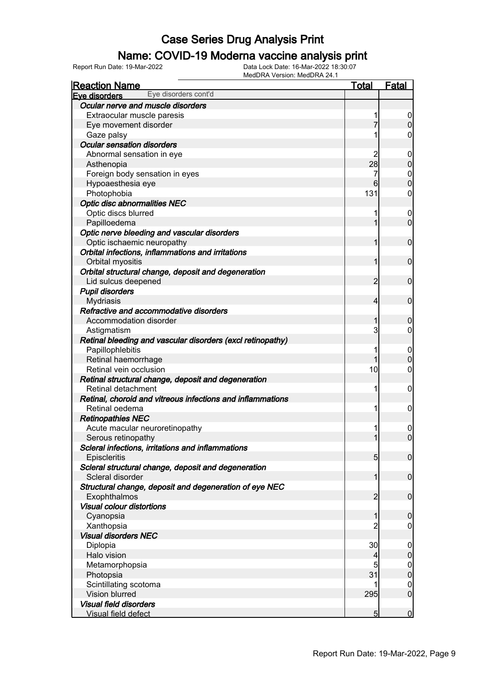#### Name: COVID-19 Moderna vaccine analysis print

| <b>Reaction Name</b>                                       | <b>Total</b>    | <b>Fatal</b>     |
|------------------------------------------------------------|-----------------|------------------|
| Eye disorders cont'd<br>Eve disorders                      |                 |                  |
| Ocular nerve and muscle disorders                          |                 |                  |
| Extraocular muscle paresis                                 |                 | $\overline{0}$   |
| Eye movement disorder                                      |                 | $\overline{0}$   |
| Gaze palsy                                                 | 1               | $\overline{0}$   |
| <b>Ocular sensation disorders</b>                          |                 |                  |
| Abnormal sensation in eye                                  | 2               | $\mathbf 0$      |
| Asthenopia                                                 | 28              | $\pmb{0}$        |
| Foreign body sensation in eyes                             | 7               | $\boldsymbol{0}$ |
| Hypoaesthesia eye                                          | 6               | $\overline{0}$   |
| Photophobia                                                | 131             | $\mathbf 0$      |
| <b>Optic disc abnormalities NEC</b>                        |                 |                  |
| Optic discs blurred                                        | 1               | $\boldsymbol{0}$ |
| Papilloedema                                               | 1               | $\overline{0}$   |
| Optic nerve bleeding and vascular disorders                |                 |                  |
| Optic ischaemic neuropathy                                 | 1               | $\mathbf 0$      |
| Orbital infections, inflammations and irritations          |                 |                  |
| Orbital myositis                                           | 1               | $\mathbf 0$      |
| Orbital structural change, deposit and degeneration        |                 |                  |
| Lid sulcus deepened                                        | 2               | $\mathbf 0$      |
| <b>Pupil disorders</b>                                     |                 |                  |
| <b>Mydriasis</b>                                           | $\overline{4}$  | $\mathbf 0$      |
| Refractive and accommodative disorders                     |                 |                  |
| Accommodation disorder                                     | 1               | $\mathbf 0$      |
| Astigmatism                                                | 3               | $\overline{0}$   |
| Retinal bleeding and vascular disorders (excl retinopathy) |                 |                  |
| Papillophlebitis                                           | 1               | $\mathbf 0$      |
| Retinal haemorrhage                                        | 1               | $\boldsymbol{0}$ |
| Retinal vein occlusion                                     | 10              | $\mathbf 0$      |
| Retinal structural change, deposit and degeneration        |                 |                  |
| Retinal detachment                                         | 1               | $\mathbf 0$      |
| Retinal, choroid and vitreous infections and inflammations |                 |                  |
| Retinal oedema                                             | 1               | $\mathbf 0$      |
| <b>Retinopathies NEC</b>                                   |                 |                  |
| Acute macular neuroretinopathy                             | 1               | $\boldsymbol{0}$ |
| Serous retinopathy                                         | 1               | $\overline{0}$   |
| Scleral infections, irritations and inflammations          |                 |                  |
| Episcleritis                                               | 5 <sub>5</sub>  | $\mathbf 0$      |
| Scleral structural change, deposit and degeneration        |                 |                  |
| Scleral disorder                                           | 1               | $\mathbf 0$      |
| Structural change, deposit and degeneration of eye NEC     |                 |                  |
| Exophthalmos                                               | $\overline{2}$  | $\boldsymbol{0}$ |
| <b>Visual colour distortions</b>                           |                 |                  |
| Cyanopsia                                                  | 1               | $\mathbf 0$      |
| Xanthopsia                                                 | $\overline{2}$  | $\overline{0}$   |
| <b>Visual disorders NEC</b>                                |                 |                  |
| Diplopia                                                   | 30              | $\mathbf 0$      |
| Halo vision                                                | $\overline{4}$  | $\pmb{0}$        |
| Metamorphopsia                                             | 5               | $\boldsymbol{0}$ |
| Photopsia                                                  | 31              | $\pmb{0}$        |
| Scintillating scotoma                                      |                 | $\mathbf 0$      |
| Vision blurred                                             | 295             | $\boldsymbol{0}$ |
| <b>Visual field disorders</b>                              |                 |                  |
| Visual field defect                                        | $5\overline{)}$ | $\mathbf 0$      |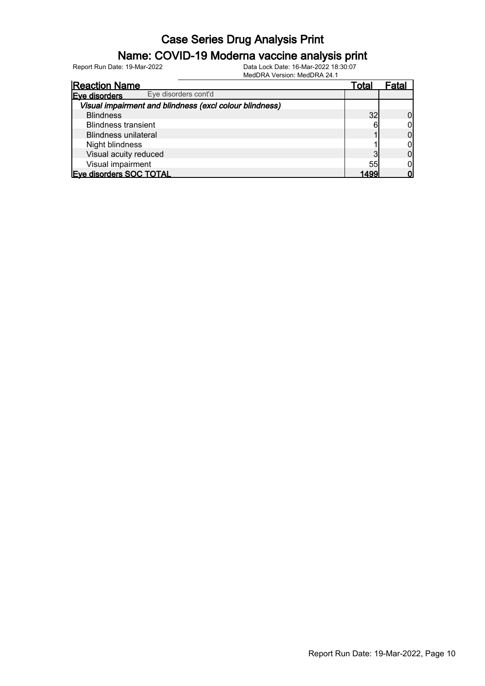#### Name: COVID-19 Moderna vaccine analysis print

Report Run Date: 19-Mar-2022 Data Lock Date: 16-Mar-2022 18:30:07

| <b>Reaction Name</b>                                    | <u>Total</u> | ⊦atal |
|---------------------------------------------------------|--------------|-------|
| Eye disorders cont'd<br>Eve disorders                   |              |       |
| Visual impairment and blindness (excl colour blindness) |              |       |
| <b>Blindness</b>                                        | 32           |       |
| <b>Blindness transient</b>                              |              |       |
| <b>Blindness unilateral</b>                             |              |       |
| Night blindness                                         |              |       |
| Visual acuity reduced                                   |              |       |
| Visual impairment                                       | 55           |       |
| Eve disorders SOC TOTAL                                 | 1400         |       |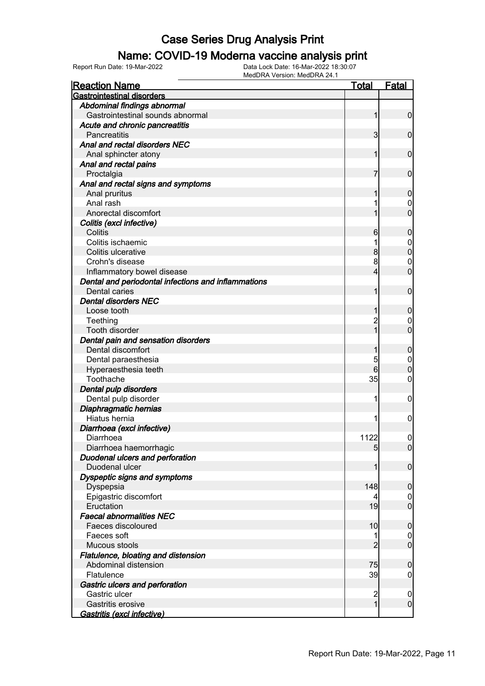#### Name: COVID-19 Moderna vaccine analysis print

| <b>Reaction Name</b>                                | <b>Total</b>            | <b>Fatal</b>     |
|-----------------------------------------------------|-------------------------|------------------|
| <b>Gastrointestinal disorders</b>                   |                         |                  |
| Abdominal findings abnormal                         |                         |                  |
| Gastrointestinal sounds abnormal                    | 1                       | $\overline{0}$   |
| Acute and chronic pancreatitis                      |                         |                  |
| Pancreatitis                                        | $\overline{\mathbf{3}}$ | $\overline{0}$   |
| Anal and rectal disorders NEC                       |                         |                  |
| Anal sphincter atony                                | 1                       | $\mathbf 0$      |
| Anal and rectal pains                               |                         |                  |
| Proctalgia                                          | 7                       | $\mathbf 0$      |
| Anal and rectal signs and symptoms                  |                         |                  |
| Anal pruritus                                       |                         | $\mathbf 0$      |
| Anal rash                                           |                         | 0                |
| Anorectal discomfort                                |                         | $\overline{0}$   |
| Colitis (excl infective)                            |                         |                  |
| Colitis                                             | 6                       | $\mathbf 0$      |
| Colitis ischaemic                                   |                         | 0                |
| Colitis ulcerative                                  | 8                       | $\mathbf 0$      |
| Crohn's disease                                     | 8                       | 0                |
| Inflammatory bowel disease                          | 4                       | $\overline{0}$   |
| Dental and periodontal infections and inflammations |                         |                  |
| Dental caries                                       |                         | $\mathbf 0$      |
| <b>Dental disorders NEC</b>                         |                         |                  |
| Loose tooth                                         |                         | $\mathbf 0$      |
| Teething                                            |                         | $\mathbf 0$      |
| Tooth disorder                                      |                         | $\overline{0}$   |
| Dental pain and sensation disorders                 |                         |                  |
| Dental discomfort                                   |                         | $\mathbf 0$      |
| Dental paraesthesia                                 | 5                       | $\mathbf 0$      |
| Hyperaesthesia teeth                                | 6                       | $\overline{0}$   |
| Toothache                                           | 35                      | 0                |
| Dental pulp disorders                               |                         |                  |
| Dental pulp disorder                                |                         | $\mathbf 0$      |
| Diaphragmatic hernias                               |                         |                  |
| Hiatus hernia                                       |                         | 0                |
| Diarrhoea (excl infective)                          |                         |                  |
| Diarrhoea                                           | 1122                    | $\overline{0}$   |
| Diarrhoea haemorrhagic                              | 5 <sub>5</sub>          | 0                |
| <b>Duodenal ulcers and perforation</b>              |                         |                  |
| Duodenal ulcer                                      |                         | $\overline{0}$   |
| Dyspeptic signs and symptoms                        |                         |                  |
| Dyspepsia                                           | 148                     | $\mathbf 0$      |
| Epigastric discomfort                               | 4                       | $\overline{0}$   |
| Eructation                                          | 19                      | $\overline{0}$   |
| <b>Faecal abnormalities NEC</b>                     |                         |                  |
| Faeces discoloured                                  | 10                      | $\mathbf 0$      |
| Faeces soft                                         |                         | $\overline{0}$   |
| Mucous stools                                       | $\overline{2}$          | $\overline{0}$   |
| Flatulence, bloating and distension                 |                         |                  |
| Abdominal distension                                | 75                      | $\boldsymbol{0}$ |
| Flatulence                                          | 39                      | 0                |
| Gastric ulcers and perforation                      |                         |                  |
| Gastric ulcer                                       | $\overline{c}$          | $\mathbf 0$      |
| Gastritis erosive                                   | $\mathbf{1}$            | $\overline{0}$   |
| <b>Gastritis (excl infective)</b>                   |                         |                  |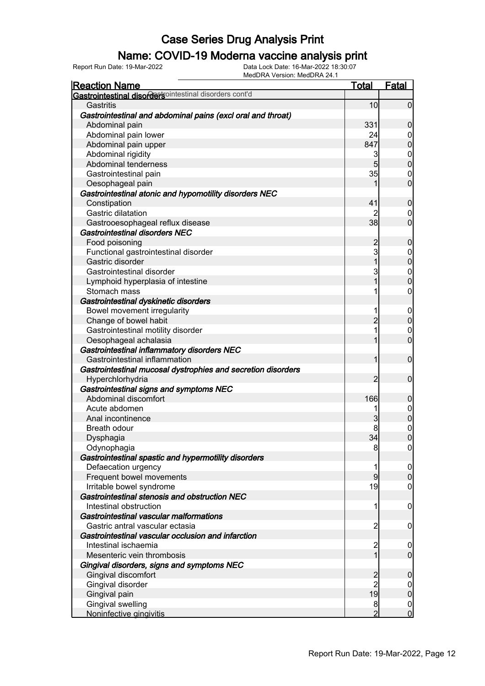### Name: COVID-19 Moderna vaccine analysis print

Report Run Date: 19-Mar-2022 Data Lock Date: 16-Mar-2022 18:30:07

| <b>Reaction Name</b>                                         | <b>Total</b>            | <b>Fatal</b>                         |
|--------------------------------------------------------------|-------------------------|--------------------------------------|
| Gastrointestinal disordersointestinal disorders cont'd       |                         |                                      |
| Gastritis                                                    | 10                      | $\overline{0}$                       |
| Gastrointestinal and abdominal pains (excl oral and throat)  |                         |                                      |
| Abdominal pain                                               | 331                     | $\boldsymbol{0}$                     |
| Abdominal pain lower                                         | 24                      |                                      |
| Abdominal pain upper                                         | 847                     | $\begin{matrix} 0 \\ 0 \end{matrix}$ |
| Abdominal rigidity                                           | 3                       |                                      |
| Abdominal tenderness                                         | $5\overline{)}$         | $\begin{matrix}0\\0\end{matrix}$     |
| Gastrointestinal pain                                        | 35                      | $\boldsymbol{0}$                     |
| Oesophageal pain                                             |                         | $\overline{0}$                       |
| Gastrointestinal atonic and hypomotility disorders NEC       |                         |                                      |
| Constipation                                                 | 41                      | $\boldsymbol{0}$                     |
| Gastric dilatation                                           |                         | $\mathbf 0$                          |
| Gastrooesophageal reflux disease                             | 38                      | $\mathbf 0$                          |
| Gastrointestinal disorders NEC                               |                         |                                      |
| Food poisoning                                               | $\overline{c}$          | $\boldsymbol{0}$                     |
| Functional gastrointestinal disorder                         | 3                       |                                      |
| Gastric disorder                                             | $\overline{1}$          | $\begin{matrix}0\\0\end{matrix}$     |
| Gastrointestinal disorder                                    | 3                       | $\begin{matrix} 0 \\ 0 \end{matrix}$ |
| Lymphoid hyperplasia of intestine                            | $\overline{1}$          |                                      |
| Stomach mass                                                 | 1                       | $\boldsymbol{0}$                     |
| Gastrointestinal dyskinetic disorders                        |                         |                                      |
| Bowel movement irregularity                                  | 1                       |                                      |
| Change of bowel habit                                        | $\overline{2}$          | $0\atop 0$                           |
| Gastrointestinal motility disorder                           | 1                       | $\begin{matrix} 0 \\ 0 \end{matrix}$ |
| Oesophageal achalasia                                        | 1                       |                                      |
| Gastrointestinal inflammatory disorders NEC                  |                         |                                      |
| Gastrointestinal inflammation                                | 1                       | $\boldsymbol{0}$                     |
| Gastrointestinal mucosal dystrophies and secretion disorders |                         |                                      |
| Hyperchlorhydria                                             | $\overline{2}$          | $\boldsymbol{0}$                     |
| Gastrointestinal signs and symptoms NEC                      |                         |                                      |
| Abdominal discomfort                                         | 166                     | $\pmb{0}$                            |
| Acute abdomen                                                | 1                       | $0$<br>0                             |
| Anal incontinence                                            | 3                       |                                      |
| Breath odour                                                 |                         | $\begin{matrix}0\\0\end{matrix}$     |
| Dysphagia                                                    | 34                      |                                      |
| Odynophagia                                                  | 8                       | 0                                    |
| Gastrointestinal spastic and hypermotility disorders         |                         |                                      |
| Defaecation urgency                                          | 1                       | $\overline{0}$                       |
| Frequent bowel movements                                     | $\overline{9}$          | $\pmb{0}$                            |
| Irritable bowel syndrome                                     | 19                      | $\boldsymbol{0}$                     |
| Gastrointestinal stenosis and obstruction NEC                |                         |                                      |
| Intestinal obstruction                                       | 1                       | $\mathbf 0$                          |
| Gastrointestinal vascular malformations                      |                         |                                      |
| Gastric antral vascular ectasia                              | $\overline{c}$          | $\overline{0}$                       |
| Gastrointestinal vascular occlusion and infarction           |                         |                                      |
| Intestinal ischaemia                                         | $\overline{\mathbf{c}}$ | $\mathbf 0$                          |
| Mesenteric vein thrombosis                                   | $\overline{1}$          | $\boldsymbol{0}$                     |
| Gingival disorders, signs and symptoms NEC                   |                         |                                      |
| Gingival discomfort                                          | $\overline{c}$          | $\boldsymbol{0}$                     |
| Gingival disorder                                            | $\overline{2}$          | $\boldsymbol{0}$                     |
| Gingival pain                                                | 19                      | $\mathbf 0$                          |
| Gingival swelling                                            | 8                       | $\mathbf 0$                          |
| Noninfective gingivitis                                      | $\overline{2}$          | $\overline{0}$                       |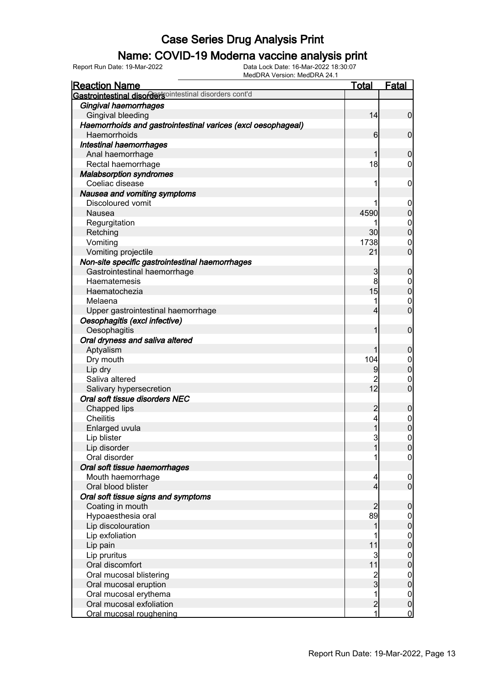#### Name: COVID-19 Moderna vaccine analysis print

Report Run Date: 19-Mar-2022 Data Lock Date: 16-Mar-2022 18:30:07

| <b>Reaction Name</b>                                         | Total          | <b>Fatal</b>               |
|--------------------------------------------------------------|----------------|----------------------------|
| Gastrointestinal disordersointestinal disorders cont'd       |                |                            |
| Gingival haemorrhages                                        |                |                            |
| Gingival bleeding                                            | 14             | $\mathbf 0$                |
| Haemorrhoids and gastrointestinal varices (excl oesophageal) |                |                            |
| Haemorrhoids                                                 | 6              | 0                          |
| Intestinal haemorrhages                                      |                |                            |
| Anal haemorrhage                                             |                | 0                          |
| Rectal haemorrhage                                           | 18             | 0                          |
| <b>Malabsorption syndromes</b>                               |                |                            |
| Coeliac disease                                              | 1              | 0                          |
| Nausea and vomiting symptoms                                 |                |                            |
| Discoloured vomit                                            |                | 0                          |
| Nausea                                                       | 4590           | 0                          |
| Regurgitation                                                |                | $\mathbf 0$                |
| Retching                                                     | 30             | 0                          |
| Vomiting                                                     | 1738           | $\mathbf 0$                |
| Vomiting projectile                                          | 21             | 0                          |
| Non-site specific gastrointestinal haemorrhages              |                |                            |
| Gastrointestinal haemorrhage                                 | 3              | 0                          |
| Haematemesis                                                 | 8              | $\mathbf 0$                |
| Haematochezia                                                | 15             | 0                          |
| Melaena                                                      | 1              | $\mathbf{0}$               |
| Upper gastrointestinal haemorrhage                           | 4              | $\overline{0}$             |
| Oesophagitis (excl infective)                                |                |                            |
| Oesophagitis                                                 |                | $\mathbf 0$                |
| Oral dryness and saliva altered                              |                |                            |
|                                                              |                | 0                          |
| Aptyalism                                                    | 104            |                            |
| Dry mouth                                                    |                | $\mathbf 0$<br>0           |
| Lip dry                                                      | 9              |                            |
| Saliva altered                                               | 2<br>12        | $\mathbf 0$<br>0           |
| Salivary hypersecretion<br>Oral soft tissue disorders NEC    |                |                            |
|                                                              |                |                            |
| Chapped lips                                                 | 2              | 0                          |
| <b>Cheilitis</b>                                             | 4              | 0<br>$\overline{0}$        |
| Enlarged uvula                                               |                |                            |
| Lip blister                                                  | 3              | $\mathbf{0}$               |
| Lip disorder<br>Oral disorder                                | 1              | $\Omega$                   |
|                                                              |                | 0                          |
| Oral soft tissue haemorrhages                                |                |                            |
| Mouth haemorrhage<br>Oral blood blister                      | 4              | $\mathbf 0$<br>$\mathbf 0$ |
|                                                              | 4              |                            |
| Oral soft tissue signs and symptoms                          |                |                            |
| Coating in mouth                                             | 2              | 0                          |
| Hypoaesthesia oral                                           | 89             | 0                          |
| Lip discolouration                                           |                | 0                          |
| Lip exfoliation                                              |                | 0                          |
| Lip pain                                                     | 11             | 0                          |
| Lip pruritus                                                 | 3              | $\boldsymbol{0}$           |
| Oral discomfort                                              | 11             | 0                          |
| Oral mucosal blistering                                      | 2<br>3         | 0                          |
| Oral mucosal eruption                                        |                | 0                          |
| Oral mucosal erythema                                        | 1              | $\boldsymbol{0}$           |
| Oral mucosal exfoliation                                     | $\overline{c}$ | $\pmb{0}$                  |
| Oral mucosal roughening                                      | 1              | $\overline{0}$             |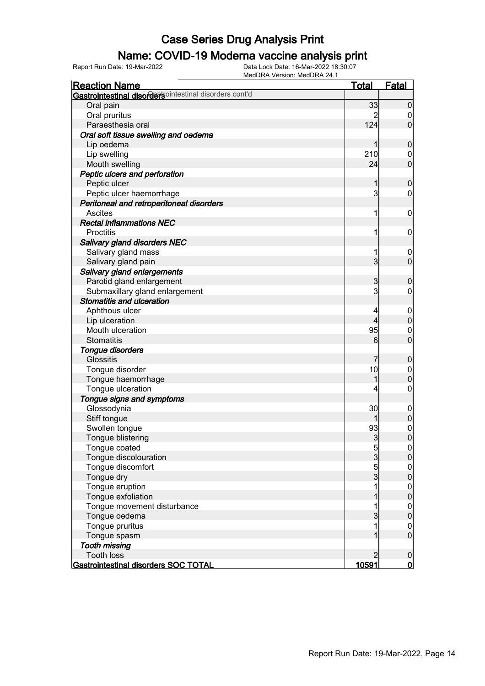# **Name: COVID-19 Moderna vaccine analysis print**<br>Data Lock Date: 16-Mar-2022 18:30:07<br>Data Lock Date: 16-Mar-2022 18:30:07

Report Run Date: 19-Mar-2022 Data Lock Date: 16-Mar-2022 18:30:07

MedDRA Version: MedDRA 24.1 Reaction Name Total Fatal **Gastrointestinal disorders**ointestinal disorders cont'd Oral pain 33 0 Oral pruritus 2 0 Paraesthesia oral Oral soft tissue swelling and oedema Lip oedema 1 0 Lip swelling  $\begin{array}{|c|c|c|c|c|}\n\hline\n\text{Mouth swelling} & & & 210 & 0 \\
\hline\n\text{Mouth swelling} & & & 24 & 0\n\end{array}$ Mouth swelling 24 Peptic ulcers and perforation Peptic ulcer 1 0<br>Peptic ulcer haemorrhage 1 0<br>Peptic ulcer haemorrhage 1 0 Peptic ulcer haemorrhage Peritoneal and retroperitoneal disorders Ascites  $\begin{bmatrix} 1 & 0 \end{bmatrix}$  Rectal inflammations NEC Proctitis **1** 0 Salivary gland disorders NEC Salivary gland mass 1 0 Salivary gland pain 3 0 Salivary gland enlargements Parotid gland enlargement and the state of the state of the state of the state of the state of the state of the state of the state of the state of the state of the state of the state of the state of the state of the state Submaxillary gland enlargement Stomatitis and ulceration Aphthous ulcer  $\begin{array}{|c|c|c|c|c|}\n\hline\n\text{Lip ulceration} & & & 4 & 0 \\
\hline\n\end{array}$ Lip ulceration and the set of the set of the set of the set of the set of the set of the set of the set of the set of the set of the set of the set of the set of the set of the set of the set of the set of the set of the s Mouth ulceration 0<br>Stomatitis 0<br>95 0<br>95 0 Stomatitis  $\begin{bmatrix} 6 \\ 0 \end{bmatrix}$  0 Tongue disorders Glossitis 7 0 Tongue disorder and the set of the set of the set of the set of the set of the set of the set of the set of the set of the set of the set of the set of the set of the set of the set of the set of the set of the set of the Tongue haemorrhage 1 0 Tongue ulceration and the set of the set of the set of the set of the set of the set of the set of the set of the set of the set of the set of the set of the set of the set of the set of the set of the set of the set of th Tongue signs and symptoms Glossodynia and Clossodynia and Clossodynia and Clossodynia and Clossodynia and Clossodynia and Clossodynia and C Stiff tongue 1 0 Swollen tongue 93 0 Tongue blistering 3 0 Tongue coated 5 0 Tongue discolouration and a new state of the state of the state of the state of the state of the state of the state of the state of the state of the state of the state of the state of the state of the state of the state of Tongue discomfort and the set of the set of the set of the set of the set of the set of the set of the set of the set of the set of the set of the set of the set of the set of the set of the set of the set of the set of th Tongue dry  $\begin{array}{ccc} 3 & 0 \\ 1 & 0 \end{array}$ Tongue eruption and the control of the control of the control of the control of the control of the control of the control of the control of the control of the control of the control of the control of the control of the con Tongue exfoliation and the structure of the structure of the structure of the structure of the structure of the structure of the structure of the structure of the structure of the structure of the structure of the structur Tongue movement disturbance 1 0 Tongue oedema 3 0 Tongue pruritus and the contract of the contract of the contract of the contract of the contract of the contract of the contract of the contract of the contract of the contract of the contract of the contract of the contra Tongue spasm and the contract of the contract of the contract of the contract of the contract of the contract of the contract of the contract of the contract of the contract of the contract of the contract of the contract Tooth missing Tooth loss 2 0<br>strointestinal disorders SOC TOTAL 10591 0 Gastrointestinal disorders SOC TOTAL **10591** 10591 0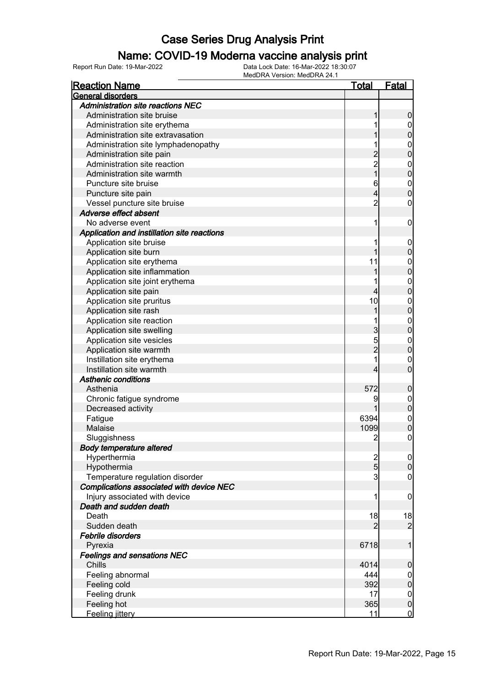#### Name: COVID-19 Moderna vaccine analysis print

| <b>Reaction Name</b>                        | <u>Total</u>   | <b>Fatal</b>                     |
|---------------------------------------------|----------------|----------------------------------|
| General disorders                           |                |                                  |
| <b>Administration site reactions NEC</b>    |                |                                  |
| Administration site bruise                  | 1              | $\boldsymbol{0}$                 |
| Administration site erythema                | 1              | $\boldsymbol{0}$                 |
| Administration site extravasation           |                | $\mathbf 0$                      |
| Administration site lymphadenopathy         | 1              | $\mathbf{0}$                     |
| Administration site pain                    |                | $\overline{0}$                   |
| Administration site reaction                | $\frac{2}{2}$  |                                  |
| Administration site warmth                  | $\overline{1}$ | $\begin{matrix}0\\0\end{matrix}$ |
| Puncture site bruise                        | 6              |                                  |
| Puncture site pain                          | 4              | $\begin{matrix}0\\0\end{matrix}$ |
| Vessel puncture site bruise                 | $\overline{2}$ | 0                                |
| Adverse effect absent                       |                |                                  |
| No adverse event                            | 1              | $\boldsymbol{0}$                 |
| Application and instillation site reactions |                |                                  |
| Application site bruise                     | 1              | $\mathbf 0$                      |
| Application site burn                       | 1              | $\mathbf 0$                      |
| Application site erythema                   | 11             | $\mathbf{0}$                     |
| Application site inflammation               | 1              | $\overline{0}$                   |
| Application site joint erythema             | 1              |                                  |
| Application site pain                       | 4              | $\begin{matrix}0\\0\end{matrix}$ |
| Application site pruritus                   | 10             |                                  |
| Application site rash                       | 1              | $0\atop 0$                       |
| Application site reaction                   |                |                                  |
| Application site swelling                   | 3              | $0\atop 0$                       |
| Application site vesicles                   |                |                                  |
| Application site warmth                     | 5<br>2         | $0\atop 0$                       |
| Instillation site erythema                  | 1              | $\mathbf{0}$                     |
| Instillation site warmth                    | 4              | $\overline{0}$                   |
| <b>Asthenic conditions</b>                  |                |                                  |
| Asthenia                                    | 572            |                                  |
|                                             | 9              | $\mathbf 0$                      |
| Chronic fatigue syndrome                    |                | $0\atop 0$                       |
| Decreased activity                          |                |                                  |
| Fatigue                                     | 6394           | $\mathbf{0}$                     |
| Malaise                                     | 1099           | $\overline{0}$                   |
| Sluggishness                                | $\overline{2}$ | $\mathbf 0$                      |
| <b>Body temperature altered</b>             |                |                                  |
| Hyperthermia                                | $\frac{2}{5}$  | $\overline{0}$                   |
| Hypothermia                                 |                | $\boldsymbol{0}$                 |
| Temperature regulation disorder             | $\overline{3}$ | $\overline{0}$                   |
| Complications associated with device NEC    |                |                                  |
| Injury associated with device               | 1              | $\mathbf 0$                      |
| Death and sudden death                      |                |                                  |
| Death                                       | 18             | 18                               |
| Sudden death                                | 2              | $\overline{2}$                   |
| Febrile disorders                           |                |                                  |
| Pyrexia                                     | 6718           | 1                                |
| <b>Feelings and sensations NEC</b>          |                |                                  |
| Chills                                      | 4014           | $\boldsymbol{0}$                 |
| Feeling abnormal                            | 444            | $\boldsymbol{0}$                 |
| Feeling cold                                | 392            | $\pmb{0}$                        |
| Feeling drunk                               | 17             | $\mathbf 0$                      |
| Feeling hot                                 | 365            | $\pmb{0}$                        |
| Feeling jittery                             | 11             | $\overline{0}$                   |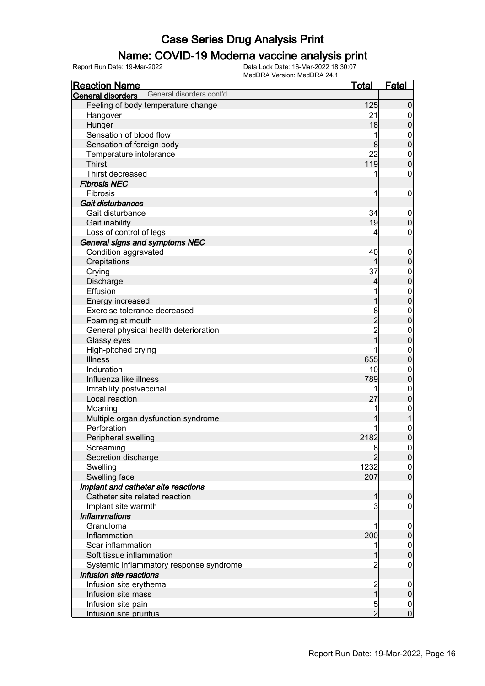### Name: COVID-19 Moderna vaccine analysis print

| <b>Reaction Name</b>                          | <u>Total</u>            | <b>Fatal</b>                         |
|-----------------------------------------------|-------------------------|--------------------------------------|
| General disorders cont'd<br>General disorders |                         |                                      |
| Feeling of body temperature change            | 125                     | $\mathbf 0$                          |
| Hangover                                      | 21                      | $\boldsymbol{0}$                     |
| Hunger                                        | 18                      | $\pmb{0}$                            |
| Sensation of blood flow                       | 1                       | $\mathbf{0}$                         |
| Sensation of foreign body                     | 8                       | $\mathbf 0$                          |
| Temperature intolerance                       | 22                      | $\boldsymbol{0}$                     |
| <b>Thirst</b>                                 | 119                     | $\mathbf 0$                          |
| Thirst decreased                              |                         | 0                                    |
| <b>Fibrosis NEC</b>                           |                         |                                      |
| Fibrosis                                      | 1                       | $\mathbf 0$                          |
| Gait disturbances                             |                         |                                      |
| Gait disturbance                              | 34                      | $\mathbf 0$                          |
| Gait inability                                | 19                      | $\mathbf 0$                          |
| Loss of control of legs                       | 4                       | 0                                    |
| General signs and symptoms NEC                |                         |                                      |
| Condition aggravated                          | 40                      | $\mathbf 0$                          |
| Crepitations                                  |                         | $\pmb{0}$                            |
| Crying                                        | 37                      | $\boldsymbol{0}$                     |
| Discharge                                     | 4                       | $\mathbf 0$                          |
| Effusion                                      |                         |                                      |
| Energy increased                              |                         | $0\atop 0$                           |
| Exercise tolerance decreased                  | 8                       | $\boldsymbol{0}$                     |
| Foaming at mouth                              | $\overline{2}$          | $\overline{0}$                       |
| General physical health deterioration         | $\overline{2}$          | $\boldsymbol{0}$                     |
| Glassy eyes                                   | 1                       | $\overline{0}$                       |
| High-pitched crying                           |                         | $\boldsymbol{0}$                     |
| <b>Illness</b>                                | 655                     | $\mathbf 0$                          |
| Induration                                    | 10                      | $\boldsymbol{0}$                     |
| Influenza like illness                        | 789                     | $\pmb{0}$                            |
| Irritability postvaccinal                     |                         | $\boldsymbol{0}$                     |
| Local reaction                                | 27                      | $\pmb{0}$                            |
| Moaning                                       |                         | $\mathbf{0}$                         |
| Multiple organ dysfunction syndrome           |                         | $\mathbf{1}$                         |
| Perforation                                   |                         | $\mathbf{0}$                         |
| Peripheral swelling                           | 2182                    | $\overline{0}$                       |
| Screaming                                     | 8                       | 0                                    |
| Secretion discharge                           | $\overline{2}$          | $\overline{0}$                       |
| Swelling                                      | 1232                    | $\overline{0}$                       |
| Swelling face                                 | 207                     | $\overline{0}$                       |
| Implant and catheter site reactions           |                         |                                      |
| Catheter site related reaction                | 1                       | $\boldsymbol{0}$                     |
| Implant site warmth                           | 3                       | 0                                    |
| <b>Inflammations</b>                          |                         |                                      |
| Granuloma                                     |                         | $\mathbf 0$                          |
| Inflammation                                  | 200                     | $\pmb{0}$                            |
| Scar inflammation                             |                         | $\begin{matrix} 0 \\ 0 \end{matrix}$ |
| Soft tissue inflammation                      |                         |                                      |
| Systemic inflammatory response syndrome       | 2                       | $\boldsymbol{0}$                     |
| Infusion site reactions                       |                         |                                      |
| Infusion site erythema                        | $\overline{\mathbf{c}}$ | $\mathbf 0$                          |
| Infusion site mass                            | $\overline{1}$          | $\pmb{0}$                            |
| Infusion site pain                            | 5                       | $\mathbf 0$                          |
| Infusion site pruritus                        | $\overline{2}$          | $\overline{0}$                       |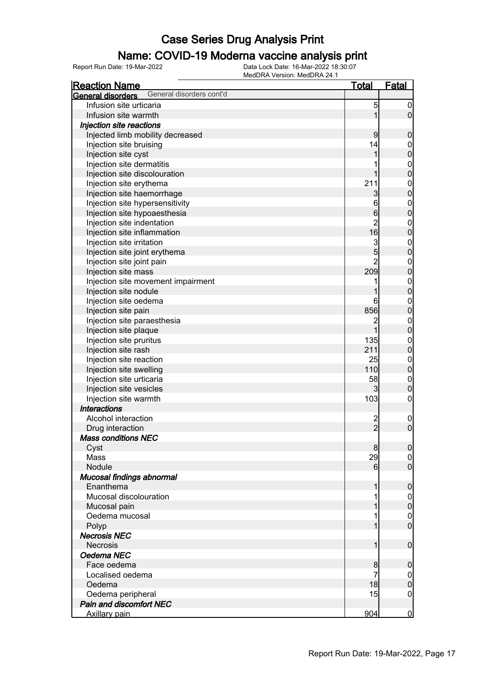### Name: COVID-19 Moderna vaccine analysis print

| <u>MCGDTV-VCISION. MCGDTV-C-F.I</u><br><b>Reaction Name</b> | <u>Total</u>            | <b>Fatal</b>     |
|-------------------------------------------------------------|-------------------------|------------------|
| General disorders cont'd<br>General disorders               |                         |                  |
| Infusion site urticaria                                     | 5                       | $\boldsymbol{0}$ |
| Infusion site warmth                                        | 1                       | $\overline{0}$   |
| Injection site reactions                                    |                         |                  |
| Injected limb mobility decreased                            | 9                       | $\mathbf 0$      |
| Injection site bruising                                     | 14                      | $\boldsymbol{0}$ |
| Injection site cyst                                         | 1                       | $\overline{0}$   |
| Injection site dermatitis                                   |                         | $\boldsymbol{0}$ |
| Injection site discolouration                               | 1                       | $\overline{0}$   |
| Injection site erythema                                     | 211                     | $\boldsymbol{0}$ |
| Injection site haemorrhage                                  | 3                       | $\overline{0}$   |
| Injection site hypersensitivity                             | 6                       | $\boldsymbol{0}$ |
| Injection site hypoaesthesia                                | $6\overline{6}$         | $\overline{0}$   |
| Injection site indentation                                  | $\overline{2}$          | $\boldsymbol{0}$ |
| Injection site inflammation                                 | 16                      | $\overline{0}$   |
| Injection site irritation                                   | $\overline{3}$          | $\boldsymbol{0}$ |
| Injection site joint erythema                               | $\overline{5}$          | $\overline{0}$   |
| Injection site joint pain                                   | $\overline{2}$          | $\boldsymbol{0}$ |
| Injection site mass                                         | 209                     | $\overline{0}$   |
| Injection site movement impairment                          | 1                       | $\boldsymbol{0}$ |
| Injection site nodule                                       |                         | $\overline{0}$   |
| Injection site oedema                                       | 6                       | $\mathbf{0}$     |
| Injection site pain                                         | 856                     | $\overline{0}$   |
| Injection site paraesthesia                                 | $\overline{c}$          | $\boldsymbol{0}$ |
| Injection site plaque                                       | $\overline{1}$          | $\overline{0}$   |
| Injection site pruritus                                     | 135                     | $\boldsymbol{0}$ |
| Injection site rash                                         | 211                     | $\overline{0}$   |
| Injection site reaction                                     | 25                      | $\boldsymbol{0}$ |
| Injection site swelling                                     | 110                     | $\overline{0}$   |
| Injection site urticaria                                    | 58                      | $\boldsymbol{0}$ |
| Injection site vesicles                                     | $\mathbf{3}$            | $\mathbf 0$      |
| Injection site warmth                                       | 103                     | $\mathbf 0$      |
| <b>Interactions</b>                                         |                         |                  |
| Alcohol interaction                                         | $\overline{\mathbf{c}}$ | $\boldsymbol{0}$ |
| Drug interaction                                            | $\overline{2}$          | $\overline{0}$   |
| <b>Mass conditions NEC</b>                                  |                         |                  |
| Cyst                                                        | 8                       | 0                |
| Mass                                                        | 29                      | $\overline{0}$   |
| Nodule                                                      | $6 \mid$                | $\overline{0}$   |
| Mucosal findings abnormal                                   |                         |                  |
| Enanthema                                                   | 1                       | $\boldsymbol{0}$ |
| Mucosal discolouration                                      |                         | $\overline{0}$   |
| Mucosal pain                                                |                         | $\mathbf 0$      |
| Oedema mucosal                                              |                         | $\mathbf 0$      |
| Polyp                                                       |                         | $\overline{0}$   |
| <b>Necrosis NEC</b>                                         |                         |                  |
| <b>Necrosis</b>                                             | 1                       | $\boldsymbol{0}$ |
| Oedema NEC                                                  |                         |                  |
| Face oedema                                                 | 8                       | $\mathbf 0$      |
| Localised oedema                                            | 7                       | $\overline{0}$   |
| Oedema                                                      | 18                      | $\pmb{0}$        |
| Oedema peripheral                                           | 15                      | $\boldsymbol{0}$ |
| Pain and discomfort NEC                                     |                         |                  |
| <b>Axillary pain</b>                                        | 904                     | <u>0</u>         |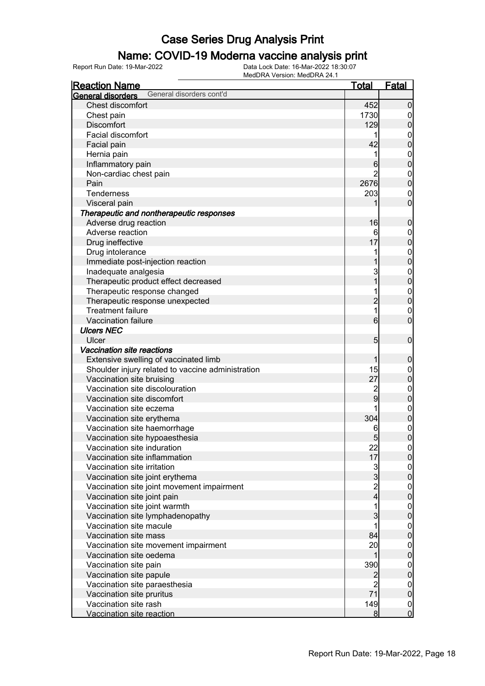#### Name: COVID-19 Moderna vaccine analysis print

| <b>Reaction Name</b>                                         | <b>Total</b>    | Fatal                                |
|--------------------------------------------------------------|-----------------|--------------------------------------|
| General disorders cont'd<br>General disorders                |                 |                                      |
| Chest discomfort                                             | 452             | $\mathbf 0$                          |
| Chest pain                                                   | 1730            | 0                                    |
| <b>Discomfort</b>                                            | 129             | $\overline{0}$                       |
| Facial discomfort                                            |                 | $\mathbf 0$                          |
| Facial pain                                                  | 42              | $\overline{0}$                       |
| Hernia pain                                                  |                 | $\mathbf{0}$                         |
| Inflammatory pain                                            | 6               | $\mathbf 0$                          |
| Non-cardiac chest pain                                       | 2               | $\mathbf{0}$                         |
| Pain                                                         | 2676            | $\overline{0}$                       |
| Tenderness                                                   | 203             | 0                                    |
| Visceral pain                                                |                 | $\mathbf 0$                          |
| Therapeutic and nontherapeutic responses                     |                 |                                      |
| Adverse drug reaction                                        | 16              | $\boldsymbol{0}$                     |
| Adverse reaction                                             | 6               | $\mathbf 0$                          |
| Drug ineffective                                             | 17              | $\mathbf 0$                          |
| Drug intolerance                                             |                 |                                      |
| Immediate post-injection reaction                            |                 | $0\atop 0$                           |
| Inadequate analgesia                                         | 3               |                                      |
| Therapeutic product effect decreased                         |                 | $0\atop 0$                           |
| Therapeutic response changed                                 |                 | $\mathbf{0}$                         |
| Therapeutic response unexpected                              | $\overline{2}$  | $\overline{0}$                       |
| <b>Treatment failure</b>                                     | 1               | $\boldsymbol{0}$                     |
| Vaccination failure                                          | 6               | $\overline{0}$                       |
| <b>Ulcers NEC</b>                                            |                 |                                      |
| Ulcer                                                        | $5\overline{)}$ | $\mathbf 0$                          |
| Vaccination site reactions                                   |                 |                                      |
|                                                              | 1               |                                      |
| Extensive swelling of vaccinated limb                        | 15              | $\mathbf 0$                          |
| Shoulder injury related to vaccine administration            | 27              | $\mathbf{0}$<br>$\mathbf 0$          |
| Vaccination site bruising<br>Vaccination site discolouration |                 |                                      |
| Vaccination site discomfort                                  | 2<br>9          | $\mathbf{0}$                         |
|                                                              |                 | $\pmb{0}$                            |
| Vaccination site eczema                                      |                 | $\mathbf{0}$                         |
| Vaccination site erythema                                    | 304             | $\mathbf 0$                          |
| Vaccination site haemorrhage                                 | 6               | $\mathbf{0}$                         |
| Vaccination site hypoaesthesia                               | 5               | $\overline{0}$                       |
| Vaccination site induration                                  | 22              | 0                                    |
| Vaccination site inflammation                                | 17              | $\overline{0}$                       |
| Vaccination site irritation                                  | 3<br>3          | $0\atop 0$                           |
| Vaccination site joint erythema                              |                 |                                      |
| Vaccination site joint movement impairment                   | 2<br>4          | $0\atop 0$                           |
| Vaccination site joint pain                                  |                 |                                      |
| Vaccination site joint warmth                                |                 | $0$<br>0                             |
| Vaccination site lymphadenopathy                             | 3               |                                      |
| Vaccination site macule                                      |                 | $\begin{matrix} 0 \\ 0 \end{matrix}$ |
| Vaccination site mass                                        | 84              |                                      |
| Vaccination site movement impairment                         | 20              | $0\atop 0$                           |
| Vaccination site oedema                                      | 1               |                                      |
| Vaccination site pain                                        | 390             | $0\atop 0$                           |
| Vaccination site papule                                      | $\overline{c}$  |                                      |
| Vaccination site paraesthesia                                | $\overline{2}$  | $\boldsymbol{0}$                     |
| Vaccination site pruritus                                    | 71              | $\pmb{0}$                            |
| Vaccination site rash                                        | 149             | $\mathbf 0$                          |
| Vaccination site reaction                                    | 8               | $\overline{0}$                       |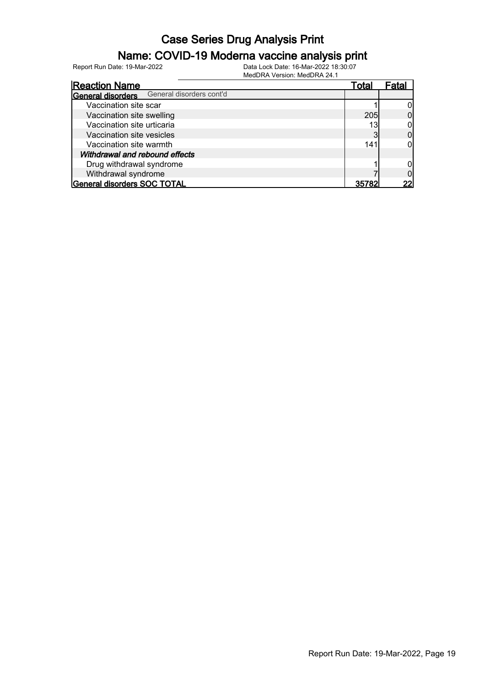### Name: COVID-19 Moderna vaccine analysis print

Report Run Date: 19-Mar-2022 Data Lock Date: 16-Mar-2022 18:30:07

|                                | 1810 G D I V I V O I OIO II. 1810 G D I V I L-T. 1 |       |       |
|--------------------------------|----------------------------------------------------|-------|-------|
| <b>Reaction Name</b>           |                                                    | Total | Fatal |
| General disorders              | General disorders cont'd                           |       |       |
| Vaccination site scar          |                                                    |       |       |
| Vaccination site swelling      |                                                    | 205   |       |
| Vaccination site urticaria     |                                                    | 13    |       |
| Vaccination site vesicles      |                                                    |       |       |
| Vaccination site warmth        |                                                    | 141   |       |
| Withdrawal and rebound effects |                                                    |       |       |
| Drug withdrawal syndrome       |                                                    |       |       |
| Withdrawal syndrome            |                                                    |       |       |
| General disorders SOC TOTAL    |                                                    | 35782 | າາ    |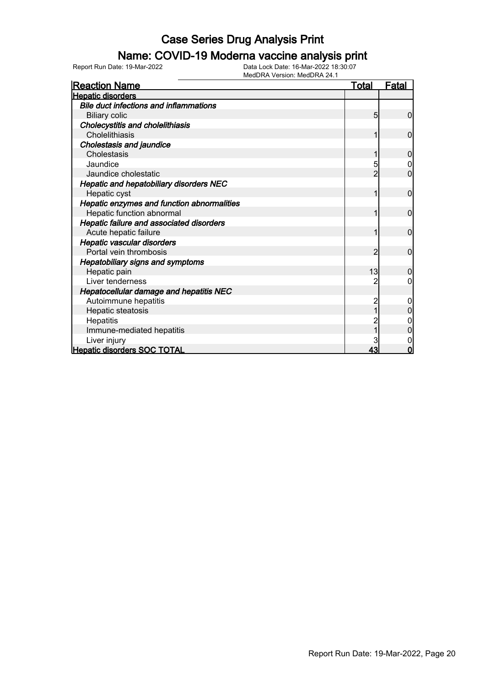#### Name: COVID-19 Moderna vaccine analysis print

Report Run Date: 19-Mar-2022 Data Lock Date: 16-Mar-2022 18:30:07

| <b>Reaction Name</b>                          | <b>Total</b> | <b>Fatal</b>   |
|-----------------------------------------------|--------------|----------------|
| <b>Hepatic disorders</b>                      |              |                |
| <b>Bile duct infections and inflammations</b> |              |                |
| <b>Biliary colic</b>                          | 5            | 0              |
| <b>Cholecystitis and cholelithiasis</b>       |              |                |
| Cholelithiasis                                | 1            | 0              |
| <b>Cholestasis and jaundice</b>               |              |                |
| Cholestasis                                   |              | 0              |
| Jaundice                                      | 5            |                |
| Jaundice cholestatic                          | 2            | $\overline{0}$ |
| Hepatic and hepatobiliary disorders NEC       |              |                |
| Hepatic cyst                                  | 1            | $\mathbf 0$    |
| Hepatic enzymes and function abnormalities    |              |                |
| Hepatic function abnormal                     |              | 0              |
| Hepatic failure and associated disorders      |              |                |
| Acute hepatic failure                         |              | 0              |
| Hepatic vascular disorders                    |              |                |
| Portal vein thrombosis                        | 2            | $\overline{0}$ |
| <b>Hepatobiliary signs and symptoms</b>       |              |                |
| Hepatic pain                                  | 13           | $\mathbf{0}$   |
| Liver tenderness                              |              | 0              |
| Hepatocellular damage and hepatitis NEC       |              |                |
| Autoimmune hepatitis                          |              |                |
| Hepatic steatosis                             |              |                |
| Hepatitis                                     |              |                |
| Immune-mediated hepatitis                     |              | 0              |
| Liver injury                                  |              |                |
| <b>Hepatic disorders SOC TOTAL</b>            | 43           | $\Omega$       |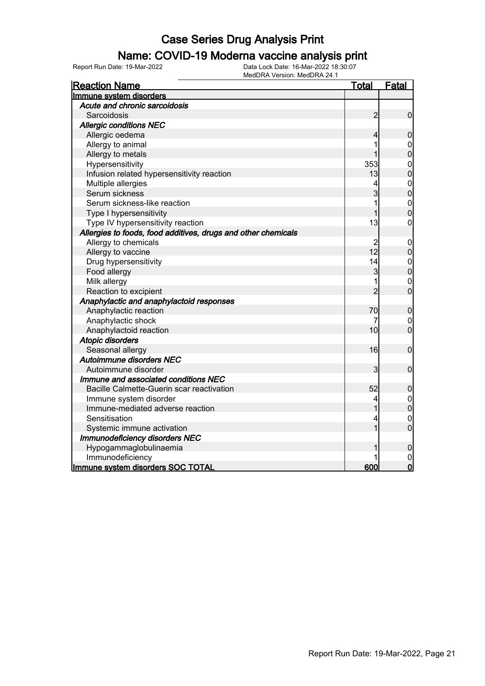#### Name: COVID-19 Moderna vaccine analysis print

| <b>Reaction Name</b>                                          | <u>Total</u>   | Fatal            |
|---------------------------------------------------------------|----------------|------------------|
| Immune system disorders                                       |                |                  |
| Acute and chronic sarcoidosis                                 |                |                  |
| Sarcoidosis                                                   | $\overline{2}$ | $\mathbf 0$      |
| <b>Allergic conditions NEC</b>                                |                |                  |
| Allergic oedema                                               | 4              | $\overline{0}$   |
| Allergy to animal                                             |                | $\mathbf 0$      |
| Allergy to metals                                             |                | $\mathbf 0$      |
| Hypersensitivity                                              | 353            | $\mathbf 0$      |
| Infusion related hypersensitivity reaction                    | 13             | $\overline{0}$   |
| Multiple allergies                                            | 4              | $\mathbf{0}$     |
| Serum sickness                                                | 3              | $\overline{0}$   |
| Serum sickness-like reaction                                  | 1              | $\mathbf{0}$     |
| Type I hypersensitivity                                       | 1              | $\overline{0}$   |
| Type IV hypersensitivity reaction                             | 13             | $\mathbf 0$      |
| Allergies to foods, food additives, drugs and other chemicals |                |                  |
| Allergy to chemicals                                          |                | 0                |
| Allergy to vaccine                                            | 12             | $\mathbf 0$      |
| Drug hypersensitivity                                         | 14             | $\mathbf{0}$     |
| Food allergy                                                  | 3              | $\overline{0}$   |
| Milk allergy                                                  | 1              | $\mathbf 0$      |
| Reaction to excipient                                         | $\overline{2}$ | $\overline{0}$   |
| Anaphylactic and anaphylactoid responses                      |                |                  |
| Anaphylactic reaction                                         | 70             | $\boldsymbol{0}$ |
| Anaphylactic shock                                            | 7              | $\boldsymbol{0}$ |
| Anaphylactoid reaction                                        | 10             | $\mathbf 0$      |
| <b>Atopic disorders</b>                                       |                |                  |
| Seasonal allergy                                              | 16             | $\mathbf 0$      |
| Autoimmune disorders NEC                                      |                |                  |
| Autoimmune disorder                                           | 3              | $\mathbf 0$      |
| Immune and associated conditions NEC                          |                |                  |
| Bacille Calmette-Guerin scar reactivation                     | 52             | $\boldsymbol{0}$ |
| Immune system disorder                                        | 4              | $\mathbf 0$      |
| Immune-mediated adverse reaction                              | 1              | $\overline{0}$   |
| Sensitisation                                                 | 4              | $\overline{0}$   |
| Systemic immune activation                                    |                | $\overline{0}$   |
| Immunodeficiency disorders NEC                                |                |                  |
| Hypogammaglobulinaemia                                        |                | $\boldsymbol{0}$ |
| Immunodeficiency                                              |                | $\mathbf 0$      |
| Immune system disorders SOC TOTAL                             | 600            | $\overline{0}$   |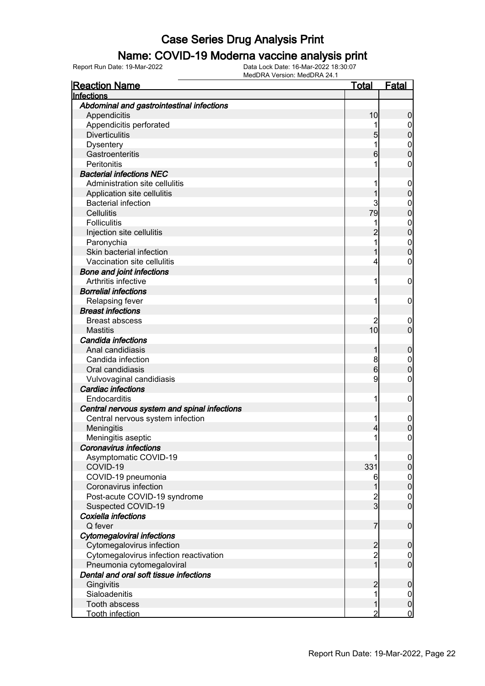#### Name: COVID-19 Moderna vaccine analysis print

| <b>Reaction Name</b>                         | <u>Total</u>            | <b>Fatal</b>     |
|----------------------------------------------|-------------------------|------------------|
| Infections                                   |                         |                  |
| Abdominal and gastrointestinal infections    |                         |                  |
| Appendicitis                                 | 10                      | 0                |
| Appendicitis perforated                      |                         | $\mathbf 0$      |
| <b>Diverticulitis</b>                        | 5                       | 0                |
| <b>Dysentery</b>                             |                         | $\mathbf{0}$     |
| Gastroenteritis                              | 6                       | 0                |
| Peritonitis                                  |                         | 0                |
| <b>Bacterial infections NEC</b>              |                         |                  |
| Administration site cellulitis               |                         | $\overline{0}$   |
| Application site cellulitis                  |                         | 0                |
| <b>Bacterial infection</b>                   | 3                       | $\mathbf 0$      |
| <b>Cellulitis</b>                            | 79                      | $\mathbf 0$      |
| <b>Folliculitis</b>                          |                         | $\mathbf{0}$     |
| Injection site cellulitis                    |                         | $\mathbf{0}$     |
| Paronychia                                   |                         | $\mathbf{0}$     |
| Skin bacterial infection                     |                         | $\overline{0}$   |
| Vaccination site cellulitis                  | 4                       | 0                |
| <b>Bone and joint infections</b>             |                         |                  |
| Arthritis infective                          | 1                       | 0                |
| <b>Borrelial infections</b>                  |                         |                  |
| Relapsing fever                              | 1                       | 0                |
| <b>Breast infections</b>                     |                         |                  |
| <b>Breast abscess</b>                        |                         | $\overline{0}$   |
| <b>Mastitis</b>                              | 10                      | $\overline{0}$   |
| Candida infections                           |                         |                  |
| Anal candidiasis                             |                         | 0                |
| Candida infection                            | 8                       | $\mathbf 0$      |
| Oral candidiasis                             | 6                       | $\overline{0}$   |
| Vulvovaginal candidiasis                     | 9                       | 0                |
| <b>Cardiac infections</b>                    |                         |                  |
| Endocarditis                                 | 1                       | $\mathbf 0$      |
| Central nervous system and spinal infections |                         |                  |
| Central nervous system infection             | 1                       | $\mathbf 0$      |
| Meningitis                                   | 4                       | 0                |
| Meningitis aseptic                           | 1                       | $\mathbf{0}$     |
| <b>Coronavirus infections</b>                |                         |                  |
| Asymptomatic COVID-19                        |                         | $\overline{0}$   |
| COVID-19                                     | 331                     | 0                |
| COVID-19 pneumonia                           | 6                       | $\boldsymbol{0}$ |
| Coronavirus infection                        |                         | $\boldsymbol{0}$ |
| Post-acute COVID-19 syndrome                 | $\overline{\mathbf{c}}$ | 0                |
| Suspected COVID-19                           | $\overline{3}$          | $\mathbf 0$      |
| Coxiella infections                          |                         |                  |
| Q fever                                      | 7                       | $\mathbf 0$      |
| Cytomegaloviral infections                   |                         |                  |
| Cytomegalovirus infection                    | $\overline{c}$          | 0                |
| Cytomegalovirus infection reactivation       | $\overline{2}$          | $\mathbf 0$      |
| Pneumonia cytomegaloviral                    | $\mathbf{1}$            | $\mathbf 0$      |
| Dental and oral soft tissue infections       |                         |                  |
| Gingivitis                                   |                         | 0                |
| Sialoadenitis                                | 1                       | $\mathbf 0$      |
| Tooth abscess                                |                         | $\mathbf 0$      |
| <b>Tooth infection</b>                       | 2                       | $\mathbf 0$      |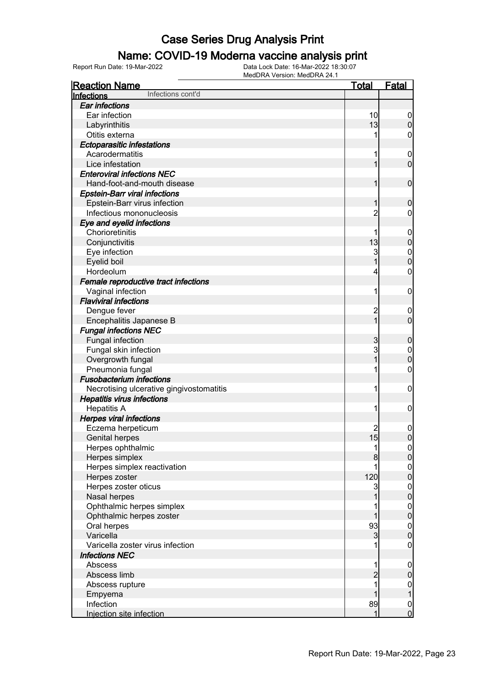### Name: COVID-19 Moderna vaccine analysis print

| <b>Reaction Name</b>                     | <u>Total</u>   | <b>Fatal</b>     |
|------------------------------------------|----------------|------------------|
| Infections cont'd<br>Infections          |                |                  |
| <b>Ear infections</b>                    |                |                  |
| Ear infection                            | 10             | $\boldsymbol{0}$ |
| Labyrinthitis                            | 13             | $\boldsymbol{0}$ |
| Otitis externa                           |                | 0                |
| <b>Ectoparasitic infestations</b>        |                |                  |
| Acarodermatitis                          |                | $\boldsymbol{0}$ |
| Lice infestation                         | 1              | $\mathbf 0$      |
| <b>Enteroviral infections NEC</b>        |                |                  |
| Hand-foot-and-mouth disease              | 1              | $\mathbf 0$      |
| <b>Epstein-Barr viral infections</b>     |                |                  |
| Epstein-Barr virus infection             | 1              | $\boldsymbol{0}$ |
| Infectious mononucleosis                 | $\overline{c}$ | 0                |
| Eye and eyelid infections                |                |                  |
| Chorioretinitis                          |                | $\boldsymbol{0}$ |
| Conjunctivitis                           | 13             | $\mathbf 0$      |
| Eye infection                            | 3              | $\boldsymbol{0}$ |
| Eyelid boil                              |                | $\mathbf 0$      |
| Hordeolum                                | 4              | $\mathbf 0$      |
| Female reproductive tract infections     |                |                  |
| Vaginal infection                        | 1              | $\mathbf 0$      |
| <b>Flaviviral infections</b>             |                |                  |
| Dengue fever                             | $\overline{c}$ | $\boldsymbol{0}$ |
| Encephalitis Japanese B                  | $\overline{1}$ | $\mathbf 0$      |
| <b>Fungal infections NEC</b>             |                |                  |
| Fungal infection                         | 3              | $\boldsymbol{0}$ |
| Fungal skin infection                    | 3              | $\mathbf 0$      |
| Overgrowth fungal                        | 1              | $\mathbf 0$      |
| Pneumonia fungal                         |                | $\mathbf 0$      |
| <b>Fusobacterium infections</b>          |                |                  |
| Necrotising ulcerative gingivostomatitis | 1              | $\mathbf 0$      |
| <b>Hepatitis virus infections</b>        |                |                  |
| <b>Hepatitis A</b>                       | 1              | $\mathbf 0$      |
| <b>Herpes viral infections</b>           |                |                  |
| Eczema herpeticum                        |                | $\mathbf 0$      |
| <b>Genital herpes</b>                    | 15             | $\mathbf 0$      |
| Herpes ophthalmic                        | 11             | 0                |
| Herpes simplex                           | 8              | $\overline{0}$   |
| Herpes simplex reactivation              |                | $\boldsymbol{0}$ |
| Herpes zoster                            | 120            | $\mathbf 0$      |
| Herpes zoster oticus                     | 3              | $\boldsymbol{0}$ |
| Nasal herpes                             |                | $\mathbf 0$      |
| Ophthalmic herpes simplex                |                | $\boldsymbol{0}$ |
| Ophthalmic herpes zoster                 |                | $\mathbf 0$      |
| Oral herpes                              | 93             | $\boldsymbol{0}$ |
| Varicella                                | $\mathbf{3}$   | $\mathbf 0$      |
| Varicella zoster virus infection         |                | $\mathbf 0$      |
| <b>Infections NEC</b>                    |                |                  |
| Abscess                                  | 1              | $\mathbf 0$      |
| Abscess limb                             | $\overline{c}$ | $\pmb{0}$        |
| Abscess rupture                          |                | $\overline{0}$   |
| Empyema                                  |                | $\mathbf{1}$     |
| Infection                                | 89             | $\boldsymbol{0}$ |
| Injection site infection                 | 1              | $\overline{0}$   |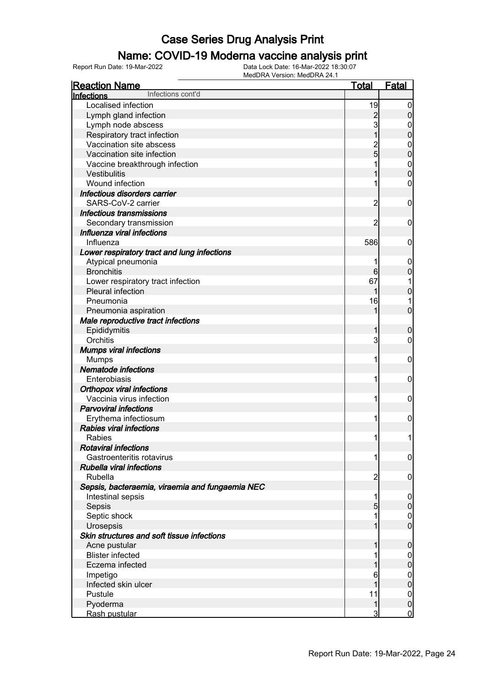#### Name: COVID-19 Moderna vaccine analysis print

| <b>Reaction Name</b>                            | <b>Total</b>    | <b>Fatal</b>     |
|-------------------------------------------------|-----------------|------------------|
| Infections cont'd<br>Infections                 |                 |                  |
| Localised infection                             | 19              | $\boldsymbol{0}$ |
| Lymph gland infection                           | $\overline{c}$  | $\pmb{0}$        |
| Lymph node abscess                              | 3               | 0                |
| Respiratory tract infection                     |                 | $\mathbf 0$      |
| Vaccination site abscess                        |                 | $\mathbf 0$      |
| Vaccination site infection                      | 2<br>5          | $\mathbf 0$      |
| Vaccine breakthrough infection                  |                 | $\mathbf 0$      |
| Vestibulitis                                    |                 | $\mathbf 0$      |
| Wound infection                                 |                 | $\mathbf 0$      |
| Infectious disorders carrier                    |                 |                  |
| SARS-CoV-2 carrier                              | $\overline{c}$  | $\mathbf 0$      |
| <b>Infectious transmissions</b>                 |                 |                  |
| Secondary transmission                          | 2               | 0                |
| Influenza viral infections                      |                 |                  |
| Influenza                                       | 586             | 0                |
| Lower respiratory tract and lung infections     |                 |                  |
| Atypical pneumonia                              |                 | $\mathbf 0$      |
| <b>Bronchitis</b>                               | $6 \overline{}$ | $\boldsymbol{0}$ |
| Lower respiratory tract infection               | 67              |                  |
| Pleural infection                               |                 | $\mathbf 0$      |
| Pneumonia                                       | 16              |                  |
| Pneumonia aspiration                            | 1               | $\overline{0}$   |
| Male reproductive tract infections              |                 |                  |
| Epididymitis                                    | 1               | $\boldsymbol{0}$ |
| Orchitis                                        | 3               | 0                |
| <b>Mumps viral infections</b>                   |                 |                  |
| <b>Mumps</b>                                    | 1               | $\mathbf 0$      |
| <b>Nematode infections</b>                      |                 |                  |
| Enterobiasis                                    | 1               | $\mathbf 0$      |
| <b>Orthopox viral infections</b>                |                 |                  |
| Vaccinia virus infection                        | 1               | $\mathbf 0$      |
| <b>Parvoviral infections</b>                    |                 |                  |
| Erythema infectiosum                            | 1               | $\mathbf 0$      |
| <b>Rabies viral infections</b>                  |                 |                  |
| Rabies                                          | 11              | 1                |
| <b>Rotaviral infections</b>                     |                 |                  |
| Gastroenteritis rotavirus                       | 1               | $\overline{0}$   |
| Rubella viral infections                        |                 |                  |
| Rubella                                         | $\overline{c}$  | $\mathbf 0$      |
| Sepsis, bacteraemia, viraemia and fungaemia NEC |                 |                  |
| Intestinal sepsis                               | 1               | $\mathbf 0$      |
| Sepsis                                          | $\overline{5}$  | $\pmb{0}$        |
| Septic shock                                    |                 | $\overline{0}$   |
| Urosepsis                                       |                 | $\overline{0}$   |
| Skin structures and soft tissue infections      |                 |                  |
| Acne pustular                                   |                 | $\mathbf 0$      |
| <b>Blister infected</b>                         |                 | $\mathbf 0$      |
| Eczema infected                                 |                 | $\mathbf 0$      |
| Impetigo                                        | 6               | $\overline{0}$   |
| Infected skin ulcer                             |                 | $\mathbf 0$      |
| Pustule                                         | 11              | $\mathbf 0$      |
| Pyoderma                                        | 1               | $\mathbf 0$      |
| Rash pustular                                   | 3               | $\overline{0}$   |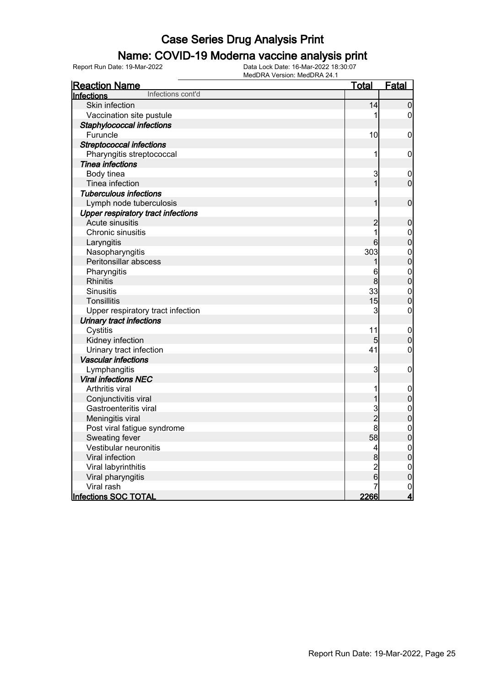### Name: COVID-19 Moderna vaccine analysis print

| VCISION, IVICADI VA 27. I<br><b>Reaction Name</b> | <u>Total</u>   | <u>Fatal</u>                         |
|---------------------------------------------------|----------------|--------------------------------------|
| Infections cont'd<br>Infections                   |                |                                      |
| Skin infection                                    | 14             | $\overline{0}$                       |
| Vaccination site pustule                          |                | 0                                    |
| Staphylococcal infections                         |                |                                      |
| Furuncle                                          | 10             | 0                                    |
| <b>Streptococcal infections</b>                   |                |                                      |
| Pharyngitis streptococcal                         | 1              | $\mathbf 0$                          |
| <b>Tinea infections</b>                           |                |                                      |
| Body tinea                                        | 3              | $\mathbf 0$                          |
| Tinea infection                                   | $\mathbf{1}$   | $\overline{0}$                       |
| <b>Tuberculous infections</b>                     |                |                                      |
| Lymph node tuberculosis                           | 1              | $\mathbf 0$                          |
| <b>Upper respiratory tract infections</b>         |                |                                      |
| Acute sinusitis                                   | $\overline{c}$ | $\pmb{0}$                            |
| Chronic sinusitis                                 | $\overline{1}$ |                                      |
| Laryngitis                                        | 6              | $\begin{matrix}0\\0\end{matrix}$     |
| Nasopharyngitis                                   | 303            |                                      |
| Peritonsillar abscess                             | 1              | $\begin{matrix}0\\0\end{matrix}$     |
| Pharyngitis                                       | 6              | $\begin{matrix} 0 \\ 0 \end{matrix}$ |
| Rhinitis                                          | 8              |                                      |
| <b>Sinusitis</b>                                  | 33             | $\mathbf{0}$                         |
| Tonsillitis                                       | 15             | $\overline{0}$                       |
| Upper respiratory tract infection                 | 3              | $\mathbf 0$                          |
| <b>Urinary tract infections</b>                   |                |                                      |
| Cystitis                                          | 11             | $\mathbf 0$                          |
| Kidney infection                                  | 5              | $\mathbf 0$                          |
| Urinary tract infection                           | 41             | $\mathbf 0$                          |
| <b>Vascular infections</b>                        |                |                                      |
| Lymphangitis                                      | $\overline{3}$ | $\boldsymbol{0}$                     |
| <b>Viral infections NEC</b>                       |                |                                      |
| Arthritis viral                                   | 1              | $\mathbf 0$                          |
| Conjunctivitis viral                              | 1              | $\mathbf 0$                          |
| Gastroenteritis viral                             | 3              | $\begin{matrix}0\\0\end{matrix}$     |
| Meningitis viral                                  | $\overline{2}$ |                                      |
| Post viral fatigue syndrome                       | 8              | $\mathbf{0}$                         |
| Sweating fever                                    | 58             | $\overline{0}$                       |
| Vestibular neuronitis                             | $\overline{4}$ | $\begin{matrix} 0 \\ 0 \end{matrix}$ |
| Viral infection                                   | 8              |                                      |
| Viral labyrinthitis                               | $\overline{c}$ | $\mathbf{0}$                         |
| Viral pharyngitis                                 | 6              | $\overline{0}$                       |
| Viral rash                                        |                | $\frac{0}{4}$                        |
| <b>Infections SOC TOTAL</b>                       | 2266           |                                      |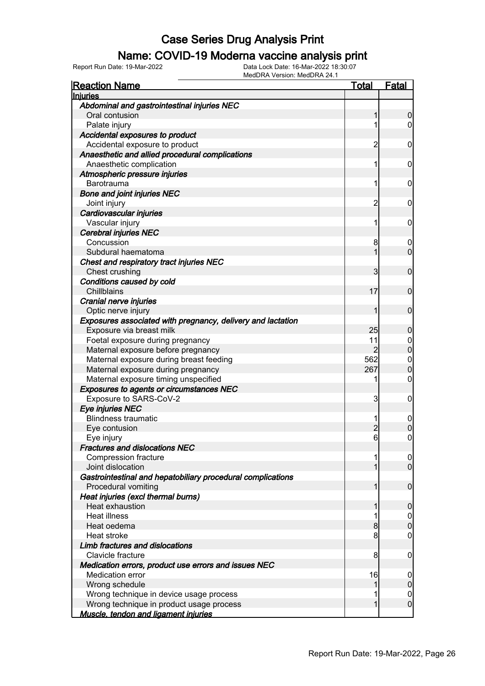#### Name: COVID-19 Moderna vaccine analysis print

| <b>Reaction Name</b>                                        | <u>Total</u>   | <b>Fatal</b>     |
|-------------------------------------------------------------|----------------|------------------|
| <b>Injuries</b>                                             |                |                  |
| Abdominal and gastrointestinal injuries NEC                 |                |                  |
| Oral contusion                                              | 1              | 0                |
| Palate injury                                               | 1              | $\mathbf 0$      |
| Accidental exposures to product                             |                |                  |
| Accidental exposure to product                              | $\overline{2}$ | 0                |
| Anaesthetic and allied procedural complications             |                |                  |
| Anaesthetic complication                                    | 1              | 0                |
| Atmospheric pressure injuries                               |                |                  |
| <b>Barotrauma</b>                                           | 1              | 0                |
| <b>Bone and joint injuries NEC</b>                          |                |                  |
| Joint injury                                                | $\overline{2}$ | 0                |
| Cardiovascular injuries                                     |                |                  |
| Vascular injury                                             | 1              | 0                |
| <b>Cerebral injuries NEC</b>                                |                |                  |
| Concussion                                                  | 8              | $\overline{0}$   |
| Subdural haematoma                                          | 1              | $\overline{0}$   |
| Chest and respiratory tract injuries NEC                    |                |                  |
| Chest crushing                                              | 3              | $\mathbf 0$      |
| Conditions caused by cold                                   |                |                  |
| Chillblains                                                 | 17             | $\mathbf 0$      |
| Cranial nerve injuries                                      |                |                  |
| Optic nerve injury                                          | 1              | $\mathbf 0$      |
| Exposures associated with pregnancy, delivery and lactation |                |                  |
| Exposure via breast milk                                    | 25             | $\mathbf 0$      |
| Foetal exposure during pregnancy                            | 11             | $0\atop 0$       |
| Maternal exposure before pregnancy                          | $\overline{2}$ |                  |
| Maternal exposure during breast feeding                     | 562            | $\mathbf{0}$     |
| Maternal exposure during pregnancy                          | 267            | $\overline{0}$   |
| Maternal exposure timing unspecified                        | 1              | $\mathbf 0$      |
| <b>Exposures to agents or circumstances NEC</b>             |                |                  |
| Exposure to SARS-CoV-2                                      | 3              | 0                |
| Eye injuries NEC                                            |                |                  |
| <b>Blindness traumatic</b>                                  | 1              | $\boldsymbol{0}$ |
| Eye contusion                                               | $\overline{2}$ | 0                |
| Eye injury                                                  | $6 \mid$       | $\mathbf 0$      |
| <b>Fractures and dislocations NEC</b>                       |                |                  |
| <b>Compression fracture</b>                                 | 1              | $\overline{0}$   |
| Joint dislocation                                           | 1              | $\overline{0}$   |
| Gastrointestinal and hepatobiliary procedural complications |                |                  |
| Procedural vomiting                                         | 1              | $\mathbf 0$      |
| Heat injuries (excl thermal burns)                          |                |                  |
| Heat exhaustion                                             | 1              | $\mathbf 0$      |
| <b>Heat illness</b>                                         | 1              | $\mathbf 0$      |
| Heat oedema                                                 | 8              | $\boldsymbol{0}$ |
| Heat stroke                                                 | 8              | $\mathbf 0$      |
| Limb fractures and dislocations                             |                |                  |
| Clavicle fracture                                           | 8              | $\mathbf 0$      |
| Medication errors, product use errors and issues NEC        |                |                  |
| Medication error                                            | 16             | 0                |
| Wrong schedule                                              | 1              | $\boldsymbol{0}$ |
| Wrong technique in device usage process                     | 1              | $\mathbf 0$      |
| Wrong technique in product usage process                    | 1              | $\mathbf 0$      |
| Muscle, tendon and ligament iniuries                        |                |                  |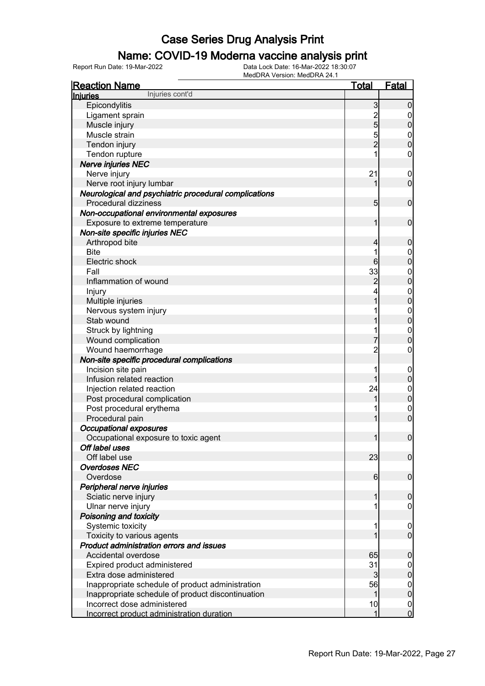#### Name: COVID-19 Moderna vaccine analysis print

| <b>Reaction Name</b>                                   | <b>Total</b>     | <b>Fatal</b>                       |
|--------------------------------------------------------|------------------|------------------------------------|
| Injuries cont'd<br><b>Injuries</b>                     |                  |                                    |
| Epicondylitis                                          | $\mathbf{3}$     | $\overline{0}$                     |
| Ligament sprain                                        |                  | $\mathbf 0$                        |
| Muscle injury                                          | $\frac{2}{5}$    | $\boldsymbol{0}$                   |
| Muscle strain                                          | $\overline{5}$   | $\mathbf 0$                        |
| Tendon injury                                          | $\overline{2}$   | $\overline{0}$                     |
| Tendon rupture                                         |                  | 0                                  |
| Nerve injuries NEC                                     |                  |                                    |
| Nerve injury                                           | 21               | $\mathbf 0$                        |
| Nerve root injury lumbar                               |                  | $\mathbf 0$                        |
| Neurological and psychiatric procedural complications  |                  |                                    |
| Procedural dizziness                                   | 5 <sub>5</sub>   | $\mathbf 0$                        |
| Non-occupational environmental exposures               |                  |                                    |
| Exposure to extreme temperature                        | 1                | $\mathbf 0$                        |
| Non-site specific injuries NEC                         |                  |                                    |
| Arthropod bite                                         | 4                | $\mathbf 0$                        |
| <b>Bite</b>                                            |                  | $\mathbf 0$                        |
| Electric shock                                         | $6 \overline{6}$ | $\overline{0}$                     |
| Fall                                                   | 33               | $\boldsymbol{0}$                   |
| Inflammation of wound                                  | $\overline{c}$   | $\mathbf 0$                        |
| Injury                                                 | 4                | $\boldsymbol{0}$                   |
| Multiple injuries                                      | 1                | $\mathbf 0$                        |
| Nervous system injury                                  |                  | $\boldsymbol{0}$                   |
| Stab wound                                             |                  | $\mathbf 0$                        |
| Struck by lightning                                    |                  |                                    |
| Wound complication                                     | 7                | $\mathbf 0$<br>$\mathbf 0$         |
| Wound haemorrhage                                      | $\overline{c}$   | 0                                  |
| Non-site specific procedural complications             |                  |                                    |
| Incision site pain                                     |                  |                                    |
| Infusion related reaction                              | 1                | $\mathbf 0$<br>$\boldsymbol{0}$    |
| Injection related reaction                             | 24               |                                    |
| Post procedural complication                           |                  | $\boldsymbol{0}$<br>$\mathbf 0$    |
|                                                        |                  |                                    |
| Post procedural erythema<br>Procedural pain            | 1                | $\mathbf 0$<br>$\overline{0}$      |
| <b>Occupational exposures</b>                          |                  |                                    |
|                                                        | $\mathbf{1}$     | $\boldsymbol{0}$                   |
| Occupational exposure to toxic agent<br>Off label uses |                  |                                    |
| Off label use                                          | 23               |                                    |
| <b>Overdoses NEC</b>                                   |                  | $\overline{0}$                     |
|                                                        | $6 \mid$         | $\overline{0}$                     |
| Overdose                                               |                  |                                    |
| Peripheral nerve injuries                              |                  |                                    |
| Sciatic nerve injury                                   |                  | $\mathbf 0$                        |
| Ulnar nerve injury                                     |                  | 0                                  |
| Poisoning and toxicity                                 |                  |                                    |
| Systemic toxicity                                      |                  | $\boldsymbol{0}$<br>$\overline{0}$ |
| Toxicity to various agents                             |                  |                                    |
| Product administration errors and issues               |                  |                                    |
| Accidental overdose                                    | 65               | $\mathbf 0$                        |
| Expired product administered                           | 31               | $\boldsymbol{0}$                   |
| Extra dose administered                                | 3                | $\overline{0}$                     |
| Inappropriate schedule of product administration       | 56               | $\overline{0}$                     |
| Inappropriate schedule of product discontinuation      | 1                | $\overline{0}$                     |
| Incorrect dose administered                            | 10               | $\mathbf 0$                        |
| Incorrect product administration duration              | 1                | $\overline{0}$                     |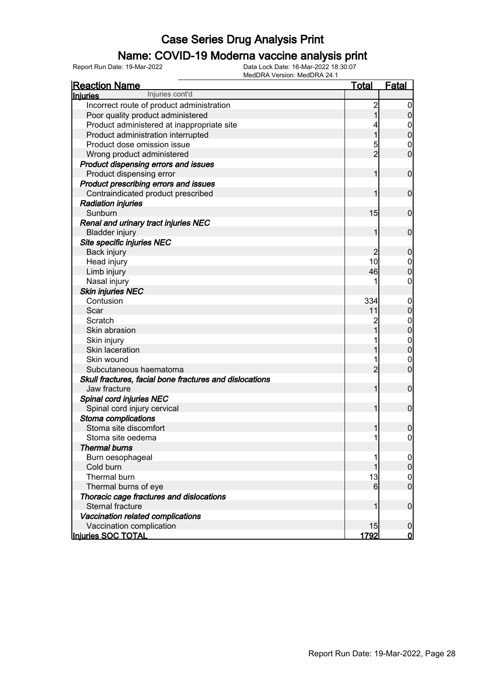### Name: COVID-19 Moderna vaccine analysis print

| <b>Reaction Name</b>                                    | <b>Total</b>   | <b>Fatal</b>     |
|---------------------------------------------------------|----------------|------------------|
| Injuries cont'd<br><b>Injuries</b>                      |                |                  |
| Incorrect route of product administration               | $\overline{c}$ | $\boldsymbol{0}$ |
| Poor quality product administered                       | 1              | $\boldsymbol{0}$ |
| Product administered at inappropriate site              |                | 0                |
| Product administration interrupted                      |                | $\mathbf 0$      |
| Product dose omission issue                             | 5              | 0                |
| Wrong product administered                              | $\overline{2}$ | $\overline{0}$   |
| Product dispensing errors and issues                    |                |                  |
| Product dispensing error                                | 1              | $\mathbf 0$      |
| Product prescribing errors and issues                   |                |                  |
| Contraindicated product prescribed                      | 1              | $\mathbf 0$      |
| <b>Radiation injuries</b>                               |                |                  |
| Sunburn                                                 | 15             | $\mathbf 0$      |
| Renal and urinary tract injuries NEC                    |                |                  |
| <b>Bladder injury</b>                                   | 1              | $\mathbf 0$      |
| Site specific injuries NEC                              |                |                  |
| Back injury                                             | $\overline{2}$ | $\mathbf 0$      |
| Head injury                                             | 10             | $\boldsymbol{0}$ |
| Limb injury                                             | 46             | $\boldsymbol{0}$ |
| Nasal injury                                            |                | 0                |
| <b>Skin injuries NEC</b>                                |                |                  |
| Contusion                                               | 334            | $\boldsymbol{0}$ |
| Scar                                                    | 11             | $\mathbf 0$      |
| Scratch                                                 |                | $\mathbf 0$      |
| Skin abrasion                                           |                | $\mathbf 0$      |
| Skin injury                                             |                | $\mathbf 0$      |
| Skin laceration                                         |                | $\mathbf 0$      |
| Skin wound                                              |                | 0                |
| Subcutaneous haematoma                                  | $\overline{2}$ | $\overline{0}$   |
| Skull fractures, facial bone fractures and dislocations |                |                  |
| Jaw fracture                                            | 1              | $\mathbf 0$      |
| Spinal cord injuries NEC                                |                |                  |
| Spinal cord injury cervical                             | 1              | $\mathbf 0$      |
| Stoma complications                                     |                |                  |
| Stoma site discomfort                                   | 1              | $\boldsymbol{0}$ |
| Stoma site oedema                                       | 1              | $\boldsymbol{0}$ |
| <b>Thermal burns</b>                                    |                |                  |
| Burn oesophageal                                        |                | $\overline{0}$   |
| Cold burn                                               |                | $\pmb{0}$        |
| Thermal burn                                            | 13             | $\mathbf 0$      |
| Thermal burns of eye                                    | $6 \mid$       | $\overline{0}$   |
| Thoracic cage fractures and dislocations                |                |                  |
| Sternal fracture                                        | 1              | $\boldsymbol{0}$ |
| Vaccination related complications                       |                |                  |
| Vaccination complication                                | 15             | $\mathbf 0$      |
| Injuries SOC TOTAL                                      | 1792           | 0                |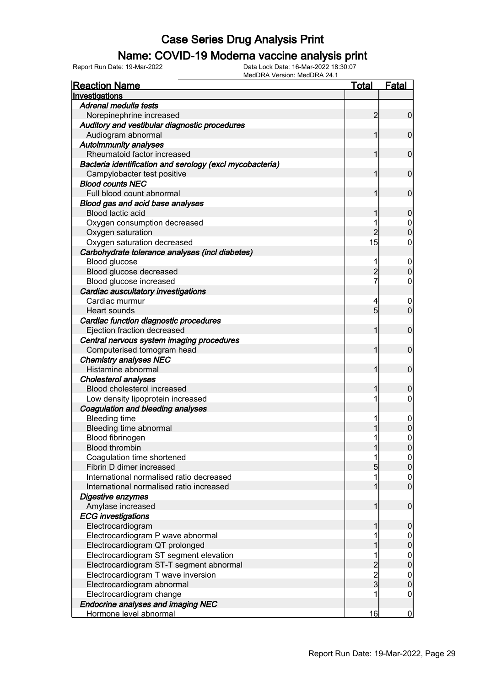#### Name: COVID-19 Moderna vaccine analysis print

Report Run Date: 19-Mar-2022 Data Lock Date: 16-Mar-2022 18:30:07

| <b>Reaction Name</b>                                     | <u>Total</u>    | <b>Fatal</b>                         |
|----------------------------------------------------------|-----------------|--------------------------------------|
| Investigations                                           |                 |                                      |
| Adrenal medulla tests                                    |                 |                                      |
| Norepinephrine increased                                 | 2               | $\overline{0}$                       |
| Auditory and vestibular diagnostic procedures            |                 |                                      |
| Audiogram abnormal                                       | 1               | $\mathbf 0$                          |
| <b>Autoimmunity analyses</b>                             |                 |                                      |
| Rheumatoid factor increased                              | 1               | $\mathbf 0$                          |
| Bacteria identification and serology (excl mycobacteria) |                 |                                      |
| Campylobacter test positive                              | 1               | $\mathbf 0$                          |
| <b>Blood counts NEC</b>                                  |                 |                                      |
| Full blood count abnormal                                | 1               | $\mathbf 0$                          |
| Blood gas and acid base analyses                         |                 |                                      |
| Blood lactic acid                                        |                 | 0                                    |
| Oxygen consumption decreased                             | 1               | 0                                    |
| Oxygen saturation                                        | $\overline{2}$  | $\overline{0}$                       |
| Oxygen saturation decreased                              | 15              | 0                                    |
| Carbohydrate tolerance analyses (incl diabetes)          |                 |                                      |
| Blood glucose                                            | 1               | $\mathbf 0$                          |
| Blood glucose decreased                                  | $\overline{c}$  | $\overline{0}$                       |
| Blood glucose increased                                  | 7               | 0                                    |
| Cardiac auscultatory investigations                      |                 |                                      |
| Cardiac murmur                                           | 4               | 0                                    |
| Heart sounds                                             | $5\overline{)}$ | $\overline{0}$                       |
| Cardiac function diagnostic procedures                   |                 |                                      |
| Ejection fraction decreased                              | 1               | $\mathbf 0$                          |
| Central nervous system imaging procedures                |                 |                                      |
| Computerised tomogram head                               | 1               | $\mathbf 0$                          |
| <b>Chemistry analyses NEC</b>                            |                 |                                      |
| Histamine abnormal                                       | 1               | $\mathbf 0$                          |
| <b>Cholesterol analyses</b>                              |                 |                                      |
| Blood cholesterol increased                              | 1               | 0                                    |
| Low density lipoprotein increased                        | 1               | $\mathbf 0$                          |
| Coagulation and bleeding analyses                        |                 |                                      |
| <b>Bleeding time</b>                                     | 1               | 0                                    |
| Bleeding time abnormal                                   |                 | 0                                    |
| Blood fibrinogen                                         | 1               | 0                                    |
| <b>Blood thrombin</b>                                    | 1               | 0                                    |
| Coagulation time shortened                               | 1               | $\overline{0}$                       |
| Fibrin D dimer increased                                 | 5               | $\mathbf 0$                          |
| International normalised ratio decreased                 | 1               |                                      |
| International normalised ratio increased                 | 1               | $\begin{matrix} 0 \\ 0 \end{matrix}$ |
| Digestive enzymes                                        |                 |                                      |
| Amylase increased                                        | $\mathbf{1}$    | $\mathbf 0$                          |
| <b>ECG</b> investigations                                |                 |                                      |
| Electrocardiogram                                        | 1               | $\boldsymbol{0}$                     |
| Electrocardiogram P wave abnormal                        |                 | $\boldsymbol{0}$                     |
| Electrocardiogram QT prolonged                           | 1               | $\boldsymbol{0}$                     |
| Electrocardiogram ST segment elevation                   | 1               | $\mathbf{0}$                         |
| Electrocardiogram ST-T segment abnormal                  |                 | $\overline{0}$                       |
| Electrocardiogram T wave inversion                       |                 | $\mathbf{0}$                         |
| Electrocardiogram abnormal                               | $\frac{2}{3}$   | $\mathbf 0$                          |
| Electrocardiogram change                                 |                 | 0                                    |
| <b>Endocrine analyses and imaging NEC</b>                |                 |                                      |
| Hormone level abnormal                                   | 16              | $\overline{0}$                       |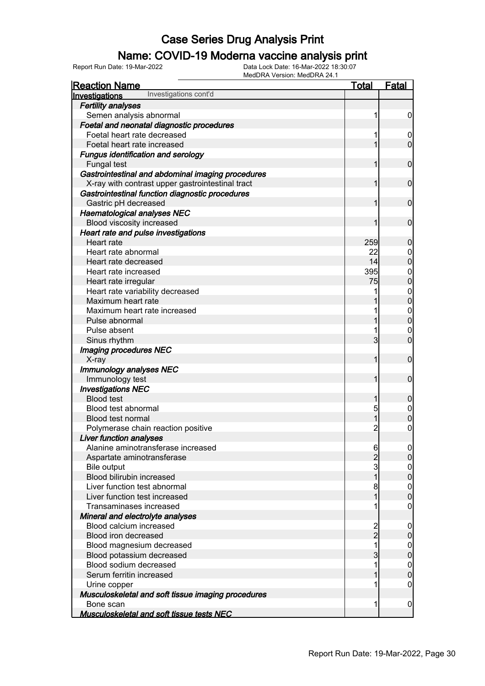### Name: COVID-19 Moderna vaccine analysis print

Report Run Date: 19-Mar-2022 Data Lock Date: 16-Mar-2022 18:30:07

| <u>Reaction Name</u>                                                 | <u>Total</u>        | <b>Fatal</b>      |
|----------------------------------------------------------------------|---------------------|-------------------|
| Investigations cont'd<br>Investigations                              |                     |                   |
| <b>Fertility analyses</b>                                            |                     |                   |
| Semen analysis abnormal                                              | 1                   | $\boldsymbol{0}$  |
| Foetal and neonatal diagnostic procedures                            |                     |                   |
| Foetal heart rate decreased                                          | 1                   | $\mathbf 0$       |
| Foetal heart rate increased                                          | 1                   | $\mathbf 0$       |
| <b>Fungus identification and serology</b>                            |                     |                   |
| Fungal test                                                          | 1                   | $\mathbf 0$       |
| Gastrointestinal and abdominal imaging procedures                    |                     |                   |
| X-ray with contrast upper gastrointestinal tract                     |                     | $\mathbf 0$       |
| Gastrointestinal function diagnostic procedures                      |                     |                   |
| Gastric pH decreased                                                 | 1                   | $\mathbf 0$       |
| <b>Haematological analyses NEC</b>                                   |                     |                   |
| Blood viscosity increased                                            | 1                   | $\mathbf 0$       |
| Heart rate and pulse investigations                                  |                     |                   |
| Heart rate                                                           | 259                 | 0                 |
| Heart rate abnormal                                                  | 22                  | $\mathbf 0$       |
| Heart rate decreased                                                 | 14                  | 0                 |
| Heart rate increased                                                 | 395                 | $\mathbf 0$       |
| Heart rate irregular                                                 | 75                  | 0                 |
| Heart rate variability decreased                                     | 1                   | $\mathbf{0}$      |
| Maximum heart rate                                                   |                     | 0                 |
| Maximum heart rate increased                                         |                     | $\mathbf{0}$      |
| Pulse abnormal                                                       |                     | 0                 |
| Pulse absent                                                         |                     | $\mathbf 0$       |
| Sinus rhythm                                                         | 3                   | $\overline{0}$    |
| Imaging procedures NEC                                               |                     |                   |
| X-ray                                                                | 1                   | $\mathbf 0$       |
| Immunology analyses NEC                                              |                     |                   |
| Immunology test                                                      | 1                   | $\mathbf 0$       |
| <b>Investigations NEC</b>                                            |                     |                   |
| <b>Blood test</b>                                                    | 1                   | 0                 |
| Blood test abnormal                                                  | 5                   | $\mathbf 0$       |
| <b>Blood test normal</b>                                             | 1                   | 0                 |
| Polymerase chain reaction positive                                   | 2                   | 0                 |
| <b>Liver function analyses</b><br>Alanine aminotransferase increased |                     |                   |
| Aspartate aminotransferase                                           | 6<br>$\overline{2}$ | <sub>0</sub><br>0 |
| Bile output                                                          | 3                   |                   |
| Blood bilirubin increased                                            |                     | $\mathbf 0$<br>0  |
| Liver function test abnormal                                         | 8                   | $\mathbf 0$       |
| Liver function test increased                                        | 1                   | 0                 |
| Transaminases increased                                              |                     | 0                 |
| Mineral and electrolyte analyses                                     |                     |                   |
| Blood calcium increased                                              | 2                   | $\mathbf 0$       |
| Blood iron decreased                                                 | $\overline{2}$      | 0                 |
| Blood magnesium decreased                                            | 1                   | $\mathbf 0$       |
| Blood potassium decreased                                            | 3                   | 0                 |
| Blood sodium decreased                                               | 1                   | 0                 |
| Serum ferritin increased                                             |                     | 0                 |
| Urine copper                                                         |                     | 0                 |
| Musculoskeletal and soft tissue imaging procedures                   |                     |                   |
| Bone scan                                                            | 1                   | 0                 |
| <b>Musculoskeletal and soft tissue tests NEC</b>                     |                     |                   |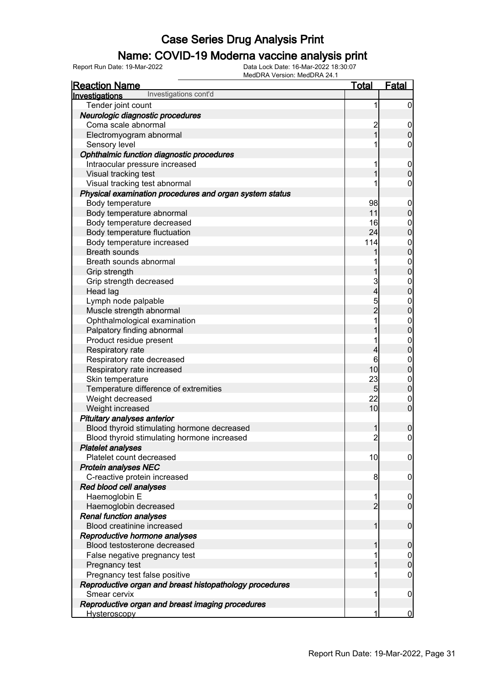### Name: COVID-19 Moderna vaccine analysis print

| <b>Reaction Name</b>                                    | <u>Total</u>            | <b>Fatal</b>        |
|---------------------------------------------------------|-------------------------|---------------------|
| Investigations cont'd<br><b>Investigations</b>          |                         |                     |
| Tender joint count                                      | 1                       | $\mathbf 0$         |
| Neurologic diagnostic procedures                        |                         |                     |
| Coma scale abnormal                                     | $\overline{c}$          | $\mathbf 0$         |
| Electromyogram abnormal                                 | $\overline{1}$          | $\pmb{0}$           |
| Sensory level                                           |                         | $\boldsymbol{0}$    |
| Ophthalmic function diagnostic procedures               |                         |                     |
| Intraocular pressure increased                          | 1                       | $\boldsymbol{0}$    |
| Visual tracking test                                    | 1                       | $\mathbf 0$         |
| Visual tracking test abnormal                           |                         | $\pmb{0}$           |
| Physical examination procedures and organ system status |                         |                     |
| Body temperature                                        | 98                      | $\mathbf 0$         |
| Body temperature abnormal                               | 11                      | $\pmb{0}$           |
| Body temperature decreased                              | 16                      |                     |
| Body temperature fluctuation                            | 24                      | $0$<br>0            |
| Body temperature increased                              | 114                     |                     |
| <b>Breath sounds</b>                                    | 1                       | $0$ 0               |
| Breath sounds abnormal                                  | 1                       |                     |
| Grip strength                                           | 1                       | $0\atop 0$          |
| Grip strength decreased                                 | 3                       |                     |
| Head lag                                                | $\overline{\mathbf{4}}$ | $0\atop 0$          |
| Lymph node palpable                                     | 5                       |                     |
| Muscle strength abnormal                                | $\overline{2}$          | $0\atop 0$          |
| Ophthalmological examination                            | 1                       |                     |
| Palpatory finding abnormal                              | 1                       | $0$<br>0            |
| Product residue present                                 | 1                       |                     |
| Respiratory rate                                        | 4                       | $0$<br>0            |
| Respiratory rate decreased                              | 6                       |                     |
| Respiratory rate increased                              | 10                      | $0$<br>0            |
| Skin temperature                                        | 23                      | $\boldsymbol{0}$    |
| Temperature difference of extremities                   | $5\overline{)}$         | $\overline{0}$      |
| Weight decreased                                        | 22                      | $\boldsymbol{0}$    |
| Weight increased                                        | 10                      | $\overline{0}$      |
| Pituitary analyses anterior                             |                         |                     |
| Blood thyroid stimulating hormone decreased             | 1                       | $\boldsymbol{0}$    |
| Blood thyroid stimulating hormone increased             | $\overline{2}$          | $\mathsf{O}\xspace$ |
| <b>Platelet analyses</b>                                |                         |                     |
| Platelet count decreased                                | 10                      | $\overline{0}$      |
| <b>Protein analyses NEC</b>                             |                         |                     |
| C-reactive protein increased                            | 8                       | $\mathbf 0$         |
| Red blood cell analyses                                 |                         |                     |
| Haemoglobin E                                           | 1                       | $\mathbf 0$         |
| Haemoglobin decreased                                   | $\overline{2}$          | $\overline{0}$      |
| <b>Renal function analyses</b>                          |                         |                     |
| Blood creatinine increased                              | 1                       | $\boldsymbol{0}$    |
| Reproductive hormone analyses                           |                         |                     |
| Blood testosterone decreased                            | 1                       | $\mathbf 0$         |
| False negative pregnancy test                           |                         | $\overline{0}$      |
| Pregnancy test                                          | 1                       | $\mathbf 0$         |
| Pregnancy test false positive                           |                         | $\mathbf 0$         |
| Reproductive organ and breast histopathology procedures |                         |                     |
| Smear cervix                                            | 1                       | $\mathbf 0$         |
| Reproductive organ and breast imaging procedures        |                         |                     |
| Hysteroscopy                                            | 1                       | $\overline{0}$      |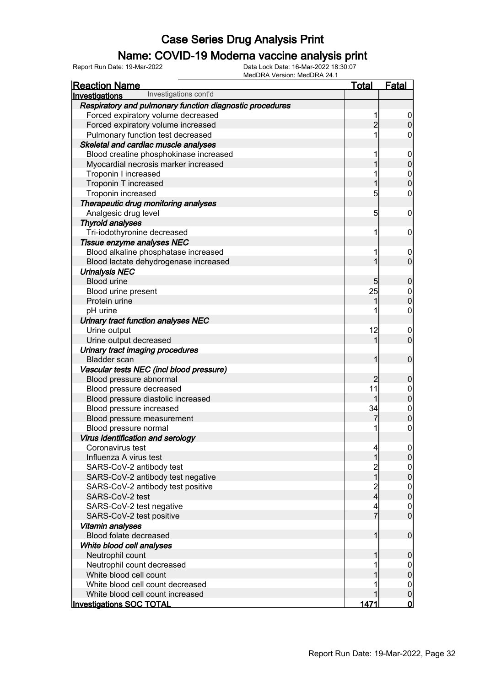#### Name: COVID-19 Moderna vaccine analysis print

| <b>Reaction Name</b>                                     | <b>Total</b>            | <b>Fatal</b>                         |
|----------------------------------------------------------|-------------------------|--------------------------------------|
| Investigations cont'd<br>Investigations                  |                         |                                      |
| Respiratory and pulmonary function diagnostic procedures |                         |                                      |
| Forced expiratory volume decreased                       |                         | $\overline{0}$                       |
| Forced expiratory volume increased                       | $\overline{2}$          | $\overline{0}$                       |
| Pulmonary function test decreased                        |                         | 0                                    |
| Skeletal and cardiac muscle analyses                     |                         |                                      |
| Blood creatine phosphokinase increased                   |                         | $\mathbf 0$                          |
| Myocardial necrosis marker increased                     |                         | $\mathbf 0$                          |
| Troponin I increased                                     |                         |                                      |
| Troponin T increased                                     |                         | $0\atop 0$                           |
| Troponin increased                                       | 5                       | $\mathbf 0$                          |
| Therapeutic drug monitoring analyses                     |                         |                                      |
| Analgesic drug level                                     | 5                       | $\mathbf 0$                          |
| <b>Thyroid analyses</b>                                  |                         |                                      |
| Tri-iodothyronine decreased                              | 1                       | $\mathbf 0$                          |
| Tissue enzyme analyses NEC                               |                         |                                      |
| Blood alkaline phosphatase increased                     |                         | $\boldsymbol{0}$                     |
| Blood lactate dehydrogenase increased                    |                         | $\overline{0}$                       |
| <b>Urinalysis NEC</b>                                    |                         |                                      |
| <b>Blood urine</b>                                       | 5                       | $\boldsymbol{0}$                     |
| Blood urine present                                      | 25                      | $\boldsymbol{0}$                     |
| Protein urine                                            |                         | $\overline{0}$                       |
| pH urine                                                 |                         | $\mathbf 0$                          |
| Urinary tract function analyses NEC                      |                         |                                      |
| Urine output                                             | 12                      | $\boldsymbol{0}$                     |
| Urine output decreased                                   |                         | $\overline{0}$                       |
| Urinary tract imaging procedures                         |                         |                                      |
| <b>Bladder</b> scan                                      | 1                       | $\mathbf 0$                          |
| Vascular tests NEC (incl blood pressure)                 |                         |                                      |
| Blood pressure abnormal                                  | $\overline{2}$          | $\boldsymbol{0}$                     |
| Blood pressure decreased                                 | 11                      | $\boldsymbol{0}$                     |
| Blood pressure diastolic increased                       | 1                       | $\overline{0}$                       |
| Blood pressure increased                                 | 34                      |                                      |
| Blood pressure measurement                               | 7                       | $\begin{matrix} 0 \\ 0 \end{matrix}$ |
| Blood pressure normal                                    |                         | $\boldsymbol{0}$                     |
| Virus identification and serology                        |                         |                                      |
| Coronavirus test                                         | 4                       | 0                                    |
| Influenza A virus test                                   |                         | $\overline{0}$                       |
| SARS-CoV-2 antibody test                                 |                         |                                      |
| SARS-CoV-2 antibody test negative                        | $\overline{1}$          | $0\atop 0$                           |
| SARS-CoV-2 antibody test positive                        | $\overline{\mathbf{c}}$ |                                      |
| SARS-CoV-2 test                                          | 4                       | $\begin{matrix} 0 \\ 0 \end{matrix}$ |
| SARS-CoV-2 test negative                                 | 4                       | $\overline{0}$                       |
| SARS-CoV-2 test positive                                 | 7                       | $\overline{0}$                       |
| Vitamin analyses                                         |                         |                                      |
| Blood folate decreased                                   | 1                       | $\boldsymbol{0}$                     |
| White blood cell analyses                                |                         |                                      |
| Neutrophil count                                         |                         | $\boldsymbol{0}$                     |
| Neutrophil count decreased                               |                         | $\overline{0}$                       |
| White blood cell count                                   |                         | $\mathbf 0$                          |
| White blood cell count decreased                         |                         | $\mathbf 0$                          |
| White blood cell count increased                         |                         | $\pmb{0}$                            |
| <b>Investigations SOC TOTAL</b>                          | <u> 1471</u>            | $\overline{\mathbf{0}}$              |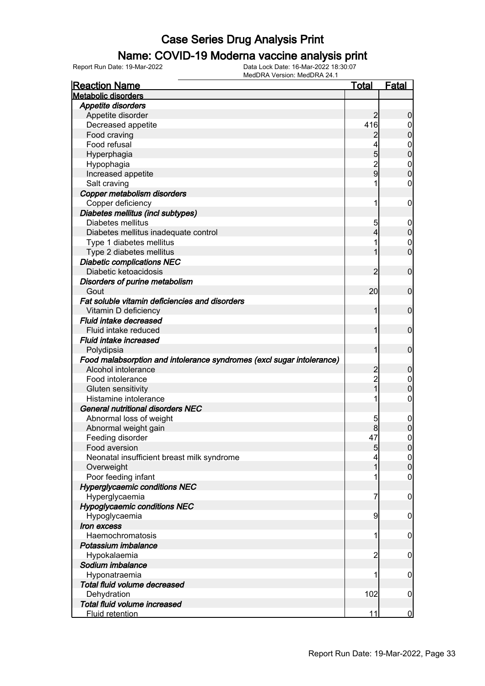#### Name: COVID-19 Moderna vaccine analysis print

| <b>Reaction Name</b>                                                  | <b>Total</b>   | <u>Fatal</u>     |
|-----------------------------------------------------------------------|----------------|------------------|
| <b>Metabolic disorders</b>                                            |                |                  |
| <b>Appetite disorders</b>                                             |                |                  |
| Appetite disorder                                                     | 2              | $\boldsymbol{0}$ |
| Decreased appetite                                                    | 416            | 0                |
| Food craving                                                          | 2              | $\boldsymbol{0}$ |
| Food refusal                                                          |                | $\mathbf 0$      |
| Hyperphagia                                                           | 5              | $\mathbf 0$      |
| Hypophagia                                                            |                | $\mathbf{0}$     |
| Increased appetite                                                    | $\frac{2}{9}$  | $\mathbf 0$      |
| Salt craving                                                          |                | $\mathbf 0$      |
| Copper metabolism disorders                                           |                |                  |
| Copper deficiency                                                     | 1              | $\mathbf 0$      |
| Diabetes mellitus (incl subtypes)                                     |                |                  |
| Diabetes mellitus                                                     | 5              | $\boldsymbol{0}$ |
| Diabetes mellitus inadequate control                                  | 4              | $\mathbf 0$      |
| Type 1 diabetes mellitus                                              | 1              | $\mathbf 0$      |
| Type 2 diabetes mellitus                                              | 1              | $\mathbf 0$      |
|                                                                       |                |                  |
| <b>Diabetic complications NEC</b>                                     |                |                  |
| Diabetic ketoacidosis                                                 | 2              | $\mathbf 0$      |
| Disorders of purine metabolism                                        |                |                  |
| Gout                                                                  | 20             | $\mathbf 0$      |
| Fat soluble vitamin deficiencies and disorders                        |                |                  |
| Vitamin D deficiency                                                  | 1              | $\mathbf 0$      |
| Fluid intake decreased                                                |                |                  |
| Fluid intake reduced                                                  | 1              | $\mathbf 0$      |
| <b>Fluid intake increased</b>                                         |                |                  |
| Polydipsia                                                            | 1              | $\mathbf 0$      |
| Food malabsorption and intolerance syndromes (excl sugar intolerance) |                |                  |
| Alcohol intolerance                                                   | $\overline{c}$ | $\mathbf 0$      |
| Food intolerance                                                      | $\overline{c}$ | $\mathbf 0$      |
| Gluten sensitivity                                                    | $\overline{1}$ | $\boldsymbol{0}$ |
| Histamine intolerance                                                 | 1              | $\boldsymbol{0}$ |
| <b>General nutritional disorders NEC</b>                              |                |                  |
| Abnormal loss of weight                                               | 5              | $\mathbf 0$      |
| Abnormal weight gain                                                  |                | $\mathbf 0$      |
| Feeding disorder                                                      | 47             | $\boldsymbol{0}$ |
| Food aversion                                                         | 5              | $\overline{0}$   |
| Neonatal insufficient breast milk syndrome                            | 4              | $\overline{0}$   |
| Overweight                                                            | 1              | $\boldsymbol{0}$ |
| Poor feeding infant                                                   |                | $\mathbf 0$      |
| <b>Hyperglycaemic conditions NEC</b>                                  |                |                  |
| Hyperglycaemia                                                        | 7              | $\mathbf 0$      |
| <b>Hypoglycaemic conditions NEC</b>                                   |                |                  |
| Hypoglycaemia                                                         | 9              | $\mathbf 0$      |
| Iron excess                                                           |                |                  |
| Haemochromatosis                                                      | 1              | $\mathbf 0$      |
| Potassium imbalance                                                   |                |                  |
| Hypokalaemia                                                          | $\overline{2}$ | $\mathbf 0$      |
| Sodium imbalance                                                      |                |                  |
| Hyponatraemia                                                         | 1              | $\mathbf 0$      |
| Total fluid volume decreased                                          |                |                  |
| Dehydration                                                           | 102            | $\mathbf 0$      |
| Total fluid volume increased                                          |                |                  |
| Fluid retention                                                       | 11             | $\overline{0}$   |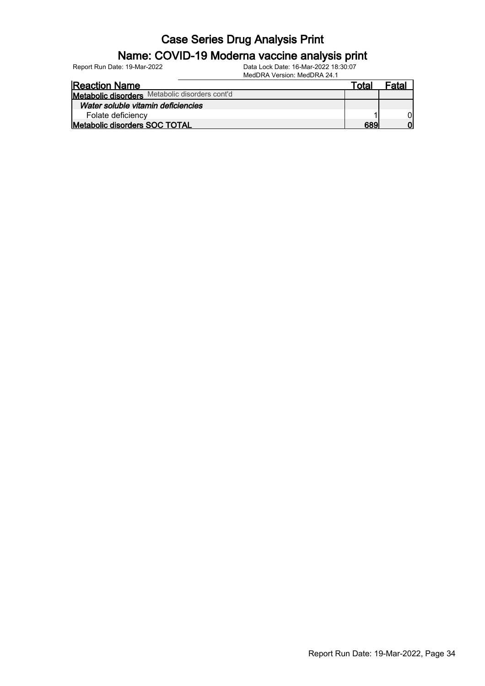# Name: COVID-19 Moderna vaccine analysis print

| Report Run Date: 19-Mar-2022 | Data Lock Date: 16-Mar-2022 18:30:07 |
|------------------------------|--------------------------------------|
|                              | MedDRA Version: MedDRA 24.1          |

| 1                                              |       |       |
|------------------------------------------------|-------|-------|
| <b>Reaction Name</b>                           | Total | Fatal |
| Metabolic disorders Metabolic disorders cont'd |       |       |
| Water soluble vitamin deficiencies             |       |       |
| Folate deficiency                              |       |       |
| Metabolic disorders SOC TOTAL                  | 689   | וח    |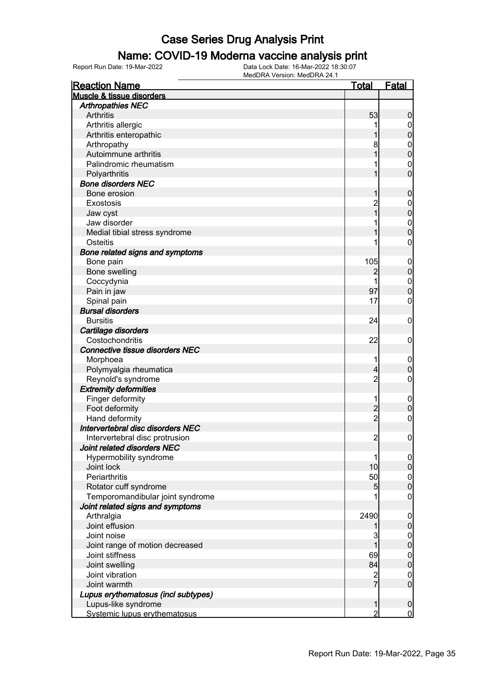#### Name: COVID-19 Moderna vaccine analysis print

Report Run Date: 19-Mar-2022 Data Lock Date: 16-Mar-2022 18:30:07

| <b>Reaction Name</b>                   | <b>Total</b>    | <b>Fatal</b>                     |
|----------------------------------------|-----------------|----------------------------------|
| Muscle & tissue disorders              |                 |                                  |
| <b>Arthropathies NEC</b>               |                 |                                  |
| Arthritis                              | 53              | $\boldsymbol{0}$                 |
| Arthritis allergic                     |                 | $\overline{0}$                   |
| Arthritis enteropathic                 | 1               | $\mathbf 0$                      |
| Arthropathy                            | 8               |                                  |
| Autoimmune arthritis                   | 1               | $0\atop 0$                       |
| Palindromic rheumatism                 | 1               | $\mathbf{0}$                     |
| Polyarthritis                          | 1               | $\overline{0}$                   |
| <b>Bone disorders NEC</b>              |                 |                                  |
| Bone erosion                           | 1               | $\mathbf 0$                      |
| Exostosis                              | $\overline{2}$  |                                  |
| Jaw cyst                               | $\overline{1}$  | $0\atop 0$                       |
| Jaw disorder                           | 1               |                                  |
| Medial tibial stress syndrome          | 1               | $\begin{matrix}0\\0\end{matrix}$ |
| Osteitis                               | 1               | $\mathbf 0$                      |
| Bone related signs and symptoms        |                 |                                  |
| Bone pain                              | 105             |                                  |
| Bone swelling                          | 2               | $\begin{matrix}0\\0\end{matrix}$ |
| Coccydynia                             |                 |                                  |
| Pain in jaw                            | 97              | $\begin{matrix}0\\0\end{matrix}$ |
| Spinal pain                            | 17              | $\mathbf 0$                      |
| <b>Bursal disorders</b>                |                 |                                  |
| <b>Bursitis</b>                        | 24              | $\boldsymbol{0}$                 |
| Cartilage disorders                    |                 |                                  |
| Costochondritis                        | 22              | $\mathbf 0$                      |
| <b>Connective tissue disorders NEC</b> |                 |                                  |
| Morphoea                               | 1               | $\mathbf 0$                      |
| Polymyalgia rheumatica                 | $\overline{4}$  | $\mathbf 0$                      |
| Reynold's syndrome                     | $\overline{2}$  | $\mathbf 0$                      |
| <b>Extremity deformities</b>           |                 |                                  |
| Finger deformity                       | 1               | $\boldsymbol{0}$                 |
| Foot deformity                         |                 | $\mathbf 0$                      |
| Hand deformity                         | $\frac{2}{2}$   | $\mathbf 0$                      |
| Intervertebral disc disorders NEC      |                 |                                  |
| Intervertebral disc protrusion         | $\overline{2}$  | $\boldsymbol{0}$                 |
| Joint related disorders NEC            |                 |                                  |
| Hypermobility syndrome                 | 1               | $\overline{0}$                   |
| Joint lock                             | 10              | $\boldsymbol{0}$                 |
| Periarthritis                          | 50              | $\boldsymbol{0}$                 |
| Rotator cuff syndrome                  | $5\overline{)}$ | $\mathbf 0$                      |
| Temporomandibular joint syndrome       |                 | $\boldsymbol{0}$                 |
| Joint related signs and symptoms       |                 |                                  |
| Arthralgia                             | 2490            | $\mathbf 0$                      |
| Joint effusion                         |                 | $\pmb{0}$                        |
| Joint noise                            | 3               | $\mathbf 0$                      |
| Joint range of motion decreased        |                 | $\mathbf 0$                      |
| Joint stiffness                        | 69              | $\boldsymbol{0}$                 |
| Joint swelling                         | 84              | $\mathbf 0$                      |
| Joint vibration                        | $\overline{c}$  | $\mathbf 0$                      |
| Joint warmth                           | $\overline{7}$  | $\mathbf 0$                      |
| Lupus erythematosus (incl subtypes)    |                 |                                  |
| Lupus-like syndrome                    | 1               | $\mathbf 0$                      |
| Systemic lupus erythematosus           | $\overline{2}$  | $\overline{0}$                   |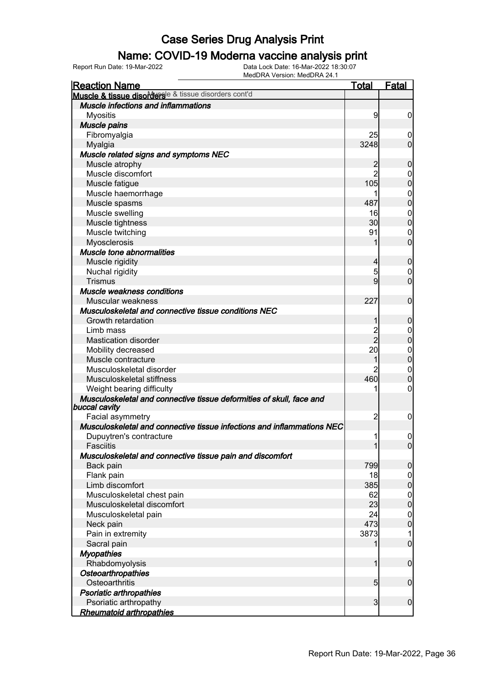### Name: COVID-19 Moderna vaccine analysis print

| <b>Reaction Name</b>                                                                  | <b>Total</b>   | <b>Fatal</b>     |
|---------------------------------------------------------------------------------------|----------------|------------------|
| Muscle & tissue disorderse & tissue disorders cont'd                                  |                |                  |
| <b>Muscle infections and inflammations</b>                                            |                |                  |
| <b>Myositis</b>                                                                       | 9              | $\boldsymbol{0}$ |
| Muscle pains                                                                          |                |                  |
| Fibromyalgia                                                                          | 25             | $\boldsymbol{0}$ |
| Myalgia                                                                               | 3248           | $\mathbf 0$      |
| Muscle related signs and symptoms NEC                                                 |                |                  |
| Muscle atrophy                                                                        | $\overline{2}$ | $\mathbf 0$      |
| Muscle discomfort                                                                     | $\overline{2}$ | 0                |
| Muscle fatigue                                                                        | 105            | $\mathbf 0$      |
| Muscle haemorrhage                                                                    |                | $\boldsymbol{0}$ |
| Muscle spasms                                                                         | 487            | $\mathbf 0$      |
| Muscle swelling                                                                       | 16             | $\boldsymbol{0}$ |
| Muscle tightness                                                                      | 30             | $\mathbf 0$      |
| Muscle twitching                                                                      | 91             | 0                |
| Myosclerosis                                                                          | 1              | $\mathbf 0$      |
| Muscle tone abnormalities                                                             |                |                  |
| Muscle rigidity                                                                       | $\overline{4}$ | $\mathbf 0$      |
| Nuchal rigidity                                                                       | 5              | 0                |
| <b>Trismus</b>                                                                        | 9              | $\mathbf 0$      |
| Muscle weakness conditions                                                            |                |                  |
| Muscular weakness                                                                     | 227            | $\mathbf 0$      |
| Musculoskeletal and connective tissue conditions NEC                                  |                |                  |
| Growth retardation                                                                    | 1              | $\mathbf 0$      |
| Limb mass                                                                             |                | $\boldsymbol{0}$ |
| <b>Mastication disorder</b>                                                           | 2<br>2         | $\mathbf 0$      |
| Mobility decreased                                                                    | 20             | $\mathbf 0$      |
| Muscle contracture                                                                    | 1              | $\pmb{0}$        |
| Musculoskeletal disorder                                                              | $\overline{2}$ | $\boldsymbol{0}$ |
| Musculoskeletal stiffness                                                             | 460            | $\boldsymbol{0}$ |
| Weight bearing difficulty                                                             |                | 0                |
| Musculoskeletal and connective tissue deformities of skull, face and<br>buccal cavity |                |                  |
| Facial asymmetry                                                                      | 2              | 0                |
| Musculoskeletal and connective tissue infections and inflammations NEC                |                |                  |
| Dupuytren's contracture                                                               | 1              | $\mathbf 0$      |
| Fasciitis                                                                             | $\mathbf{1}$   | $\overline{0}$   |
| Musculoskeletal and connective tissue pain and discomfort                             |                |                  |
| Back pain                                                                             | 799            | 0                |
| Flank pain                                                                            | 18             | $\mathbf 0$      |
| Limb discomfort                                                                       | 385            | $\mathbf 0$      |
| Musculoskeletal chest pain                                                            | 62             | $\mathbf 0$      |
| Musculoskeletal discomfort                                                            | 23             | $\mathbf 0$      |
| Musculoskeletal pain                                                                  | 24             | $\mathbf 0$      |
| Neck pain                                                                             | 473            | $\mathbf 0$      |
| Pain in extremity                                                                     | 3873           | 1                |
| Sacral pain                                                                           |                | $\mathbf 0$      |
| <b>Myopathies</b>                                                                     |                |                  |
| Rhabdomyolysis                                                                        | 1              | $\boldsymbol{0}$ |
| Osteoarthropathies                                                                    |                |                  |
| Osteoarthritis                                                                        | 5 <sub>5</sub> | $\boldsymbol{0}$ |
| <b>Psoriatic arthropathies</b>                                                        |                |                  |
| Psoriatic arthropathy                                                                 | $\overline{3}$ | $\boldsymbol{0}$ |
| <b>Rheumatoid arthropathies</b>                                                       |                |                  |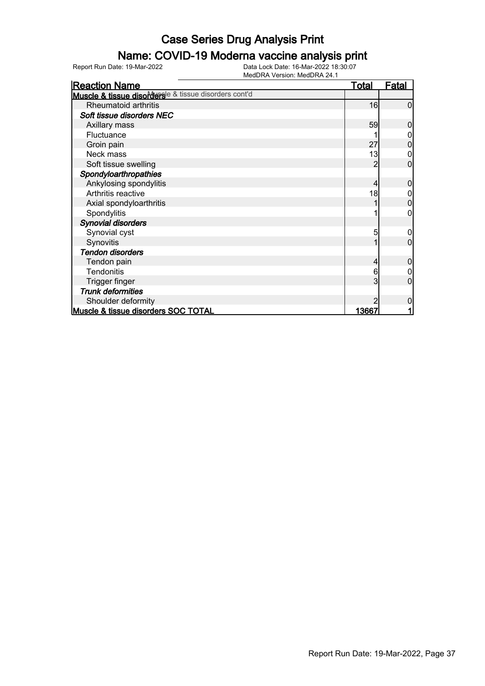### Name: COVID-19 Moderna vaccine analysis print

| <b>Reaction Name</b>                                  | <u>Total</u> | <b>Fatal</b> |
|-------------------------------------------------------|--------------|--------------|
| Muscle & tissue disordersle & tissue disorders cont'd |              |              |
| Rheumatoid arthritis                                  | 16           | $\Omega$     |
| Soft tissue disorders NEC                             |              |              |
| Axillary mass                                         | 59           | 0            |
| Fluctuance                                            |              |              |
| Groin pain                                            | 27           | 0            |
| Neck mass                                             | 13           | 0            |
| Soft tissue swelling                                  |              | 0            |
| Spondyloarthropathies                                 |              |              |
| Ankylosing spondylitis                                | 4            | 0            |
| Arthritis reactive                                    | 18           |              |
| Axial spondyloarthritis                               |              | 0            |
| Spondylitis                                           |              | 0            |
| <b>Synovial disorders</b>                             |              |              |
| Synovial cyst                                         | 5            | 0            |
| Synovitis                                             |              | 0            |
| <b>Tendon disorders</b>                               |              |              |
| Tendon pain                                           | 4            | 0            |
| <b>Tendonitis</b>                                     | 6            |              |
| Trigger finger                                        | 3            | 0            |
| <b>Trunk deformities</b>                              |              |              |
| Shoulder deformity                                    |              | 0            |
| Muscle & tissue disorders SOC TOTAL                   | 13667        |              |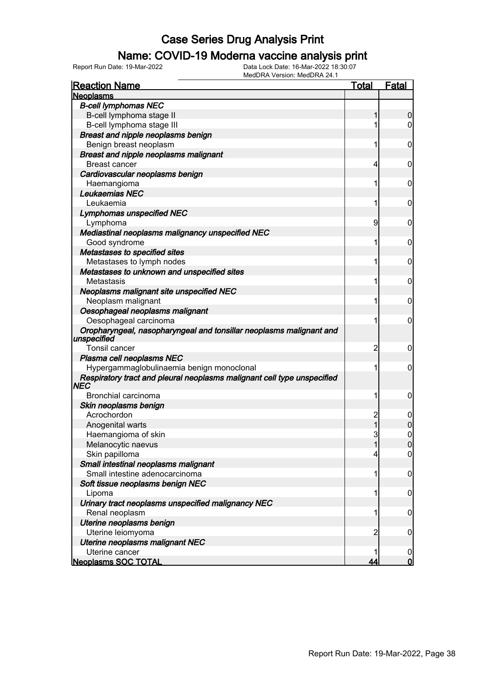#### Name: COVID-19 Moderna vaccine analysis print

| <b>Reaction Name</b>                                                    | <u>Total</u>                     | <b>Fatal</b>                 |
|-------------------------------------------------------------------------|----------------------------------|------------------------------|
| <b>Neoplasms</b>                                                        |                                  |                              |
| <b>B-cell lymphomas NEC</b>                                             |                                  |                              |
| B-cell lymphoma stage II                                                | 1                                | 0                            |
| B-cell lymphoma stage III                                               | 1                                | 0                            |
| Breast and nipple neoplasms benign                                      |                                  |                              |
| Benign breast neoplasm                                                  | 1                                | 0                            |
| <b>Breast and nipple neoplasms malignant</b>                            |                                  |                              |
| <b>Breast cancer</b>                                                    | 4                                | 0                            |
| Cardiovascular neoplasms benign                                         |                                  |                              |
| Haemangioma                                                             | 1                                | 0                            |
| Leukaemias NEC                                                          |                                  |                              |
| Leukaemia                                                               | 1                                | 0                            |
| <b>Lymphomas unspecified NEC</b>                                        |                                  |                              |
| Lymphoma                                                                | 9                                | 0                            |
| Mediastinal neoplasms malignancy unspecified NEC                        |                                  |                              |
| Good syndrome                                                           | 1                                | 0                            |
| Metastases to specified sites                                           |                                  |                              |
| Metastases to lymph nodes                                               | 1                                | 0                            |
| Metastases to unknown and unspecified sites                             |                                  |                              |
| Metastasis                                                              | 1                                | 0                            |
| Neoplasms malignant site unspecified NEC                                |                                  |                              |
| Neoplasm malignant                                                      | 1                                | 0                            |
| Oesophageal neoplasms malignant                                         |                                  |                              |
| Oesophageal carcinoma                                                   | 1                                | 0                            |
| Oropharyngeal, nasopharyngeal and tonsillar neoplasms malignant and     |                                  |                              |
| unspecified                                                             |                                  |                              |
| <b>Tonsil cancer</b>                                                    | $\overline{c}$                   | 0                            |
| Plasma cell neoplasms NEC                                               |                                  |                              |
| Hypergammaglobulinaemia benign monoclonal                               | 1                                | 0                            |
| Respiratory tract and pleural neoplasms malignant cell type unspecified |                                  |                              |
| <b>NEC</b><br>Bronchial carcinoma                                       |                                  |                              |
|                                                                         | 1                                | 0                            |
| Skin neoplasms benign                                                   |                                  |                              |
| Acrochordon                                                             | $\overline{c}$<br>$\overline{1}$ | 0                            |
| Anogenital warts                                                        |                                  | 0                            |
| Haemangioma of skin                                                     | 3<br>$\overline{1}$              | $\boldsymbol{0}$<br>$\Omega$ |
| Melanocytic naevus                                                      |                                  |                              |
| Skin papilloma                                                          | 4                                | $\overline{0}$               |
| Small intestinal neoplasms malignant                                    |                                  |                              |
| Small intestine adenocarcinoma                                          | 1                                | $\boldsymbol{0}$             |
| Soft tissue neoplasms benign NEC                                        |                                  |                              |
| Lipoma                                                                  | 1                                | 0                            |
| Urinary tract neoplasms unspecified malignancy NEC                      |                                  |                              |
| Renal neoplasm                                                          | 1                                | $\mathbf 0$                  |
| Uterine neoplasms benign                                                |                                  |                              |
| Uterine leiomyoma                                                       | 2                                | $\mathbf 0$                  |
| <b>Uterine neoplasms malignant NEC</b>                                  |                                  |                              |
| Uterine cancer                                                          |                                  | 0                            |
| <b>Neoplasms SOC TOTAL</b>                                              | 44                               | $\overline{0}$               |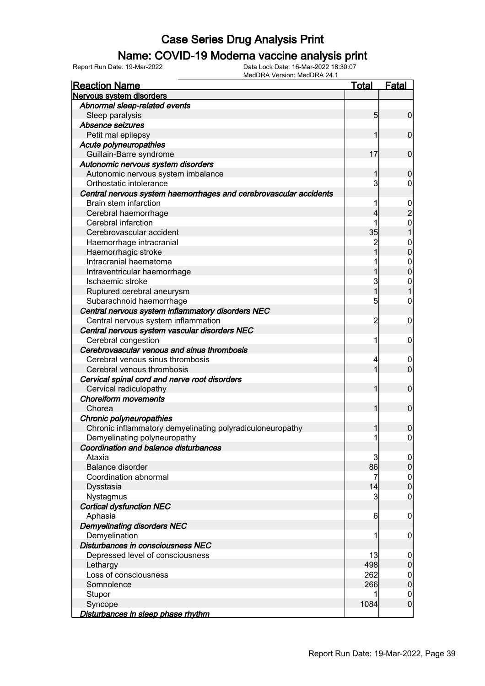#### Name: COVID-19 Moderna vaccine analysis print

| <b>Reaction Name</b>                                              | Total          | <b>Fatal</b>     |
|-------------------------------------------------------------------|----------------|------------------|
| Nervous system disorders                                          |                |                  |
| Abnormal sleep-related events                                     |                |                  |
| Sleep paralysis                                                   | 5 <sub>5</sub> | $\overline{0}$   |
| Absence seizures                                                  |                |                  |
| Petit mal epilepsy                                                |                | $\mathbf 0$      |
| Acute polyneuropathies                                            |                |                  |
| Guillain-Barre syndrome                                           | 17             | $\mathbf 0$      |
| Autonomic nervous system disorders                                |                |                  |
| Autonomic nervous system imbalance                                |                | 0                |
| Orthostatic intolerance                                           | 3              | 0                |
| Central nervous system haemorrhages and cerebrovascular accidents |                |                  |
| Brain stem infarction                                             | 1              | $\overline{0}$   |
| Cerebral haemorrhage                                              |                | $\overline{2}$   |
| Cerebral infarction                                               | 1              | 0                |
| Cerebrovascular accident                                          | 35             |                  |
| Haemorrhage intracranial                                          | 2              | $\mathbf 0$      |
| Haemorrhagic stroke                                               |                | 0                |
| Intracranial haematoma                                            |                | $\mathbf 0$      |
| Intraventricular haemorrhage                                      |                | 0                |
| Ischaemic stroke                                                  | 3              | 0                |
| Ruptured cerebral aneurysm                                        | 1              |                  |
| Subarachnoid haemorrhage                                          | 5              | 0                |
| Central nervous system inflammatory disorders NEC                 |                |                  |
| Central nervous system inflammation                               | 2              | 0                |
| Central nervous system vascular disorders NEC                     |                |                  |
| Cerebral congestion                                               | 1              | 0                |
| Cerebrovascular venous and sinus thrombosis                       |                |                  |
| Cerebral venous sinus thrombosis                                  | 4              |                  |
| Cerebral venous thrombosis                                        | 1              | 0<br>$\mathbf 0$ |
|                                                                   |                |                  |
| Cervical spinal cord and nerve root disorders                     | 1              |                  |
| Cervical radiculopathy<br><b>Choreiform movements</b>             |                | $\mathbf 0$      |
|                                                                   |                |                  |
| Chorea                                                            | 1              | $\mathbf 0$      |
| Chronic polyneuropathies                                          |                |                  |
| Chronic inflammatory demyelinating polyradiculoneuropathy         |                | 0                |
| Demyelinating polyneuropathy                                      | 1              | $\boldsymbol{0}$ |
| Coordination and balance disturbances                             |                |                  |
| Ataxia                                                            | 3              | $\overline{0}$   |
| <b>Balance disorder</b>                                           | 86             | $\overline{0}$   |
| Coordination abnormal                                             | 7              | $\mathbf 0$      |
| Dysstasia                                                         | 14             | $\overline{0}$   |
| Nystagmus                                                         | 3              | 0                |
| <b>Cortical dysfunction NEC</b>                                   |                |                  |
| Aphasia                                                           | 6              | $\mathbf 0$      |
| <b>Demyelinating disorders NEC</b>                                |                |                  |
| Demyelination                                                     | 1              | 0                |
| Disturbances in consciousness NEC                                 |                |                  |
| Depressed level of consciousness                                  | 13             | $\boldsymbol{0}$ |
| Lethargy                                                          | 498            | $\mathbf 0$      |
| Loss of consciousness                                             | 262            | $\mathbf 0$      |
| Somnolence                                                        | 266            | $\mathbf 0$      |
| Stupor                                                            |                | $\mathbf{0}$     |
| Syncope                                                           | 1084           | $\mathbf 0$      |
| Disturbances in sleep phase rhythm                                |                |                  |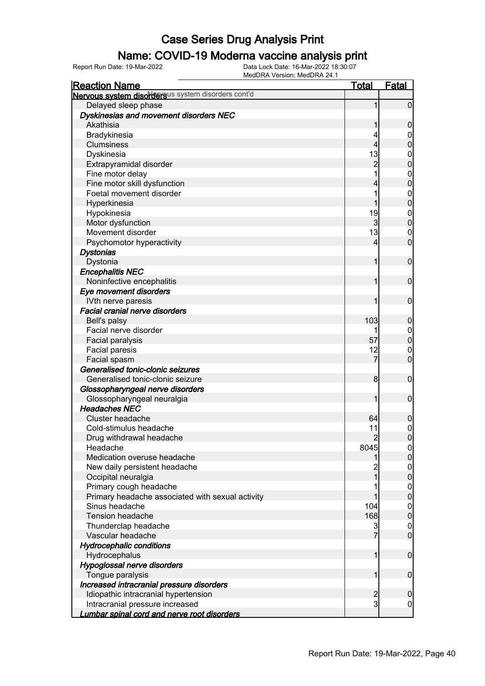### Name: COVID-19 Moderna vaccine analysis print

| <b>Reaction Name</b>                               | <b>Total</b>   | <b>Fatal</b>                   |
|----------------------------------------------------|----------------|--------------------------------|
| Nervous system disordersus system disorders cont'd |                |                                |
| Delayed sleep phase                                | 1              | $\overline{0}$                 |
| Dyskinesias and movement disorders NEC             |                |                                |
| Akathisia                                          |                | $\boldsymbol{0}$               |
| Bradykinesia                                       |                | 0                              |
| <b>Clumsiness</b>                                  | 4              | $\boldsymbol{0}$               |
| Dyskinesia                                         | 13             | $\mathbf 0$                    |
| Extrapyramidal disorder                            | $\overline{c}$ | $\mathbf 0$                    |
| Fine motor delay                                   |                | $\mathbf 0$                    |
| Fine motor skill dysfunction                       | 4              | $\mathbf 0$                    |
| Foetal movement disorder                           |                | $\mathbf 0$                    |
| Hyperkinesia                                       |                | $\mathbf 0$                    |
| Hypokinesia                                        | 19             | $\mathbf 0$                    |
| Motor dysfunction                                  | 3              | $\mathbf 0$                    |
| Movement disorder                                  | 13             | $\mathbf 0$                    |
| Psychomotor hyperactivity                          | 4              | $\mathbf 0$                    |
| <b>Dystonias</b>                                   |                |                                |
| Dystonia                                           | 1              | $\mathbf 0$                    |
| <b>Encephalitis NEC</b>                            |                |                                |
| Noninfective encephalitis                          | 1              | $\mathbf 0$                    |
| Eye movement disorders                             |                |                                |
| IVth nerve paresis                                 | 1              | $\mathbf 0$                    |
| Facial cranial nerve disorders                     |                |                                |
| Bell's palsy                                       | 103            | $\mathbf 0$                    |
| Facial nerve disorder                              |                | 0                              |
| Facial paralysis                                   | 57             | $\pmb{0}$                      |
| Facial paresis                                     | 12             | $\mathbf 0$                    |
| Facial spasm                                       | 7              | $\mathbf 0$                    |
| Generalised tonic-clonic seizures                  |                |                                |
| Generalised tonic-clonic seizure                   | 8              | $\mathbf 0$                    |
|                                                    |                |                                |
| Glossopharyngeal nerve disorders                   | 1              | $\mathbf 0$                    |
| Glossopharyngeal neuralgia<br><b>Headaches NEC</b> |                |                                |
| Cluster headache                                   | 64             |                                |
| Cold-stimulus headache                             |                | $\boldsymbol{0}$               |
|                                                    | 11             | $\mathbf{0}$<br>$\overline{0}$ |
| Drug withdrawal headache                           | $\overline{2}$ |                                |
| Headache                                           | 8045           | 0                              |
| Medication overuse headache                        |                | $\overline{0}$                 |
| New daily persistent headache                      |                | $\mathbf 0$                    |
| Occipital neuralgia                                |                | $\mathbf 0$                    |
| Primary cough headache                             |                | $\overline{0}$                 |
| Primary headache associated with sexual activity   |                | $\pmb{0}$                      |
| Sinus headache                                     | 104            | $\overline{0}$                 |
| <b>Tension headache</b>                            | 168            | $\pmb{0}$                      |
| Thunderclap headache                               | 3              | $\overline{0}$                 |
| Vascular headache                                  | 7              | $\overline{0}$                 |
| <b>Hydrocephalic conditions</b>                    |                |                                |
| Hydrocephalus                                      | 1              | $\boldsymbol{0}$               |
| Hypoglossal nerve disorders                        |                |                                |
| Tongue paralysis                                   | 1              | $\boldsymbol{0}$               |
| Increased intracranial pressure disorders          |                |                                |
| Idiopathic intracranial hypertension               | $\overline{a}$ | $\mathbf 0$                    |
| Intracranial pressure increased                    | 3              | $\boldsymbol{0}$               |
| Lumbar spinal cord and nerve root disorders        |                |                                |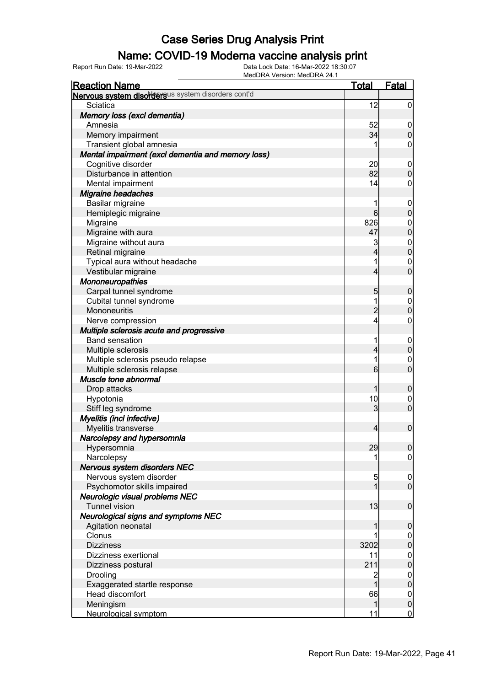### Name: COVID-19 Moderna vaccine analysis print

Report Run Date: 19-Mar-2022 Data Lock Date: 16-Mar-2022 18:30:07

| <b>Reaction Name</b>                               | <b>Total</b>    | <b>Fatal</b>     |
|----------------------------------------------------|-----------------|------------------|
| Nervous system disordersus system disorders cont'd |                 |                  |
| Sciatica                                           | 12              | $\boldsymbol{0}$ |
| Memory loss (excl dementia)                        |                 |                  |
| Amnesia                                            | 52              | $\boldsymbol{0}$ |
| Memory impairment                                  | 34              | $\boldsymbol{0}$ |
| Transient global amnesia                           |                 | 0                |
| Mental impairment (excl dementia and memory loss)  |                 |                  |
| Cognitive disorder                                 | 20              | $\mathbf 0$      |
| Disturbance in attention                           | 82              | $\boldsymbol{0}$ |
| Mental impairment                                  | 14              | $\mathbf 0$      |
| <b>Migraine headaches</b>                          |                 |                  |
| Basilar migraine                                   | 1               | $\mathbf 0$      |
| Hemiplegic migraine                                | $6 \mid$        | $\mathbf 0$      |
| Migraine                                           | 826             | $\boldsymbol{0}$ |
| Migraine with aura                                 | 47              | $\overline{0}$   |
| Migraine without aura                              | 3               | $0\atop 0$       |
| Retinal migraine                                   | 4               |                  |
| Typical aura without headache                      | 1               | $\mathbf 0$      |
| Vestibular migraine                                | 4               | $\overline{0}$   |
| Mononeuropathies                                   |                 |                  |
| Carpal tunnel syndrome                             | 5               | $\mathbf 0$      |
| Cubital tunnel syndrome                            | 1               | $\boldsymbol{0}$ |
| Mononeuritis                                       | $\overline{2}$  | $\mathbf 0$      |
| Nerve compression                                  | 4               | $\boldsymbol{0}$ |
| Multiple sclerosis acute and progressive           |                 |                  |
| <b>Band sensation</b>                              | 1               | $\mathbf 0$      |
| Multiple sclerosis                                 | 4               | $\boldsymbol{0}$ |
| Multiple sclerosis pseudo relapse                  | 1               | $\mathbf 0$      |
| Multiple sclerosis relapse                         | $6 \overline{}$ | $\overline{0}$   |
| Muscle tone abnormal                               |                 |                  |
| Drop attacks                                       | 1               | $\mathbf 0$      |
| Hypotonia                                          | 10              | $\mathbf 0$      |
| Stiff leg syndrome                                 | 3               | $\mathbf 0$      |
| Myelitis (incl infective)                          |                 |                  |
| Myelitis transverse                                | $\overline{4}$  | $\mathbf 0$      |
| Narcolepsy and hypersomnia                         |                 |                  |
| Hypersomnia                                        | 29              | 0                |
| Narcolepsy                                         |                 | $\overline{0}$   |
| Nervous system disorders NEC                       |                 |                  |
| Nervous system disorder                            | 5               | $\mathbf 0$      |
| Psychomotor skills impaired                        | 1               | $\overline{0}$   |
| Neurologic visual problems NEC                     |                 |                  |
| <b>Tunnel vision</b>                               | 13              | $\boldsymbol{0}$ |
| <b>Neurological signs and symptoms NEC</b>         |                 |                  |
| Agitation neonatal                                 |                 | $\mathbf 0$      |
| Clonus                                             |                 | $\overline{0}$   |
| <b>Dizziness</b>                                   | 3202            | $\pmb{0}$        |
| Dizziness exertional                               | 11              | $\boldsymbol{0}$ |
| Dizziness postural                                 | 211             | $\overline{0}$   |
| Drooling                                           | 2               | $\boldsymbol{0}$ |
| Exaggerated startle response                       | 1               | $\mathbf 0$      |
| Head discomfort                                    | 66              | $\overline{0}$   |
| Meningism                                          | 1               | $\pmb{0}$        |
| Neurological symptom                               | 11              | $\overline{0}$   |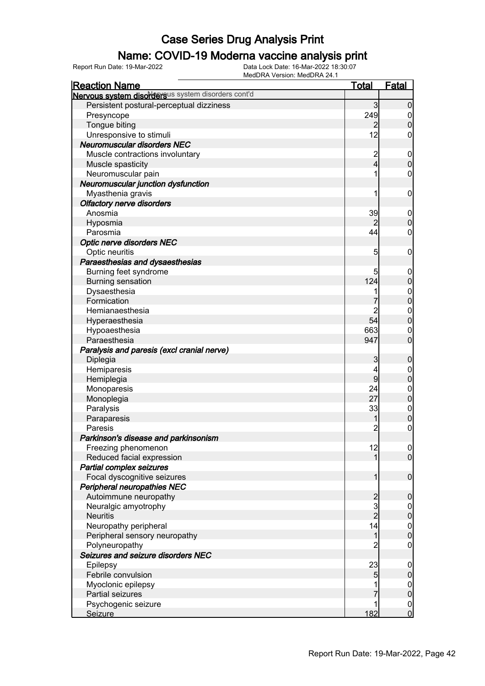### Name: COVID-19 Moderna vaccine analysis print

| <b>Reaction Name</b>                               | <b>Total</b>                               | <b>Fatal</b>                         |
|----------------------------------------------------|--------------------------------------------|--------------------------------------|
| Nervous system disordersus system disorders cont'd |                                            |                                      |
| Persistent postural-perceptual dizziness           | 3                                          | $\mathbf 0$                          |
| Presyncope                                         | 249                                        | $\boldsymbol{0}$                     |
| Tongue biting                                      | $\overline{2}$                             | $\boldsymbol{0}$                     |
| Unresponsive to stimuli                            | 12                                         | 0                                    |
| <b>Neuromuscular disorders NEC</b>                 |                                            |                                      |
| Muscle contractions involuntary                    |                                            | $\mathbf 0$                          |
| Muscle spasticity                                  | $\frac{2}{4}$                              | $\mathbf 0$                          |
| Neuromuscular pain                                 | 1                                          | $\boldsymbol{0}$                     |
| Neuromuscular junction dysfunction                 |                                            |                                      |
| Myasthenia gravis                                  | 1                                          | $\mathbf 0$                          |
| <b>Olfactory nerve disorders</b>                   |                                            |                                      |
| Anosmia                                            | 39                                         | $\mathbf 0$                          |
| Hyposmia                                           | 2                                          | $\boldsymbol{0}$                     |
| Parosmia                                           | 44                                         | $\mathbf 0$                          |
| <b>Optic nerve disorders NEC</b>                   |                                            |                                      |
| Optic neuritis                                     | 5                                          | $\mathbf 0$                          |
| Paraesthesias and dysaesthesias                    |                                            |                                      |
| Burning feet syndrome                              | 5                                          |                                      |
| <b>Burning sensation</b>                           | 124                                        | $\mathbf 0$<br>$\pmb{0}$             |
| Dysaesthesia                                       |                                            |                                      |
| Formication                                        |                                            | $0$ 0                                |
| Hemianaesthesia                                    |                                            |                                      |
|                                                    | 2<br>54                                    | $\mathbf{0}$<br>$\overline{0}$       |
| Hyperaesthesia                                     |                                            |                                      |
| Hypoaesthesia                                      | 663                                        | $\mathbf 0$                          |
| Paraesthesia                                       | 947                                        | $\overline{0}$                       |
| Paralysis and paresis (excl cranial nerve)         |                                            |                                      |
| Diplegia                                           | 3                                          | $\mathbf 0$                          |
| Hemiparesis                                        | 4                                          | $\mathbf 0$                          |
| Hemiplegia                                         | 9                                          | $\mathbf 0$                          |
| Monoparesis                                        | 24                                         | $\boldsymbol{0}$                     |
| Monoplegia                                         | 27                                         | $\boldsymbol{0}$                     |
| Paralysis                                          | 33                                         | $\boldsymbol{0}$                     |
| Paraparesis                                        | 1                                          | $\overline{0}$                       |
| Paresis                                            | $\overline{c}$                             | $\pmb{0}$                            |
| Parkinson's disease and parkinsonism               |                                            |                                      |
| Freezing phenomenon                                | 12                                         | 0                                    |
| Reduced facial expression                          | 1                                          | $\overline{0}$                       |
| Partial complex seizures                           |                                            |                                      |
| Focal dyscognitive seizures                        | 1                                          | $\boldsymbol{0}$                     |
| Peripheral neuropathies NEC                        |                                            |                                      |
| Autoimmune neuropathy                              | $\begin{array}{c} 2 \\ 3 \\ 2 \end{array}$ | $\boldsymbol{0}$                     |
| Neuralgic amyotrophy                               |                                            | $\overline{0}$                       |
| <b>Neuritis</b>                                    |                                            | $\mathbf 0$                          |
| Neuropathy peripheral                              | 14                                         | $\begin{matrix} 0 \\ 0 \end{matrix}$ |
| Peripheral sensory neuropathy                      | $\mathbf{1}$                               |                                      |
| Polyneuropathy                                     | $\overline{c}$                             | $\mathbf 0$                          |
| Seizures and seizure disorders NEC                 |                                            |                                      |
| Epilepsy                                           | 23                                         | $\mathbf 0$                          |
| Febrile convulsion                                 | 5                                          | $\pmb{0}$                            |
| Myoclonic epilepsy                                 |                                            | $\begin{matrix} 0 \\ 0 \end{matrix}$ |
| Partial seizures                                   | 7                                          |                                      |
| Psychogenic seizure                                | 1                                          | $\overline{0}$                       |
| <b>Seizure</b>                                     | 182                                        | $\mathbf 0$                          |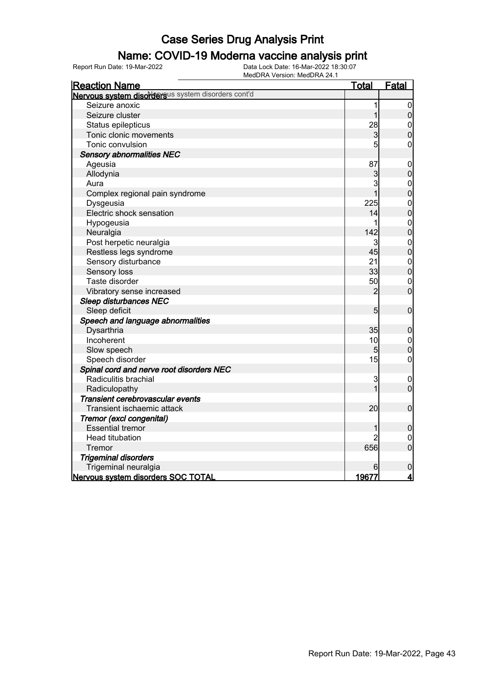#### Name: COVID-19 Moderna vaccine analysis print

Report Run Date: 19-Mar-2022 Data Lock Date: 16-Mar-2022 18:30:07

| <b>Reaction Name</b>                               | <u>Total</u>    | <b>Fatal</b>                         |
|----------------------------------------------------|-----------------|--------------------------------------|
| Nervous system disordersus system disorders cont'd |                 |                                      |
| Seizure anoxic                                     | 1               | 0                                    |
| Seizure cluster                                    | 1               | $\overline{0}$                       |
| Status epilepticus                                 | 28              | $\mathbf 0$                          |
| Tonic clonic movements                             | $\overline{3}$  | $\overline{0}$                       |
| Tonic convulsion                                   | $5\overline{5}$ | $\mathbf 0$                          |
| <b>Sensory abnormalities NEC</b>                   |                 |                                      |
| Ageusia                                            | 87              | $\mathbf 0$                          |
| Allodynia                                          | 3               | $\overline{0}$                       |
| Aura                                               | 3               | $\boldsymbol{0}$                     |
| Complex regional pain syndrome                     |                 | $\overline{0}$                       |
| Dysgeusia                                          | 225             | $\begin{matrix} 0 \\ 0 \end{matrix}$ |
| Electric shock sensation                           | 14              |                                      |
| Hypogeusia                                         | 1               | $\mathbf{0}$                         |
| Neuralgia                                          | 142             | $\overline{0}$                       |
| Post herpetic neuralgia                            | 3               |                                      |
| Restless legs syndrome                             | 45              | $\begin{matrix}0\\0\end{matrix}$     |
| Sensory disturbance                                | 21              | $\mathbf{0}$                         |
| Sensory loss                                       | 33              | $\overline{0}$                       |
| Taste disorder                                     | 50              | $\mathbf 0$                          |
| Vibratory sense increased                          | 2               | $\overline{0}$                       |
| <b>Sleep disturbances NEC</b>                      |                 |                                      |
| Sleep deficit                                      | 5               | $\boldsymbol{0}$                     |
| Speech and language abnormalities                  |                 |                                      |
| Dysarthria                                         | 35              | $\mathbf 0$                          |
| Incoherent                                         | 10              | $\mathbf 0$                          |
| Slow speech                                        | 5               | $\overline{0}$                       |
| Speech disorder                                    | 15              | $\mathbf 0$                          |
| Spinal cord and nerve root disorders NEC           |                 |                                      |
| Radiculitis brachial                               | 3               | $\mathbf 0$                          |
| Radiculopathy                                      | 1               | $\mathbf 0$                          |
| Transient cerebrovascular events                   |                 |                                      |
| Transient ischaemic attack                         | 20              | $\mathbf 0$                          |
| Tremor (excl congenital)                           |                 |                                      |
| <b>Essential tremor</b>                            | 1               | $\boldsymbol{0}$                     |
| Head titubation                                    | 2               | $\pmb{0}$                            |
| Tremor                                             | 656             | $\overline{0}$                       |
| <b>Trigeminal disorders</b>                        |                 |                                      |
| Trigeminal neuralgia                               | 6               | $\pmb{0}$                            |
| Nervous system disorders SOC TOTAL                 | <u>19677 </u>   | $\overline{\mathbf{4}}$              |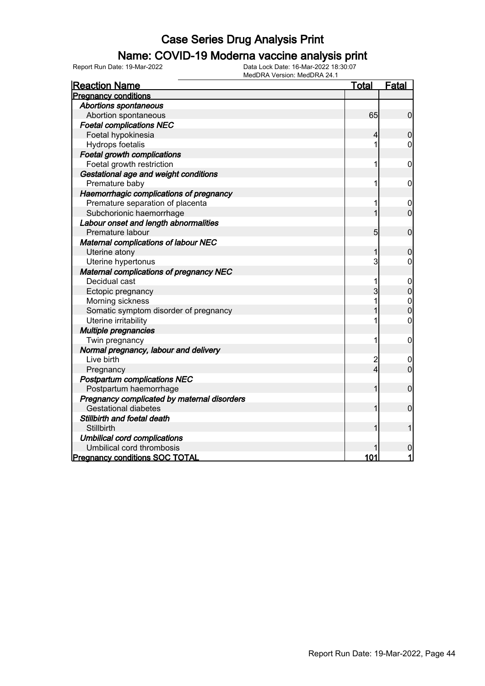#### Name: COVID-19 Moderna vaccine analysis print

Report Run Date: 19-Mar-2022 Data Lock Date: 16-Mar-2022 18:30:07

| <b>Reaction Name</b>                           | <u>Total</u>   | <b>Fatal</b>                     |
|------------------------------------------------|----------------|----------------------------------|
| <b>Pregnancy conditions</b>                    |                |                                  |
| <b>Abortions spontaneous</b>                   |                |                                  |
| Abortion spontaneous                           | 65             | $\mathbf 0$                      |
| <b>Foetal complications NEC</b>                |                |                                  |
| Foetal hypokinesia                             | 4              | $\overline{0}$                   |
| Hydrops foetalis                               |                | 0                                |
| <b>Foetal growth complications</b>             |                |                                  |
| Foetal growth restriction                      | 1              | 0                                |
| Gestational age and weight conditions          |                |                                  |
| Premature baby                                 | 1              | $\mathbf 0$                      |
| Haemorrhagic complications of pregnancy        |                |                                  |
| Premature separation of placenta               | 1              | $\boldsymbol{0}$                 |
| Subchorionic haemorrhage                       |                | $\overline{0}$                   |
| Labour onset and length abnormalities          |                |                                  |
| Premature labour                               | 5              | $\mathbf 0$                      |
| <b>Maternal complications of labour NEC</b>    |                |                                  |
| Uterine atony                                  | 1              | $\bf 0$                          |
| Uterine hypertonus                             | 3              | 0                                |
| <b>Maternal complications of pregnancy NEC</b> |                |                                  |
| Decidual cast                                  | 1              | $\mathbf 0$                      |
| Ectopic pregnancy                              | 3              | $\mathbf 0$                      |
| Morning sickness                               | 1              |                                  |
| Somatic symptom disorder of pregnancy          |                | $\begin{matrix}0\\0\end{matrix}$ |
| Uterine irritability                           | 1              | 0                                |
| Multiple pregnancies                           |                |                                  |
| Twin pregnancy                                 | 1              | $\mathbf 0$                      |
| Normal pregnancy, labour and delivery          |                |                                  |
| Live birth                                     | $\overline{c}$ | 0                                |
| Pregnancy                                      | $\overline{4}$ | $\overline{0}$                   |
| <b>Postpartum complications NEC</b>            |                |                                  |
| Postpartum haemorrhage                         | 1              | $\mathbf 0$                      |
| Pregnancy complicated by maternal disorders    |                |                                  |
| <b>Gestational diabetes</b>                    |                | $\mathbf 0$                      |
| Stillbirth and foetal death                    |                |                                  |
| Stillbirth                                     |                | 1                                |
| <b>Umbilical cord complications</b>            |                |                                  |
| Umbilical cord thrombosis                      |                | $\pmb{0}$                        |
| <b>Pregnancy conditions SOC TOTAL</b>          | 101            | 1                                |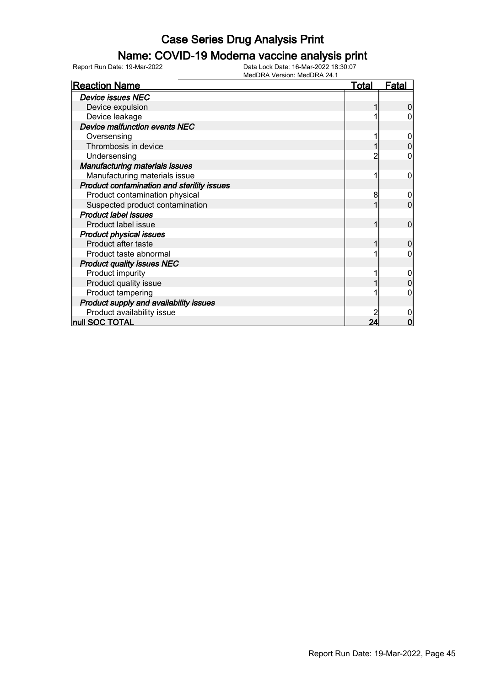#### Name: COVID-19 Moderna vaccine analysis print

| <b>Reaction Name</b>                       | <u>Total</u> | <b>Fatal</b> |
|--------------------------------------------|--------------|--------------|
| <b>Device issues NEC</b>                   |              |              |
| Device expulsion                           |              | O            |
| Device leakage                             |              |              |
| Device malfunction events NEC              |              |              |
| Oversensing                                |              |              |
| Thrombosis in device                       |              |              |
| Undersensing                               |              |              |
| <b>Manufacturing materials issues</b>      |              |              |
| Manufacturing materials issue              |              | 0            |
| Product contamination and sterility issues |              |              |
| Product contamination physical             | 8            | 0            |
| Suspected product contamination            |              | 0            |
| <b>Product label issues</b>                |              |              |
| Product label issue                        |              | 0            |
| <b>Product physical issues</b>             |              |              |
| Product after taste                        |              | 0            |
| Product taste abnormal                     |              |              |
| <b>Product quality issues NEC</b>          |              |              |
| Product impurity                           |              | 0            |
| Product quality issue                      |              |              |
| Product tampering                          |              |              |
| Product supply and availability issues     |              |              |
| Product availability issue                 |              |              |
| null SOC TOTAL                             | 24           | 0            |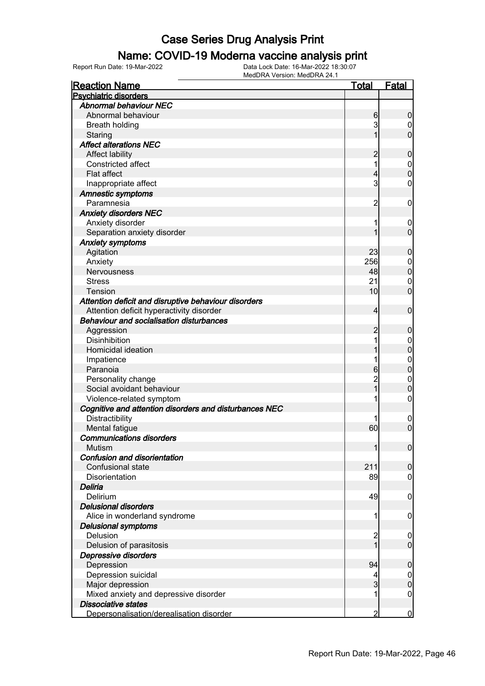#### Name: COVID-19 Moderna vaccine analysis print

Report Run Date: 19-Mar-2022 Data Lock Date: 16-Mar-2022 18:30:07

| <b>Reaction Name</b>                                   | <u>Total</u>    | <b>Fatal</b>                         |
|--------------------------------------------------------|-----------------|--------------------------------------|
| <b>Psychiatric disorders</b>                           |                 |                                      |
| <b>Abnormal behaviour NEC</b>                          |                 |                                      |
| Abnormal behaviour                                     | 6               | $\boldsymbol{0}$                     |
| <b>Breath holding</b>                                  | $\mathbf{3}$    | $\mathbf 0$                          |
| Staring                                                | 1               | $\overline{0}$                       |
| <b>Affect alterations NEC</b>                          |                 |                                      |
| Affect lability                                        | $\overline{c}$  | $\mathbf 0$                          |
| Constricted affect                                     | 1               |                                      |
| Flat affect                                            | 4               | $\begin{matrix}0\\0\end{matrix}$     |
| Inappropriate affect                                   | $\mathsf{3}$    | $\mathbf 0$                          |
| <b>Amnestic symptoms</b>                               |                 |                                      |
| Paramnesia                                             | $\overline{2}$  | $\mathbf 0$                          |
| <b>Anxiety disorders NEC</b>                           |                 |                                      |
| Anxiety disorder                                       | 1               | $\mathbf 0$                          |
| Separation anxiety disorder                            | 1               | $\overline{0}$                       |
| <b>Anxiety symptoms</b>                                |                 |                                      |
| Agitation                                              | 23              | $\mathbf 0$                          |
| Anxiety                                                | 256             |                                      |
| <b>Nervousness</b>                                     | 48              | $\begin{matrix} 0 \\ 0 \end{matrix}$ |
| <b>Stress</b>                                          | 21              | $\mathbf 0$                          |
| Tension                                                | 10 <sub>l</sub> | $\overline{0}$                       |
| Attention deficit and disruptive behaviour disorders   |                 |                                      |
| Attention deficit hyperactivity disorder               | $\overline{4}$  | $\mathbf 0$                          |
| <b>Behaviour and socialisation disturbances</b>        |                 |                                      |
| Aggression                                             | 2               | $\mathbf 0$                          |
| <b>Disinhibition</b>                                   | 1               | $\mathbf{0}$                         |
| Homicidal ideation                                     | 1               | $\overline{0}$                       |
| Impatience                                             | 1               |                                      |
| Paranoia                                               | 6               | $0\atop 0$                           |
| Personality change                                     | $\overline{2}$  | $\mathbf{0}$                         |
| Social avoidant behaviour                              | _<br>1          | $\overline{0}$                       |
| Violence-related symptom                               | 1               | $\mathbf 0$                          |
| Cognitive and attention disorders and disturbances NEC |                 |                                      |
| Distractibility                                        |                 | $\mathbf 0$                          |
| Mental fatigue                                         | 60              | $\overline{0}$                       |
| <b>Communications disorders</b>                        |                 |                                      |
| Mutism                                                 | 1               | 0                                    |
| <b>Confusion and disorientation</b>                    |                 |                                      |
| Confusional state                                      | 211             | $\mathbf 0$                          |
| Disorientation                                         | 89              | $\overline{0}$                       |
| Deliria                                                |                 |                                      |
| Delirium                                               | 49              | $\mathbf 0$                          |
| <b>Delusional disorders</b>                            |                 |                                      |
| Alice in wonderland syndrome                           | 1               | $\mathbf 0$                          |
| <b>Delusional symptoms</b>                             |                 |                                      |
| Delusion                                               | $\overline{2}$  | $\mathbf 0$                          |
| Delusion of parasitosis                                | $\overline{1}$  | $\mathbf 0$                          |
| Depressive disorders                                   |                 |                                      |
| Depression                                             | 94              | $\mathbf 0$                          |
| Depression suicidal                                    | 4               | $\mathbf 0$                          |
| Major depression                                       | $\overline{3}$  | $\pmb{0}$                            |
| Mixed anxiety and depressive disorder                  | 1               | $\overline{0}$                       |
| <b>Dissociative states</b>                             |                 |                                      |
| Depersonalisation/derealisation disorder               | 2               | $\bf{0}$                             |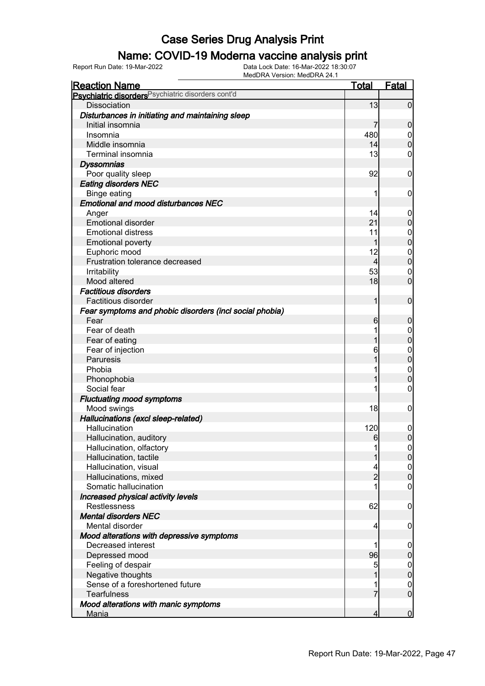### Name: COVID-19 Moderna vaccine analysis print

| <b>Reaction Name</b>                                    | <u>Total</u>   | <b>Fatal</b>     |
|---------------------------------------------------------|----------------|------------------|
| Psychiatric disorders Psychiatric disorders cont'd      |                |                  |
| <b>Dissociation</b>                                     | 13             | $\mathbf 0$      |
| Disturbances in initiating and maintaining sleep        |                |                  |
| Initial insomnia                                        | 7              | $\mathbf 0$      |
| Insomnia                                                | 480            | $\boldsymbol{0}$ |
| Middle insomnia                                         | 14             | $\mathbf 0$      |
| Terminal insomnia                                       | 13             | 0                |
| <b>Dyssomnias</b>                                       |                |                  |
| Poor quality sleep                                      | 92             | $\mathbf 0$      |
| <b>Eating disorders NEC</b>                             |                |                  |
| Binge eating                                            | 1              | $\mathbf 0$      |
| <b>Emotional and mood disturbances NEC</b>              |                |                  |
| Anger                                                   | 14             | $\mathbf 0$      |
| <b>Emotional disorder</b>                               | 21             | $\mathbf 0$      |
| <b>Emotional distress</b>                               | 11             | $\mathbf 0$      |
| <b>Emotional poverty</b>                                | 1              | $\pmb{0}$        |
| Euphoric mood                                           | 12             | $\mathbf 0$      |
| Frustration tolerance decreased                         | $\overline{4}$ | $\pmb{0}$        |
| Irritability                                            | 53             | $\mathbf 0$      |
| Mood altered                                            | 18             | $\overline{0}$   |
| <b>Factitious disorders</b>                             |                |                  |
| Factitious disorder                                     | 1              | $\mathbf 0$      |
| Fear symptoms and phobic disorders (incl social phobia) |                |                  |
| Fear                                                    | $6 \mid$       | $\mathbf 0$      |
| Fear of death                                           |                | $\mathbf 0$      |
| Fear of eating                                          |                | $\mathbf 0$      |
| Fear of injection                                       | 6              | $\boldsymbol{0}$ |
| Paruresis                                               |                | $\mathbf 0$      |
| Phobia                                                  |                | $\mathbf 0$      |
| Phonophobia                                             |                | $\mathbf 0$      |
| Social fear                                             |                | 0                |
| <b>Fluctuating mood symptoms</b>                        |                |                  |
| Mood swings                                             | 18             | $\mathbf 0$      |
| Hallucinations (excl sleep-related)                     |                |                  |
| Hallucination                                           | 120            | 0                |
| Hallucination, auditory                                 | $6 \mid$       | $\overline{0}$   |
| Hallucination, olfactory                                |                | $\overline{0}$   |
| Hallucination, tactile                                  |                | $\overline{0}$   |
| Hallucination, visual                                   |                | $\boldsymbol{0}$ |
| Hallucinations, mixed                                   | $\overline{2}$ | $\mathbf 0$      |
| Somatic hallucination                                   |                | $\boldsymbol{0}$ |
| Increased physical activity levels                      |                |                  |
| Restlessness                                            | 62             | $\mathbf 0$      |
| <b>Mental disorders NEC</b>                             |                |                  |
| Mental disorder                                         | 4              | $\mathbf 0$      |
| Mood alterations with depressive symptoms               |                |                  |
| Decreased interest                                      | 1              | $\mathbf 0$      |
| Depressed mood                                          | 96             | $\pmb{0}$        |
| Feeling of despair                                      | 5              | $\boldsymbol{0}$ |
| Negative thoughts                                       |                | $\mathbf 0$      |
| Sense of a foreshortened future                         |                | $\mathbf 0$      |
| <b>Tearfulness</b>                                      | 7              | $\mathbf 0$      |
| Mood alterations with manic symptoms                    |                |                  |
| <b>Mania</b>                                            | 4              | $\overline{0}$   |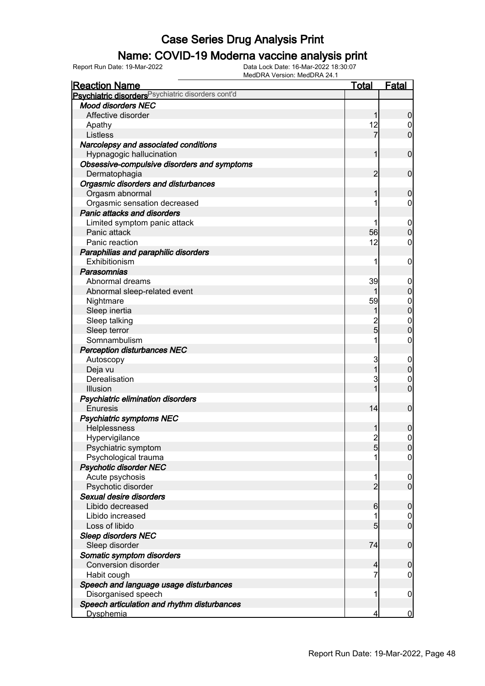#### Name: COVID-19 Moderna vaccine analysis print

Report Run Date: 19-Mar-2022 Data Lock Date: 16-Mar-2022 18:30:07

| <b>Reaction Name</b>                                          | <u>Total</u>    | <b>Fatal</b>     |
|---------------------------------------------------------------|-----------------|------------------|
| Psychiatric disorders <sup>Psychiatric disorders cont'd</sup> |                 |                  |
| <b>Mood disorders NEC</b>                                     |                 |                  |
| Affective disorder                                            | 1               | $\boldsymbol{0}$ |
| Apathy                                                        | 12              | $\boldsymbol{0}$ |
| Listless                                                      | 7               | $\overline{0}$   |
| Narcolepsy and associated conditions                          |                 |                  |
| Hypnagogic hallucination                                      | 1               | $\mathbf 0$      |
| Obsessive-compulsive disorders and symptoms                   |                 |                  |
| Dermatophagia                                                 | $\overline{2}$  | $\mathbf 0$      |
| Orgasmic disorders and disturbances                           |                 |                  |
| Orgasm abnormal                                               | 1               | $\boldsymbol{0}$ |
| Orgasmic sensation decreased                                  |                 | 0                |
| Panic attacks and disorders                                   |                 |                  |
| Limited symptom panic attack                                  |                 | $\mathbf 0$      |
| Panic attack                                                  | 56              | $\boldsymbol{0}$ |
| Panic reaction                                                | 12              | 0                |
| Paraphilias and paraphilic disorders                          |                 |                  |
| Exhibitionism                                                 | 1               | $\mathbf 0$      |
| Parasomnias                                                   |                 |                  |
| Abnormal dreams                                               | 39              | $\mathbf 0$      |
| Abnormal sleep-related event                                  |                 | $\pmb{0}$        |
| Nightmare                                                     | 59              | $\mathbf{0}$     |
| Sleep inertia                                                 | 1               | $\overline{0}$   |
| Sleep talking                                                 | $\overline{c}$  | $\mathbf 0$      |
| Sleep terror                                                  | $\overline{5}$  | $\mathbf 0$      |
| Somnambulism                                                  | 1               | $\mathbf 0$      |
| <b>Perception disturbances NEC</b>                            |                 |                  |
| Autoscopy                                                     | 3               | $\mathbf 0$      |
| Deja vu                                                       | 1               | $\mathbf 0$      |
| Derealisation                                                 | 3               | 0                |
| Illusion                                                      |                 | $\overline{0}$   |
| Psychiatric elimination disorders                             |                 |                  |
| Enuresis                                                      | 14              | $\boldsymbol{0}$ |
| <b>Psychiatric symptoms NEC</b>                               |                 |                  |
| Helplessness                                                  |                 | $\mathbf 0$      |
| Hypervigilance                                                | $\overline{2}$  | $\mathbf 0$      |
| Psychiatric symptom                                           | $5\overline{)}$ | $\overline{0}$   |
| Psychological trauma                                          |                 | $\overline{0}$   |
| <b>Psychotic disorder NEC</b>                                 |                 |                  |
| Acute psychosis                                               | 1               | $\mathbf 0$      |
| Psychotic disorder                                            | $\overline{2}$  | $\mathbf 0$      |
| Sexual desire disorders                                       |                 |                  |
| Libido decreased                                              | $6 \overline{}$ | $\mathbf 0$      |
| Libido increased                                              | 1               | 0                |
| Loss of libido                                                | 5               | $\mathbf 0$      |
| <b>Sleep disorders NEC</b>                                    |                 |                  |
| Sleep disorder                                                | 74              | $\mathbf 0$      |
| Somatic symptom disorders                                     |                 |                  |
| <b>Conversion disorder</b>                                    | $\overline{4}$  | $\boldsymbol{0}$ |
| Habit cough                                                   | 7               | 0                |
| Speech and language usage disturbances                        |                 |                  |
| Disorganised speech                                           | 1               | $\mathbf 0$      |
| Speech articulation and rhythm disturbances                   |                 |                  |
| <b>Dysphemia</b>                                              | 4               | $\overline{0}$   |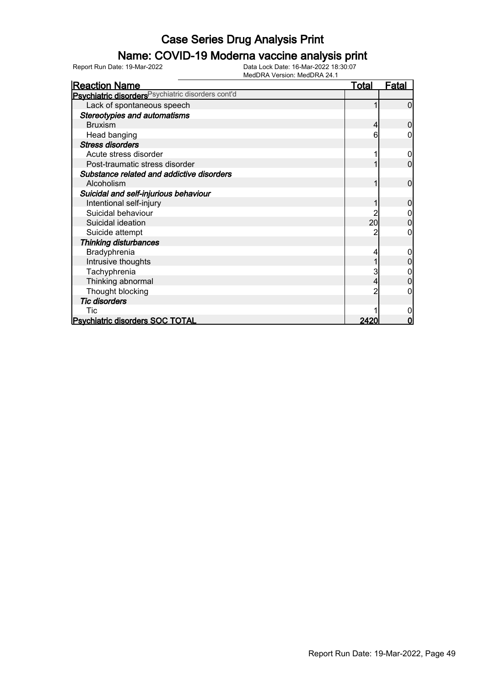### Name: COVID-19 Moderna vaccine analysis print

| <b>Reaction Name</b>                                          | Total           | <u>Fatal</u> |
|---------------------------------------------------------------|-----------------|--------------|
| Psychiatric disorders <sup>Psychiatric disorders cont'd</sup> |                 |              |
| Lack of spontaneous speech                                    |                 | n            |
| <b>Stereotypies and automatisms</b>                           |                 |              |
| <b>Bruxism</b>                                                |                 |              |
| Head banging                                                  |                 |              |
| <b>Stress disorders</b>                                       |                 |              |
| Acute stress disorder                                         |                 |              |
| Post-traumatic stress disorder                                |                 | 0            |
| Substance related and addictive disorders                     |                 |              |
| Alcoholism                                                    |                 | 0            |
| Suicidal and self-injurious behaviour                         |                 |              |
| Intentional self-injury                                       |                 |              |
| Suicidal behaviour                                            |                 |              |
| Suicidal ideation                                             | 20 <sup>°</sup> | 0            |
| Suicide attempt                                               |                 | 0            |
| <b>Thinking disturbances</b>                                  |                 |              |
| Bradyphrenia                                                  |                 | 0            |
| Intrusive thoughts                                            |                 |              |
| Tachyphrenia                                                  |                 |              |
| Thinking abnormal                                             |                 |              |
| Thought blocking                                              |                 |              |
| <b>Tic disorders</b>                                          |                 |              |
| Tic                                                           |                 |              |
| <b>Psychiatric disorders SOC TOTAL</b>                        | 2420            | Ω            |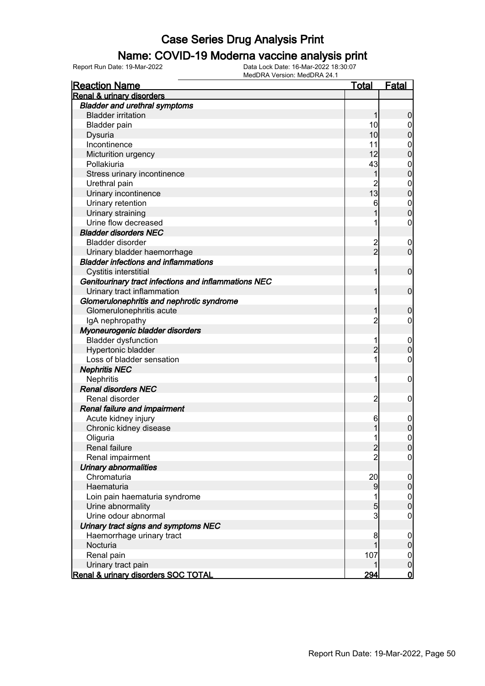#### Name: COVID-19 Moderna vaccine analysis print

| <b>Reaction Name</b>                                 | <u>Total</u>   | <b>Fatal</b>     |
|------------------------------------------------------|----------------|------------------|
| <b>Renal &amp; urinary disorders</b>                 |                |                  |
| <b>Bladder and urethral symptoms</b>                 |                |                  |
| <b>Bladder irritation</b>                            | 1              | $\boldsymbol{0}$ |
| <b>Bladder pain</b>                                  | 10             | $\boldsymbol{0}$ |
| Dysuria                                              | 10             | $\pmb{0}$        |
| Incontinence                                         | 11             | $\mathbf{0}$     |
| Micturition urgency                                  | 12             | $\overline{0}$   |
| Pollakiuria                                          | 43             | $\mathbf{0}$     |
| Stress urinary incontinence                          | 1              | $\overline{0}$   |
| Urethral pain                                        | $\overline{2}$ | $\mathbf{0}$     |
| Urinary incontinence                                 | 13             | $\mathbf 0$      |
| Urinary retention                                    | 6              | $\mathbf{0}$     |
| Urinary straining                                    |                | $\overline{0}$   |
| Urine flow decreased                                 |                | $\mathbf 0$      |
| <b>Bladder disorders NEC</b>                         |                |                  |
| <b>Bladder disorder</b>                              | $\overline{c}$ | $\boldsymbol{0}$ |
| Urinary bladder haemorrhage                          | $\overline{2}$ | $\mathbf 0$      |
| <b>Bladder infections and inflammations</b>          |                |                  |
| Cystitis interstitial                                | 1              | $\mathbf 0$      |
| Genitourinary tract infections and inflammations NEC |                |                  |
| Urinary tract inflammation                           | 1              | $\mathbf 0$      |
| Glomerulonephritis and nephrotic syndrome            |                |                  |
| Glomerulonephritis acute                             | 1              | $\boldsymbol{0}$ |
| IgA nephropathy                                      | $\overline{c}$ | $\mathbf 0$      |
| Myoneurogenic bladder disorders                      |                |                  |
| <b>Bladder dysfunction</b>                           | 1              | $\mathbf 0$      |
| Hypertonic bladder                                   | $\overline{2}$ | $\mathbf 0$      |
| Loss of bladder sensation                            | 1              | $\mathbf 0$      |
| <b>Nephritis NEC</b>                                 |                |                  |
| Nephritis                                            | 1              | $\mathbf 0$      |
| <b>Renal disorders NEC</b>                           |                |                  |
| Renal disorder                                       | $\overline{c}$ | $\mathbf 0$      |
| Renal failure and impairment                         |                |                  |
| Acute kidney injury                                  | 6              | $\mathbf 0$      |
| Chronic kidney disease                               | 1              | $\mathbf 0$      |
| Oliguria                                             | 1              | $\mathbf 0$      |
| Renal failure                                        | $\overline{c}$ | 0                |
| Renal impairment                                     | $\overline{2}$ | $\overline{0}$   |
| Urinary abnormalities                                |                |                  |
| Chromaturia                                          | 20             | $\mathbf 0$      |
| Haematuria                                           | 9              | $\pmb{0}$        |
| Loin pain haematuria syndrome                        | 1              | $\boldsymbol{0}$ |
| Urine abnormality                                    | 5              | $\mathbf 0$      |
| Urine odour abnormal                                 | $\overline{3}$ | $\mathbf 0$      |
| Urinary tract signs and symptoms NEC                 |                |                  |
| Haemorrhage urinary tract                            | 8              | $\boldsymbol{0}$ |
| Nocturia                                             |                | $\pmb{0}$        |
| Renal pain                                           | 107            | $\overline{0}$   |
| Urinary tract pain                                   |                | $\pmb{0}$        |
| Renal & urinary disorders SOC TOTAL                  | 294            | $\overline{0}$   |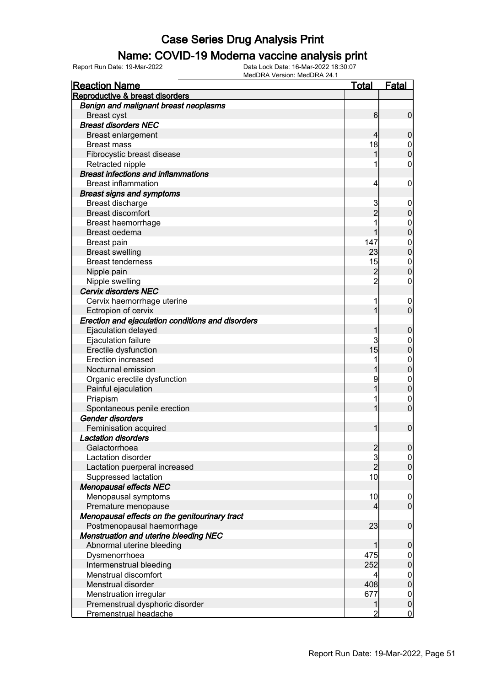#### Name: COVID-19 Moderna vaccine analysis print

| <b>Reaction Name</b>                              | Total          | <u>Fatal</u>                     |
|---------------------------------------------------|----------------|----------------------------------|
| Reproductive & breast disorders                   |                |                                  |
| Benign and malignant breast neoplasms             |                |                                  |
| <b>Breast cyst</b>                                | $6 \mid$       | $\overline{0}$                   |
| <b>Breast disorders NEC</b>                       |                |                                  |
| <b>Breast enlargement</b>                         | 4              | 0                                |
| <b>Breast mass</b>                                | 18             | $\boldsymbol{0}$                 |
| Fibrocystic breast disease                        |                | $\overline{0}$                   |
| Retracted nipple                                  | 1              | $\mathbf 0$                      |
| <b>Breast infections and inflammations</b>        |                |                                  |
| <b>Breast inflammation</b>                        | 4              | $\mathbf 0$                      |
| <b>Breast signs and symptoms</b>                  |                |                                  |
| Breast discharge                                  | 3              | $\boldsymbol{0}$                 |
| <b>Breast discomfort</b>                          | $\overline{2}$ | $\mathbf 0$                      |
| Breast haemorrhage                                | 1              | $\mathbf 0$                      |
| Breast oedema                                     |                | $\mathbf 0$                      |
| Breast pain                                       | 147            | $\mathbf 0$                      |
| <b>Breast swelling</b>                            | 23             | $\overline{0}$                   |
| <b>Breast tenderness</b>                          | 15             | $\mathbf{0}$                     |
| Nipple pain                                       | $\overline{c}$ | $\overline{0}$                   |
| Nipple swelling                                   | $\overline{2}$ | $\mathbf 0$                      |
| <b>Cervix disorders NEC</b>                       |                |                                  |
|                                                   | 1              |                                  |
| Cervix haemorrhage uterine                        | 1              | $\overline{0}$<br>$\overline{0}$ |
| Ectropion of cervix                               |                |                                  |
| Erection and ejaculation conditions and disorders |                |                                  |
| Ejaculation delayed                               |                | $\boldsymbol{0}$                 |
| Ejaculation failure                               | 3              | $\boldsymbol{0}$                 |
| Erectile dysfunction                              | 15             | $\mathbf 0$                      |
| Erection increased                                | 1              | $\mathbf 0$                      |
| Nocturnal emission                                |                | $\overline{0}$                   |
| Organic erectile dysfunction                      | 9              | $\mathbf 0$                      |
| Painful ejaculation                               |                | $\overline{0}$                   |
| Priapism                                          | 1              | $\mathbf 0$                      |
| Spontaneous penile erection                       | 1              | $\overline{0}$                   |
| <b>Gender disorders</b>                           |                |                                  |
| Feminisation acquired                             | 1              | $\mathbf 0$                      |
| <b>Lactation disorders</b>                        |                |                                  |
| Galactorrhoea                                     | $\frac{2}{3}$  | 0                                |
| Lactation disorder                                |                | $\overline{0}$                   |
| Lactation puerperal increased                     | $\overline{2}$ | $\overline{0}$                   |
| Suppressed lactation                              | 10             | $\mathbf 0$                      |
| <b>Menopausal effects NEC</b>                     |                |                                  |
| Menopausal symptoms                               | 10             | $\boldsymbol{0}$                 |
| Premature menopause                               | 4              | $\overline{0}$                   |
| Menopausal effects on the genitourinary tract     |                |                                  |
| Postmenopausal haemorrhage                        | 23             | $\mathbf 0$                      |
| <b>Menstruation and uterine bleeding NEC</b>      |                |                                  |
| Abnormal uterine bleeding                         | 1              | 0                                |
| Dysmenorrhoea                                     | 475            | $\boldsymbol{0}$                 |
| Intermenstrual bleeding                           | 252            | $\mathbf 0$                      |
| Menstrual discomfort                              | 4              | $\mathbf 0$                      |
| Menstrual disorder                                | 408            | $\mathbf 0$                      |
| Menstruation irregular                            | 677            | $\mathbf 0$                      |
| Premenstrual dysphoric disorder                   | 1              | $\mathbf 0$                      |
| Premenstrual headache                             | 2              | $\overline{0}$                   |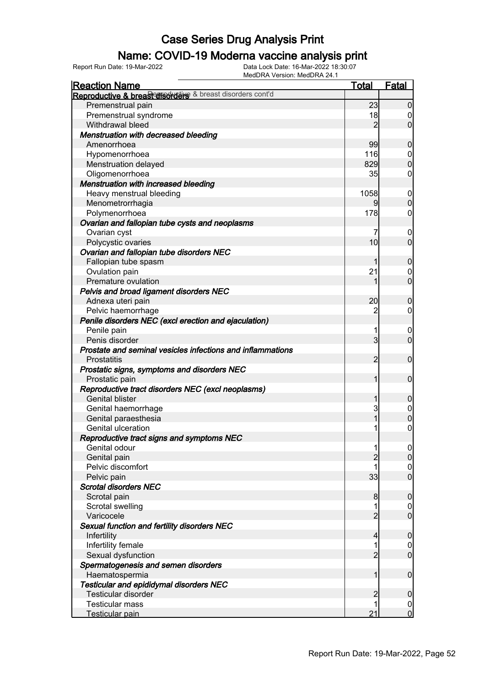# **Name: COVID-19 Moderna vaccine analysis print**<br>
Report Run Date: 19-Mar-2022<br>
Data Lock Date: 16-Mar-2022 18:30:07

Report Run Date: 19-Mar-2022 Data Lock Date: 16-Mar-2022 18:30:07

MedDRA Version: MedDRA 24.1 Reaction Name Total Fatal Reproductive & breast disorders & breast disorders cont'd Premenstrual pain 23 0<br>Premenstrual syndrome 23 0<br>23 0<br>23 0 Premenstrual syndrome 18 0 Withdrawal bleed Menstruation with decreased bleeding Amenorrhoea 99 0 Hypomenorrhoea 116 0 Menstruation delayed 829 0 Oligomenorrhoea 35 Menstruation with increased bleeding Heavy menstrual bleeding<br>
Menometrorrhagia 1058 0<br>
0 0 0 0 Menometrorrhagia 9 0 Polymenorrhoea 178 Ovarian and fallopian tube cysts and neoplasms Ovarian cyst<br>
Polycystic ovaries and the contract of the contract of the contract of the contract of the contract of the contra<br>
0 Polycystic ovaries 10 0 Ovarian and fallopian tube disorders NEC Fallopian tube spasm and the spasm of the spasm of the spanning of the spanning of the spanning of the spanning of the spanning of the spanning of the spanning of the spanning of the spanning of the spanning of the spannin Ovulation pain and the control of the control of the control of the control of the control of the control of the control of the control of the control of the control of the control of the control of the control of the cont Premature ovulation 1 0 Pelvis and broad ligament disorders NEC Adnexa uteri pain and a control of the control of the control of the control of the control of the control of the control of the control of the control of the control of the control of the control of the control of the con Pelvic haemorrhage 2 0 Penile disorders NEC (excl erection and ejaculation) Penile pain in the contract of the contract of the contract of the contract of the contract of the contract of Penis disorder 3 0 Prostate and seminal vesicles infections and inflammations Prostatitis 2 0 Prostatic signs, symptoms and disorders NEC Prostatic pain 1 0 Reproductive tract disorders NEC (excl neoplasms) Genital blister 1 0<br>Genital haemorrhage 1 0<br>Cenital haemorrhage 1 0 Genital haemorrhage 3 0 Genital paraesthesia 1 0 Genital ulceration and the set of the set of the set of the set of the set of the set of the set of the set of the set of the set of the set of the set of the set of the set of the set of the set of the set of the set of t Reproductive tract signs and symptoms NEC Genital odour and the set of the set of the set of the set of the set of the set of the set of the set of the set of the set of the set of the set of the set of the set of the set of the set of the set of the set of the se Genital pain and the control of the control of the control of the control of the control of the control of the control of the control of the control of the control of the control of the control of the control of the contro Pelvic discomfort 1 0<br>Pelvic pain 1 0<br>Pelvic pain 1 0 Pelvic pain 33 Scrotal disorders NEC Scrotal pain and the set of the set of the set of the set of the set of the set of the set of the set of the s Scrotal swelling 1 0 Varicocele 2 0 Sexual function and fertility disorders NEC Infertility 4 0 Infertility female 1 0 Sexual dysfunction **2** 0 Spermatogenesis and semen disorders Haematospermia 1 0 Testicular and epididymal disorders NEC Testicular disorder 2 0 Testicular mass and the control of the control of the control of the control of the control of the control of the control of the control of the control of the control of the control of the control of the control of the con Testicular pain 21 0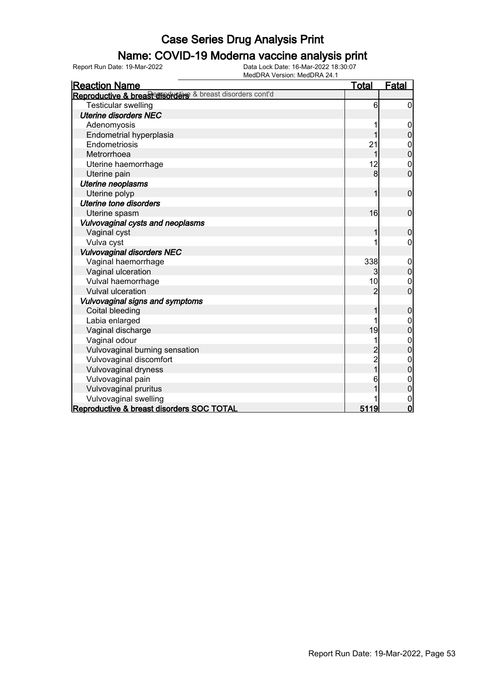# **Name: COVID-19 Moderna vaccine analysis print**<br>Data Lock Date: 16-Mar-2022 18:30:07<br>Data Lock Date: 16-Mar-2022 18:30:07

Reproductive & breast disorders SOC TOTAL

Reaction Name Total Fatal Reproductive & breast disorders & breast disorders cont'd Testicular swelling 6 0 Uterine disorders NEC Adenomyosis 1 0 Endometrial hyperplasia and the set of the set of the set of the set of the set of the set of the set of the set of the set of the set of the set of the set of the set of the set of the set of the set of the set of the set Endometriosis 21 0 Metrorrhoea 1 0<br>Uterine haemorrhage 1 0<br>12 0 Uterine haemorrhage 12 0<br>Uterine pain 12 0<br>Uterine pain 12 0 Uterine pain Uterine neoplasms Uterine polyp  $1 \t 0$  Uterine tone disorders Uterine spasm and the control of the control of the control of the control of the control of the control of the control of the control of the control of the control of the control of the control of the control of the contr Vulvovaginal cysts and neoplasms Vaginal cyst in the contract of the contract of the contract of the contract of the contract of the contract of the contract of the contract of the contract of the contract of the contract of the contract of the contract o Vulva cyst i i boshqati i boshqati i boshqati i boshqati i boshqati i boshqati i boshqati i boshqati i boshqat Vulvovaginal disorders NEC Vaginal haemorrhage 338 0<br>
Vaginal ulceration 3 0<br>
Vaginal ulceration Vaginal ulceration and the set of the set of the set of the set of the set of the set of the set of the set of the set of the set of the set of the set of the set of the set of the set of the set of the set of the set of t Vulval haemorrhage 10 0 Vulval ulceration Vulvovaginal signs and symptoms Coital bleeding 1 0<br>
Labia enlarged 1 0<br>
1 0 Labia enlarged 1 0<br>
Vaqinal discharge 1 0<br>
19<br>
0 Vaginal discharge 19 0 Vaginal odour 1 0 Vulvovaginal burning sensation 2 0 Vulvovaginal discomfort and the set of the set of the set of the set of the set of the set of the set of the set of the set of the set of the set of the set of the set of the set of the set of the set of the set of the set Vulvovaginal dryness 1 0 Vulvovaginal pain 6 0 Vulvovaginal pruritus 1 0 Vulvovaginal swelling 1 0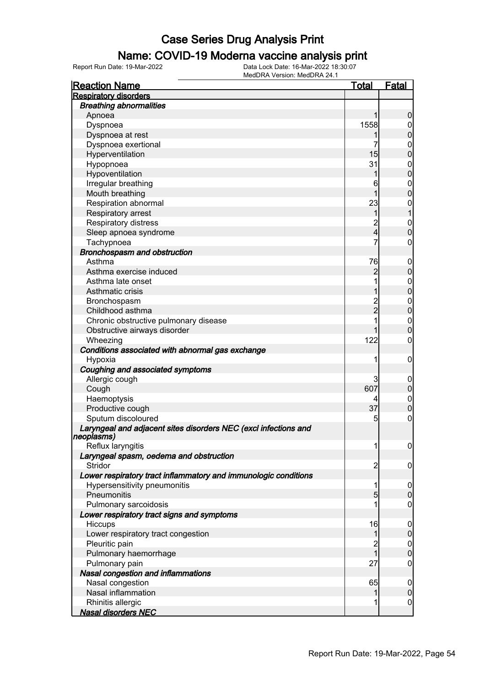#### Name: COVID-19 Moderna vaccine analysis print

Report Run Date: 19-Mar-2022 Data Lock Date: 16-Mar-2022 18:30:07

| <b>Reaction Name</b>                                                          | Total                   | <b>Fatal</b>     |
|-------------------------------------------------------------------------------|-------------------------|------------------|
| <b>Respiratory disorders</b>                                                  |                         |                  |
| <b>Breathing abnormalities</b>                                                |                         |                  |
| Apnoea                                                                        |                         | 0                |
| Dyspnoea                                                                      | 1558                    | 0                |
| Dyspnoea at rest                                                              |                         | 0                |
| Dyspnoea exertional                                                           | 7                       | $\mathbf 0$      |
| Hyperventilation                                                              | 15                      | 0                |
| Hypopnoea                                                                     | 31                      | $\mathbf 0$      |
| Hypoventilation                                                               | 1                       | 0                |
| Irregular breathing                                                           | 6                       | $\mathbf 0$      |
| Mouth breathing                                                               |                         | 0                |
| Respiration abnormal                                                          | 23                      | 0                |
| Respiratory arrest                                                            | 1                       |                  |
| Respiratory distress                                                          | $\overline{\mathbf{c}}$ | $\mathbf{0}$     |
| Sleep apnoea syndrome                                                         | 4                       | O                |
| Tachypnoea                                                                    | 7                       | 0                |
| Bronchospasm and obstruction                                                  |                         |                  |
| Asthma                                                                        | 76                      | $\boldsymbol{0}$ |
| Asthma exercise induced                                                       | 2                       | 0                |
| Asthma late onset                                                             | 1                       | 0                |
| Asthmatic crisis                                                              |                         | 0                |
| Bronchospasm                                                                  | $\overline{c}$          | $\mathbf 0$      |
| Childhood asthma                                                              | $\overline{2}$          | 0                |
| Chronic obstructive pulmonary disease                                         |                         | $\mathbf 0$      |
| Obstructive airways disorder                                                  |                         | 0                |
| Wheezing                                                                      | 122                     | 0                |
| Conditions associated with abnormal gas exchange                              |                         |                  |
| Hypoxia                                                                       | 1                       | 0                |
| Coughing and associated symptoms                                              |                         |                  |
| Allergic cough                                                                | 3                       |                  |
| Cough                                                                         | 607                     | 0<br>$\mathbf 0$ |
| Haemoptysis                                                                   | 4                       | $\mathbf{0}$     |
| Productive cough                                                              | 37                      | 0                |
| Sputum discoloured                                                            | 5                       | 0                |
|                                                                               |                         |                  |
| Laryngeal and adjacent sites disorders NEC (excl infections and<br>neoplasms) |                         |                  |
| Reflux laryngitis                                                             |                         | U                |
| Laryngeal spasm, oedema and obstruction                                       |                         |                  |
| Stridor                                                                       | 2                       | $\overline{0}$   |
| Lower respiratory tract inflammatory and immunologic conditions               |                         |                  |
| Hypersensitivity pneumonitis                                                  |                         | $\boldsymbol{0}$ |
| Pneumonitis                                                                   | $\overline{5}$          | $\mathbf 0$      |
| Pulmonary sarcoidosis                                                         |                         | 0                |
| Lower respiratory tract signs and symptoms                                    |                         |                  |
| Hiccups                                                                       | 16                      | 0                |
| Lower respiratory tract congestion                                            | 1                       | $\overline{0}$   |
| Pleuritic pain                                                                | $\overline{2}$          | $\mathbf 0$      |
| Pulmonary haemorrhage                                                         | $\mathbf{1}$            | $\overline{0}$   |
| Pulmonary pain                                                                | 27                      | $\mathbf 0$      |
| Nasal congestion and inflammations                                            |                         |                  |
| Nasal congestion                                                              | 65                      | $\boldsymbol{0}$ |
| Nasal inflammation                                                            | 1                       | $\mathbf 0$      |
| Rhinitis allergic                                                             | 1                       | $\mathbf 0$      |
| <b>Nasal disorders NEC</b>                                                    |                         |                  |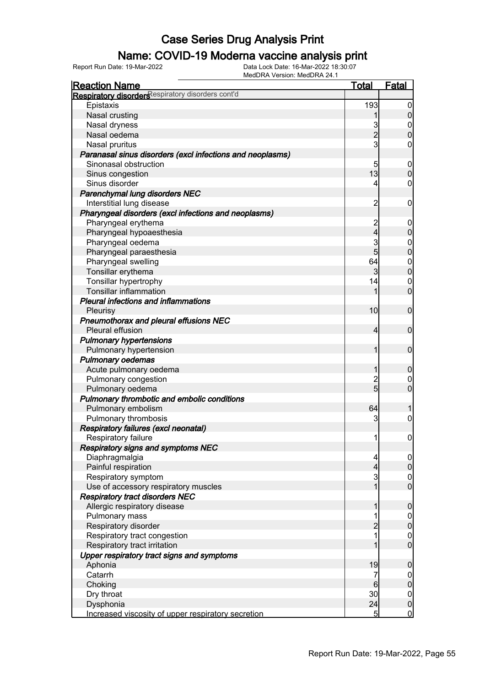### Name: COVID-19 Moderna vaccine analysis print

| <b>Reaction Name</b>                                       | <u>Total</u>        | <b>Fatal</b>                  |
|------------------------------------------------------------|---------------------|-------------------------------|
| Respiratory disorders espiratory disorders cont'd          |                     |                               |
| Epistaxis                                                  | 193                 | $\overline{0}$                |
| Nasal crusting                                             | 1                   | $\overline{0}$                |
| Nasal dryness                                              | 3                   | $\mathbf 0$                   |
| Nasal oedema                                               | $\overline{2}$      | $\overline{0}$                |
| Nasal pruritus                                             | $\mathbf{3}$        | 0                             |
| Paranasal sinus disorders (excl infections and neoplasms)  |                     |                               |
| Sinonasal obstruction                                      | 5                   | $\overline{0}$                |
| Sinus congestion                                           | 13                  | $\mathbf 0$                   |
| Sinus disorder                                             | 4                   | 0                             |
| Parenchymal lung disorders NEC                             |                     |                               |
| Interstitial lung disease                                  | $\overline{2}$      | $\mathbf 0$                   |
| Pharyngeal disorders (excl infections and neoplasms)       |                     |                               |
| Pharyngeal erythema                                        | $\overline{c}$      | $\boldsymbol{0}$              |
| Pharyngeal hypoaesthesia                                   | 4                   | $\overline{0}$                |
| Pharyngeal oedema                                          | 3                   | $\boldsymbol{0}$              |
| Pharyngeal paraesthesia                                    | $\overline{5}$      | $\overline{0}$                |
| Pharyngeal swelling                                        | 64                  | $\mathbf{0}$                  |
| Tonsillar erythema                                         | 3                   | $\overline{0}$                |
| Tonsillar hypertrophy                                      | 14                  | $\mathbf 0$                   |
| <b>Tonsillar inflammation</b>                              | 1                   | $\overline{0}$                |
| <b>Pleural infections and inflammations</b>                |                     |                               |
|                                                            | 10                  | $\mathbf 0$                   |
| Pleurisy                                                   |                     |                               |
| Pneumothorax and pleural effusions NEC<br>Pleural effusion | 4                   | $\mathbf 0$                   |
|                                                            |                     |                               |
| <b>Pulmonary hypertensions</b>                             | 1                   | $\mathbf 0$                   |
| Pulmonary hypertension                                     |                     |                               |
| <b>Pulmonary oedemas</b>                                   |                     |                               |
| Acute pulmonary oedema                                     | 1                   | $\mathbf 0$                   |
| Pulmonary congestion                                       | $\overline{c}$<br>5 | 0                             |
| Pulmonary oedema                                           |                     | $\overline{0}$                |
| Pulmonary thrombotic and embolic conditions                |                     |                               |
| Pulmonary embolism                                         | 64                  |                               |
| Pulmonary thrombosis                                       | 3                   | $\boldsymbol{0}$              |
| Respiratory failures (excl neonatal)                       |                     |                               |
| Respiratory failure                                        | 1                   | $\overline{0}$                |
| <b>Respiratory signs and symptoms NEC</b>                  |                     |                               |
| Diaphragmalgia                                             | 4                   | $\overline{0}$                |
| Painful respiration                                        | 4                   | $\overline{0}$                |
| Respiratory symptom                                        | 3<br>$\mathbf{1}$   | $\mathbf 0$<br>$\overline{0}$ |
| Use of accessory respiratory muscles                       |                     |                               |
| <b>Respiratory tract disorders NEC</b>                     |                     |                               |
| Allergic respiratory disease                               |                     | $\mathbf 0$                   |
| Pulmonary mass                                             |                     | $\overline{0}$                |
| Respiratory disorder                                       | $\overline{2}$      | $\overline{0}$                |
| Respiratory tract congestion                               |                     | $\mathbf 0$<br>$\overline{0}$ |
| Respiratory tract irritation                               |                     |                               |
| Upper respiratory tract signs and symptoms                 |                     |                               |
| Aphonia                                                    | 19                  | $\boldsymbol{0}$              |
| Catarrh                                                    | 7                   | $\overline{0}$                |
| Choking                                                    | 6                   | $\overline{0}$                |
| Dry throat                                                 | 30                  | $\boldsymbol{0}$              |
| Dysphonia                                                  | 24                  | $\mathbf 0$                   |
| Increased viscosity of upper respiratory secretion         | $\overline{5}$      | $\overline{0}$                |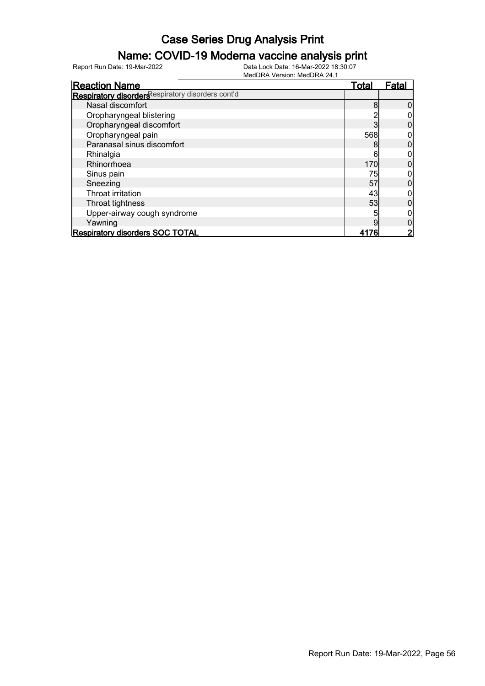### Name: COVID-19 Moderna vaccine analysis print

Report Run Date: 19-Mar-2022 Data Lock Date: 16-Mar-2022 18:30:07

| <b>Reaction Name</b>                              | Total | Fatal |
|---------------------------------------------------|-------|-------|
| Respiratory disorders espiratory disorders cont'd |       |       |
| Nasal discomfort                                  | 8     |       |
| Oropharyngeal blistering                          |       |       |
| Oropharyngeal discomfort                          |       |       |
| Oropharyngeal pain                                | 568   |       |
| Paranasal sinus discomfort                        |       |       |
| Rhinalgia                                         | 6     |       |
| Rhinorrhoea                                       | 170   |       |
| Sinus pain                                        | 75    |       |
| Sneezing                                          | 57    |       |
| Throat irritation                                 | 43    |       |
| Throat tightness                                  | 53    |       |
| Upper-airway cough syndrome                       |       |       |
| Yawning                                           |       |       |
| <b>Respiratory disorders SOC TOTAL</b>            |       |       |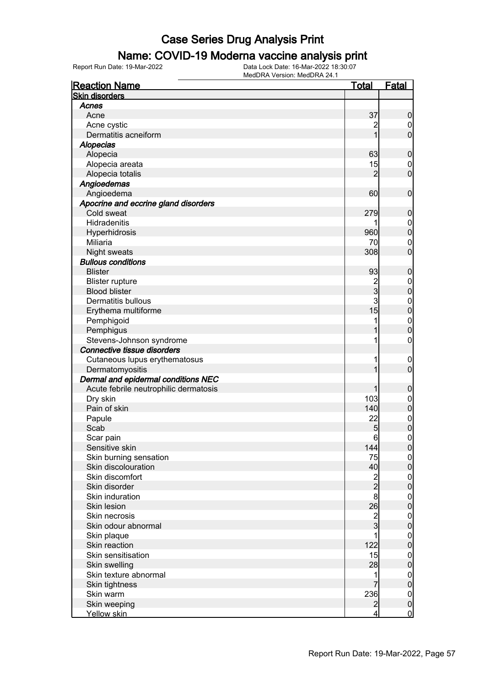#### Name: COVID-19 Moderna vaccine analysis print

Report Run Date: 19-Mar-2022 Data Lock Date: 16-Mar-2022 18:30:07

| <b>Reaction Name</b>                  | <u>Total</u>   | Fatal                            |
|---------------------------------------|----------------|----------------------------------|
| <b>Skin disorders</b>                 |                |                                  |
| Acnes                                 |                |                                  |
| Acne                                  | 37             | 0                                |
| Acne cystic                           | 2              | $\boldsymbol{0}$                 |
| Dermatitis acneiform                  |                | 0                                |
| <b>Alopecias</b>                      |                |                                  |
| Alopecia                              | 63             | 0                                |
| Alopecia areata                       | 15             | $\mathbf 0$                      |
| Alopecia totalis                      | $\overline{2}$ | $\overline{0}$                   |
| Angioedemas                           |                |                                  |
| Angioedema                            | 60             | $\mathbf 0$                      |
| Apocrine and eccrine gland disorders  |                |                                  |
| Cold sweat                            | 279            | 0                                |
| Hidradenitis                          |                | $\boldsymbol{0}$                 |
| Hyperhidrosis                         | 960            | $\overline{0}$                   |
| Miliaria                              | 70             | $\mathbf{0}$                     |
| <b>Night sweats</b>                   | 308            | O                                |
| <b>Bullous conditions</b>             |                |                                  |
| <b>Blister</b>                        | 93             | 0                                |
| <b>Blister rupture</b>                |                | $\mathbf 0$                      |
| <b>Blood blister</b>                  | $\frac{2}{3}$  | 0                                |
| <b>Dermatitis bullous</b>             | 3              |                                  |
|                                       | 15             | $\begin{matrix}0\\0\end{matrix}$ |
| Erythema multiforme                   |                |                                  |
| Pemphigoid                            | 1              | $\begin{matrix}0\\0\end{matrix}$ |
| Pemphigus                             |                |                                  |
| Stevens-Johnson syndrome              | 1              | 0                                |
| Connective tissue disorders           |                |                                  |
| Cutaneous lupus erythematosus         | 1              | $\overline{0}$                   |
| Dermatomyositis                       |                | 0                                |
| Dermal and epidermal conditions NEC   |                |                                  |
| Acute febrile neutrophilic dermatosis |                | 0                                |
| Dry skin                              | 103            | $\boldsymbol{0}$                 |
| Pain of skin                          | 140            | $\overline{0}$                   |
| Papule                                | 22             | $\begin{matrix}0\\0\end{matrix}$ |
| Scab                                  | 5              |                                  |
| Scar pain                             | 6              | 0                                |
| Sensitive skin                        | 144            | $\boldsymbol{0}$                 |
| Skin burning sensation                | 75             | $\overline{0}$                   |
| Skin discolouration                   | 40             | 0                                |
| Skin discomfort                       | $\frac{2}{2}$  | $\mathbf 0$                      |
| Skin disorder                         |                | 0                                |
| Skin induration                       | 8              | $\mathbf 0$                      |
| Skin lesion                           | 26             | 0                                |
| Skin necrosis                         |                | $\mathbf 0$                      |
| Skin odour abnormal                   | $\frac{2}{3}$  | 0                                |
| Skin plaque                           |                | $\mathbf 0$                      |
| Skin reaction                         | 122            | 0                                |
| Skin sensitisation                    | 15             | $\boldsymbol{0}$                 |
| Skin swelling                         | 28             | 0                                |
| Skin texture abnormal                 | 1              | $\mathbf 0$                      |
| Skin tightness                        |                | 0                                |
| Skin warm                             | 236            | $\mathbf{0}$                     |
| Skin weeping                          | $\overline{2}$ | $\mathbf 0$                      |
| Yellow skin                           | $\overline{4}$ | $\overline{0}$                   |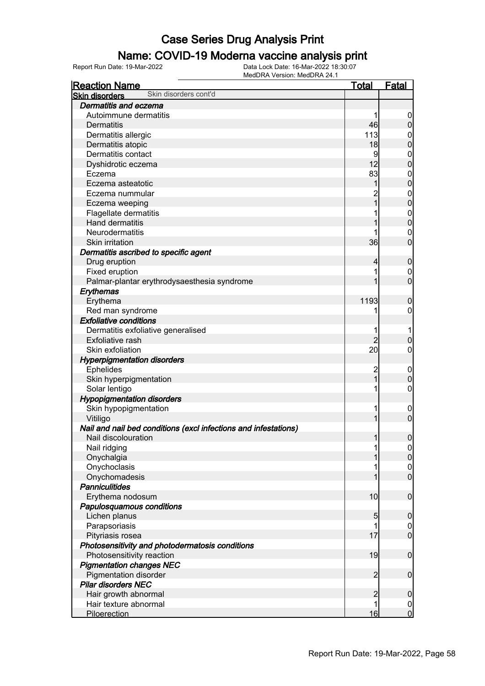#### Name: COVID-19 Moderna vaccine analysis print

| Skin disorders cont'd<br><b>Skin disorders</b><br>Dermatitis and eczema<br>Autoimmune dermatitis<br>46<br><b>Dermatitis</b><br>113<br>Dermatitis allergic<br>$\boldsymbol{0}$<br>$\overline{0}$<br>18<br>Dermatitis atopic<br>Dermatitis contact<br>9<br>$\mathbf 0$<br>$\mathbf 0$<br>12<br>Dyshidrotic eczema<br>83<br>Eczema<br>$\mathbf 0$<br>$\mathbf 0$<br>1<br>Eczema asteatotic<br>$\boldsymbol{0}$<br>Eczema nummular<br>$\overline{0}$<br>$\overline{1}$<br>Eczema weeping<br>Flagellate dermatitis<br>$\mathbf 0$<br>$\mathbf 0$<br><b>Hand dermatitis</b><br>Neurodermatitis<br>$\mathbf 0$<br>$\mathbf 0$<br>36<br>Skin irritation<br>Dermatitis ascribed to specific agent<br>Drug eruption<br>$\mathbf 0$<br>4<br>Fixed eruption<br>$\mathbf 0$<br>$\mathbf 0$<br>Palmar-plantar erythrodysaesthesia syndrome<br>Erythemas<br>1193<br>Erythema<br>$\mathbf 0$<br>Red man syndrome<br>0<br><b>Exfoliative conditions</b><br>Dermatitis exfoliative generalised<br>$\overline{2}$<br>$\mathbf 0$<br><b>Exfoliative rash</b><br>20<br>Skin exfoliation<br>0<br><b>Hyperpigmentation disorders</b><br><b>Ephelides</b><br>$\overline{c}$<br>$\mathbf 0$<br>$\overline{1}$<br>$\mathbf 0$<br>Skin hyperpigmentation<br>Solar lentigo<br>0<br><b>Hypopigmentation disorders</b><br>Skin hypopigmentation<br>$\mathbf 0$<br>$\overline{0}$<br>Vitiligo<br>Nail and nail bed conditions (excl infections and infestations)<br>$\boldsymbol{0}$<br>Nail discolouration<br>1<br>Nail ridging<br> 0 <br>$\overline{0}$<br>Onychalgia<br>Onychoclasis<br>$\mathbf 0$<br>$\overline{0}$<br>Onychomadesis<br><b>Panniculitides</b><br>10<br>$\mathbf 0$<br>Erythema nodosum<br>Papulosquamous conditions<br>Lichen planus<br>5<br>$\mathbf 0$<br>Parapsoriasis<br>$\mathbf 0$<br>$\overline{0}$<br>Pityriasis rosea<br>17<br>Photosensitivity and photodermatosis conditions<br>19<br>$\mathbf 0$<br>Photosensitivity reaction<br><b>Pigmentation changes NEC</b><br>$\overline{2}$<br>$\boldsymbol{0}$<br><b>Pigmentation disorder</b><br><b>Pilar disorders NEC</b><br>$\overline{2}$<br>$\mathbf 0$<br>Hair growth abnormal<br>Hair texture abnormal<br>$\overline{0}$ | <b>Reaction Name</b> | <b>Total</b> | <b>Fatal</b>   |
|----------------------------------------------------------------------------------------------------------------------------------------------------------------------------------------------------------------------------------------------------------------------------------------------------------------------------------------------------------------------------------------------------------------------------------------------------------------------------------------------------------------------------------------------------------------------------------------------------------------------------------------------------------------------------------------------------------------------------------------------------------------------------------------------------------------------------------------------------------------------------------------------------------------------------------------------------------------------------------------------------------------------------------------------------------------------------------------------------------------------------------------------------------------------------------------------------------------------------------------------------------------------------------------------------------------------------------------------------------------------------------------------------------------------------------------------------------------------------------------------------------------------------------------------------------------------------------------------------------------------------------------------------------------------------------------------------------------------------------------------------------------------------------------------------------------------------------------------------------------------------------------------------------------------------------------------------------------------------------------------------------------------------------------------------------------------------------------------------------------------------------------------------------------------------|----------------------|--------------|----------------|
|                                                                                                                                                                                                                                                                                                                                                                                                                                                                                                                                                                                                                                                                                                                                                                                                                                                                                                                                                                                                                                                                                                                                                                                                                                                                                                                                                                                                                                                                                                                                                                                                                                                                                                                                                                                                                                                                                                                                                                                                                                                                                                                                                                            |                      |              |                |
|                                                                                                                                                                                                                                                                                                                                                                                                                                                                                                                                                                                                                                                                                                                                                                                                                                                                                                                                                                                                                                                                                                                                                                                                                                                                                                                                                                                                                                                                                                                                                                                                                                                                                                                                                                                                                                                                                                                                                                                                                                                                                                                                                                            |                      |              |                |
|                                                                                                                                                                                                                                                                                                                                                                                                                                                                                                                                                                                                                                                                                                                                                                                                                                                                                                                                                                                                                                                                                                                                                                                                                                                                                                                                                                                                                                                                                                                                                                                                                                                                                                                                                                                                                                                                                                                                                                                                                                                                                                                                                                            |                      |              |                |
|                                                                                                                                                                                                                                                                                                                                                                                                                                                                                                                                                                                                                                                                                                                                                                                                                                                                                                                                                                                                                                                                                                                                                                                                                                                                                                                                                                                                                                                                                                                                                                                                                                                                                                                                                                                                                                                                                                                                                                                                                                                                                                                                                                            |                      |              | $\overline{0}$ |
|                                                                                                                                                                                                                                                                                                                                                                                                                                                                                                                                                                                                                                                                                                                                                                                                                                                                                                                                                                                                                                                                                                                                                                                                                                                                                                                                                                                                                                                                                                                                                                                                                                                                                                                                                                                                                                                                                                                                                                                                                                                                                                                                                                            |                      |              |                |
|                                                                                                                                                                                                                                                                                                                                                                                                                                                                                                                                                                                                                                                                                                                                                                                                                                                                                                                                                                                                                                                                                                                                                                                                                                                                                                                                                                                                                                                                                                                                                                                                                                                                                                                                                                                                                                                                                                                                                                                                                                                                                                                                                                            |                      |              |                |
|                                                                                                                                                                                                                                                                                                                                                                                                                                                                                                                                                                                                                                                                                                                                                                                                                                                                                                                                                                                                                                                                                                                                                                                                                                                                                                                                                                                                                                                                                                                                                                                                                                                                                                                                                                                                                                                                                                                                                                                                                                                                                                                                                                            |                      |              |                |
|                                                                                                                                                                                                                                                                                                                                                                                                                                                                                                                                                                                                                                                                                                                                                                                                                                                                                                                                                                                                                                                                                                                                                                                                                                                                                                                                                                                                                                                                                                                                                                                                                                                                                                                                                                                                                                                                                                                                                                                                                                                                                                                                                                            |                      |              |                |
|                                                                                                                                                                                                                                                                                                                                                                                                                                                                                                                                                                                                                                                                                                                                                                                                                                                                                                                                                                                                                                                                                                                                                                                                                                                                                                                                                                                                                                                                                                                                                                                                                                                                                                                                                                                                                                                                                                                                                                                                                                                                                                                                                                            |                      |              |                |
|                                                                                                                                                                                                                                                                                                                                                                                                                                                                                                                                                                                                                                                                                                                                                                                                                                                                                                                                                                                                                                                                                                                                                                                                                                                                                                                                                                                                                                                                                                                                                                                                                                                                                                                                                                                                                                                                                                                                                                                                                                                                                                                                                                            |                      |              |                |
|                                                                                                                                                                                                                                                                                                                                                                                                                                                                                                                                                                                                                                                                                                                                                                                                                                                                                                                                                                                                                                                                                                                                                                                                                                                                                                                                                                                                                                                                                                                                                                                                                                                                                                                                                                                                                                                                                                                                                                                                                                                                                                                                                                            |                      |              |                |
|                                                                                                                                                                                                                                                                                                                                                                                                                                                                                                                                                                                                                                                                                                                                                                                                                                                                                                                                                                                                                                                                                                                                                                                                                                                                                                                                                                                                                                                                                                                                                                                                                                                                                                                                                                                                                                                                                                                                                                                                                                                                                                                                                                            |                      |              |                |
|                                                                                                                                                                                                                                                                                                                                                                                                                                                                                                                                                                                                                                                                                                                                                                                                                                                                                                                                                                                                                                                                                                                                                                                                                                                                                                                                                                                                                                                                                                                                                                                                                                                                                                                                                                                                                                                                                                                                                                                                                                                                                                                                                                            |                      |              |                |
|                                                                                                                                                                                                                                                                                                                                                                                                                                                                                                                                                                                                                                                                                                                                                                                                                                                                                                                                                                                                                                                                                                                                                                                                                                                                                                                                                                                                                                                                                                                                                                                                                                                                                                                                                                                                                                                                                                                                                                                                                                                                                                                                                                            |                      |              |                |
|                                                                                                                                                                                                                                                                                                                                                                                                                                                                                                                                                                                                                                                                                                                                                                                                                                                                                                                                                                                                                                                                                                                                                                                                                                                                                                                                                                                                                                                                                                                                                                                                                                                                                                                                                                                                                                                                                                                                                                                                                                                                                                                                                                            |                      |              |                |
|                                                                                                                                                                                                                                                                                                                                                                                                                                                                                                                                                                                                                                                                                                                                                                                                                                                                                                                                                                                                                                                                                                                                                                                                                                                                                                                                                                                                                                                                                                                                                                                                                                                                                                                                                                                                                                                                                                                                                                                                                                                                                                                                                                            |                      |              |                |
|                                                                                                                                                                                                                                                                                                                                                                                                                                                                                                                                                                                                                                                                                                                                                                                                                                                                                                                                                                                                                                                                                                                                                                                                                                                                                                                                                                                                                                                                                                                                                                                                                                                                                                                                                                                                                                                                                                                                                                                                                                                                                                                                                                            |                      |              |                |
|                                                                                                                                                                                                                                                                                                                                                                                                                                                                                                                                                                                                                                                                                                                                                                                                                                                                                                                                                                                                                                                                                                                                                                                                                                                                                                                                                                                                                                                                                                                                                                                                                                                                                                                                                                                                                                                                                                                                                                                                                                                                                                                                                                            |                      |              |                |
|                                                                                                                                                                                                                                                                                                                                                                                                                                                                                                                                                                                                                                                                                                                                                                                                                                                                                                                                                                                                                                                                                                                                                                                                                                                                                                                                                                                                                                                                                                                                                                                                                                                                                                                                                                                                                                                                                                                                                                                                                                                                                                                                                                            |                      |              |                |
|                                                                                                                                                                                                                                                                                                                                                                                                                                                                                                                                                                                                                                                                                                                                                                                                                                                                                                                                                                                                                                                                                                                                                                                                                                                                                                                                                                                                                                                                                                                                                                                                                                                                                                                                                                                                                                                                                                                                                                                                                                                                                                                                                                            |                      |              |                |
|                                                                                                                                                                                                                                                                                                                                                                                                                                                                                                                                                                                                                                                                                                                                                                                                                                                                                                                                                                                                                                                                                                                                                                                                                                                                                                                                                                                                                                                                                                                                                                                                                                                                                                                                                                                                                                                                                                                                                                                                                                                                                                                                                                            |                      |              |                |
|                                                                                                                                                                                                                                                                                                                                                                                                                                                                                                                                                                                                                                                                                                                                                                                                                                                                                                                                                                                                                                                                                                                                                                                                                                                                                                                                                                                                                                                                                                                                                                                                                                                                                                                                                                                                                                                                                                                                                                                                                                                                                                                                                                            |                      |              |                |
|                                                                                                                                                                                                                                                                                                                                                                                                                                                                                                                                                                                                                                                                                                                                                                                                                                                                                                                                                                                                                                                                                                                                                                                                                                                                                                                                                                                                                                                                                                                                                                                                                                                                                                                                                                                                                                                                                                                                                                                                                                                                                                                                                                            |                      |              |                |
|                                                                                                                                                                                                                                                                                                                                                                                                                                                                                                                                                                                                                                                                                                                                                                                                                                                                                                                                                                                                                                                                                                                                                                                                                                                                                                                                                                                                                                                                                                                                                                                                                                                                                                                                                                                                                                                                                                                                                                                                                                                                                                                                                                            |                      |              |                |
|                                                                                                                                                                                                                                                                                                                                                                                                                                                                                                                                                                                                                                                                                                                                                                                                                                                                                                                                                                                                                                                                                                                                                                                                                                                                                                                                                                                                                                                                                                                                                                                                                                                                                                                                                                                                                                                                                                                                                                                                                                                                                                                                                                            |                      |              |                |
|                                                                                                                                                                                                                                                                                                                                                                                                                                                                                                                                                                                                                                                                                                                                                                                                                                                                                                                                                                                                                                                                                                                                                                                                                                                                                                                                                                                                                                                                                                                                                                                                                                                                                                                                                                                                                                                                                                                                                                                                                                                                                                                                                                            |                      |              |                |
|                                                                                                                                                                                                                                                                                                                                                                                                                                                                                                                                                                                                                                                                                                                                                                                                                                                                                                                                                                                                                                                                                                                                                                                                                                                                                                                                                                                                                                                                                                                                                                                                                                                                                                                                                                                                                                                                                                                                                                                                                                                                                                                                                                            |                      |              |                |
|                                                                                                                                                                                                                                                                                                                                                                                                                                                                                                                                                                                                                                                                                                                                                                                                                                                                                                                                                                                                                                                                                                                                                                                                                                                                                                                                                                                                                                                                                                                                                                                                                                                                                                                                                                                                                                                                                                                                                                                                                                                                                                                                                                            |                      |              |                |
|                                                                                                                                                                                                                                                                                                                                                                                                                                                                                                                                                                                                                                                                                                                                                                                                                                                                                                                                                                                                                                                                                                                                                                                                                                                                                                                                                                                                                                                                                                                                                                                                                                                                                                                                                                                                                                                                                                                                                                                                                                                                                                                                                                            |                      |              |                |
|                                                                                                                                                                                                                                                                                                                                                                                                                                                                                                                                                                                                                                                                                                                                                                                                                                                                                                                                                                                                                                                                                                                                                                                                                                                                                                                                                                                                                                                                                                                                                                                                                                                                                                                                                                                                                                                                                                                                                                                                                                                                                                                                                                            |                      |              |                |
|                                                                                                                                                                                                                                                                                                                                                                                                                                                                                                                                                                                                                                                                                                                                                                                                                                                                                                                                                                                                                                                                                                                                                                                                                                                                                                                                                                                                                                                                                                                                                                                                                                                                                                                                                                                                                                                                                                                                                                                                                                                                                                                                                                            |                      |              |                |
|                                                                                                                                                                                                                                                                                                                                                                                                                                                                                                                                                                                                                                                                                                                                                                                                                                                                                                                                                                                                                                                                                                                                                                                                                                                                                                                                                                                                                                                                                                                                                                                                                                                                                                                                                                                                                                                                                                                                                                                                                                                                                                                                                                            |                      |              |                |
|                                                                                                                                                                                                                                                                                                                                                                                                                                                                                                                                                                                                                                                                                                                                                                                                                                                                                                                                                                                                                                                                                                                                                                                                                                                                                                                                                                                                                                                                                                                                                                                                                                                                                                                                                                                                                                                                                                                                                                                                                                                                                                                                                                            |                      |              |                |
|                                                                                                                                                                                                                                                                                                                                                                                                                                                                                                                                                                                                                                                                                                                                                                                                                                                                                                                                                                                                                                                                                                                                                                                                                                                                                                                                                                                                                                                                                                                                                                                                                                                                                                                                                                                                                                                                                                                                                                                                                                                                                                                                                                            |                      |              |                |
|                                                                                                                                                                                                                                                                                                                                                                                                                                                                                                                                                                                                                                                                                                                                                                                                                                                                                                                                                                                                                                                                                                                                                                                                                                                                                                                                                                                                                                                                                                                                                                                                                                                                                                                                                                                                                                                                                                                                                                                                                                                                                                                                                                            |                      |              |                |
|                                                                                                                                                                                                                                                                                                                                                                                                                                                                                                                                                                                                                                                                                                                                                                                                                                                                                                                                                                                                                                                                                                                                                                                                                                                                                                                                                                                                                                                                                                                                                                                                                                                                                                                                                                                                                                                                                                                                                                                                                                                                                                                                                                            |                      |              |                |
|                                                                                                                                                                                                                                                                                                                                                                                                                                                                                                                                                                                                                                                                                                                                                                                                                                                                                                                                                                                                                                                                                                                                                                                                                                                                                                                                                                                                                                                                                                                                                                                                                                                                                                                                                                                                                                                                                                                                                                                                                                                                                                                                                                            |                      |              |                |
|                                                                                                                                                                                                                                                                                                                                                                                                                                                                                                                                                                                                                                                                                                                                                                                                                                                                                                                                                                                                                                                                                                                                                                                                                                                                                                                                                                                                                                                                                                                                                                                                                                                                                                                                                                                                                                                                                                                                                                                                                                                                                                                                                                            |                      |              |                |
|                                                                                                                                                                                                                                                                                                                                                                                                                                                                                                                                                                                                                                                                                                                                                                                                                                                                                                                                                                                                                                                                                                                                                                                                                                                                                                                                                                                                                                                                                                                                                                                                                                                                                                                                                                                                                                                                                                                                                                                                                                                                                                                                                                            |                      |              |                |
|                                                                                                                                                                                                                                                                                                                                                                                                                                                                                                                                                                                                                                                                                                                                                                                                                                                                                                                                                                                                                                                                                                                                                                                                                                                                                                                                                                                                                                                                                                                                                                                                                                                                                                                                                                                                                                                                                                                                                                                                                                                                                                                                                                            |                      |              |                |
|                                                                                                                                                                                                                                                                                                                                                                                                                                                                                                                                                                                                                                                                                                                                                                                                                                                                                                                                                                                                                                                                                                                                                                                                                                                                                                                                                                                                                                                                                                                                                                                                                                                                                                                                                                                                                                                                                                                                                                                                                                                                                                                                                                            |                      |              |                |
|                                                                                                                                                                                                                                                                                                                                                                                                                                                                                                                                                                                                                                                                                                                                                                                                                                                                                                                                                                                                                                                                                                                                                                                                                                                                                                                                                                                                                                                                                                                                                                                                                                                                                                                                                                                                                                                                                                                                                                                                                                                                                                                                                                            |                      |              |                |
|                                                                                                                                                                                                                                                                                                                                                                                                                                                                                                                                                                                                                                                                                                                                                                                                                                                                                                                                                                                                                                                                                                                                                                                                                                                                                                                                                                                                                                                                                                                                                                                                                                                                                                                                                                                                                                                                                                                                                                                                                                                                                                                                                                            |                      |              |                |
|                                                                                                                                                                                                                                                                                                                                                                                                                                                                                                                                                                                                                                                                                                                                                                                                                                                                                                                                                                                                                                                                                                                                                                                                                                                                                                                                                                                                                                                                                                                                                                                                                                                                                                                                                                                                                                                                                                                                                                                                                                                                                                                                                                            |                      |              |                |
|                                                                                                                                                                                                                                                                                                                                                                                                                                                                                                                                                                                                                                                                                                                                                                                                                                                                                                                                                                                                                                                                                                                                                                                                                                                                                                                                                                                                                                                                                                                                                                                                                                                                                                                                                                                                                                                                                                                                                                                                                                                                                                                                                                            |                      |              |                |
|                                                                                                                                                                                                                                                                                                                                                                                                                                                                                                                                                                                                                                                                                                                                                                                                                                                                                                                                                                                                                                                                                                                                                                                                                                                                                                                                                                                                                                                                                                                                                                                                                                                                                                                                                                                                                                                                                                                                                                                                                                                                                                                                                                            |                      |              |                |
|                                                                                                                                                                                                                                                                                                                                                                                                                                                                                                                                                                                                                                                                                                                                                                                                                                                                                                                                                                                                                                                                                                                                                                                                                                                                                                                                                                                                                                                                                                                                                                                                                                                                                                                                                                                                                                                                                                                                                                                                                                                                                                                                                                            |                      |              |                |
|                                                                                                                                                                                                                                                                                                                                                                                                                                                                                                                                                                                                                                                                                                                                                                                                                                                                                                                                                                                                                                                                                                                                                                                                                                                                                                                                                                                                                                                                                                                                                                                                                                                                                                                                                                                                                                                                                                                                                                                                                                                                                                                                                                            |                      |              |                |
|                                                                                                                                                                                                                                                                                                                                                                                                                                                                                                                                                                                                                                                                                                                                                                                                                                                                                                                                                                                                                                                                                                                                                                                                                                                                                                                                                                                                                                                                                                                                                                                                                                                                                                                                                                                                                                                                                                                                                                                                                                                                                                                                                                            |                      |              |                |
|                                                                                                                                                                                                                                                                                                                                                                                                                                                                                                                                                                                                                                                                                                                                                                                                                                                                                                                                                                                                                                                                                                                                                                                                                                                                                                                                                                                                                                                                                                                                                                                                                                                                                                                                                                                                                                                                                                                                                                                                                                                                                                                                                                            |                      |              |                |
|                                                                                                                                                                                                                                                                                                                                                                                                                                                                                                                                                                                                                                                                                                                                                                                                                                                                                                                                                                                                                                                                                                                                                                                                                                                                                                                                                                                                                                                                                                                                                                                                                                                                                                                                                                                                                                                                                                                                                                                                                                                                                                                                                                            |                      |              |                |
|                                                                                                                                                                                                                                                                                                                                                                                                                                                                                                                                                                                                                                                                                                                                                                                                                                                                                                                                                                                                                                                                                                                                                                                                                                                                                                                                                                                                                                                                                                                                                                                                                                                                                                                                                                                                                                                                                                                                                                                                                                                                                                                                                                            |                      |              |                |
|                                                                                                                                                                                                                                                                                                                                                                                                                                                                                                                                                                                                                                                                                                                                                                                                                                                                                                                                                                                                                                                                                                                                                                                                                                                                                                                                                                                                                                                                                                                                                                                                                                                                                                                                                                                                                                                                                                                                                                                                                                                                                                                                                                            |                      |              |                |
| 16<br><b>Piloerection</b>                                                                                                                                                                                                                                                                                                                                                                                                                                                                                                                                                                                                                                                                                                                                                                                                                                                                                                                                                                                                                                                                                                                                                                                                                                                                                                                                                                                                                                                                                                                                                                                                                                                                                                                                                                                                                                                                                                                                                                                                                                                                                                                                                  |                      |              | $\overline{0}$ |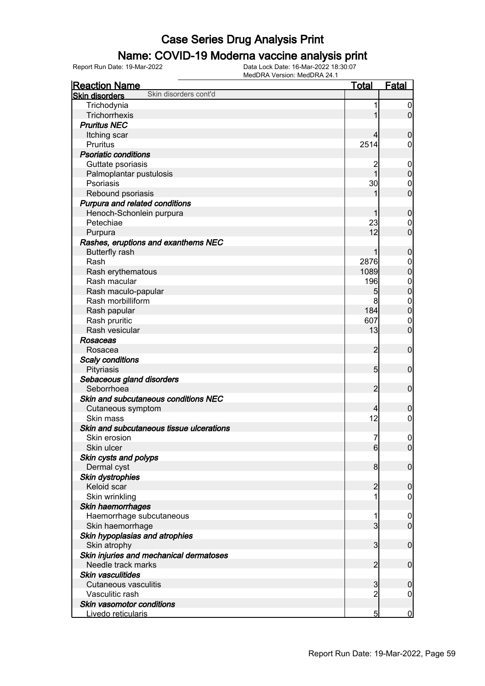#### Name: COVID-19 Moderna vaccine analysis print

| <b>Reaction Name</b>                                          | <b>Total</b>    | <b>Fatal</b>                  |
|---------------------------------------------------------------|-----------------|-------------------------------|
| Skin disorders cont'd<br><b>Skin disorders</b>                |                 |                               |
| Trichodynia                                                   |                 | $\mathbf 0$                   |
| Trichorrhexis                                                 |                 | $\overline{0}$                |
| <b>Pruritus NEC</b>                                           |                 |                               |
| Itching scar                                                  |                 | $\mathbf 0$                   |
| Pruritus                                                      | 2514            | 0                             |
| <b>Psoriatic conditions</b>                                   |                 |                               |
| Guttate psoriasis                                             | 2               | $\mathbf 0$                   |
| Palmoplantar pustulosis                                       | 1               | $\mathbf 0$                   |
| Psoriasis                                                     | 30              | $\mathbf 0$                   |
| Rebound psoriasis                                             |                 | $\overline{0}$                |
| Purpura and related conditions                                |                 |                               |
| Henoch-Schonlein purpura                                      |                 | $\boldsymbol{0}$              |
| Petechiae                                                     | 23              | 0                             |
| Purpura                                                       | 12              | $\overline{0}$                |
| Rashes, eruptions and exanthems NEC                           |                 |                               |
| <b>Butterfly rash</b>                                         |                 | $\boldsymbol{0}$              |
| Rash                                                          | 2876            | $\mathbf 0$                   |
| Rash erythematous                                             | 1089            | $\mathbf 0$                   |
| Rash macular                                                  | 196             | $\boldsymbol{0}$              |
| Rash maculo-papular                                           | 5               | $\mathbf 0$                   |
| Rash morbilliform                                             | 8               | $\mathbf 0$                   |
| Rash papular                                                  | 184             | $\mathbf 0$                   |
| Rash pruritic                                                 | 607             | $\mathbf 0$                   |
| Rash vesicular                                                | 13              | $\mathbf 0$                   |
| Rosaceas                                                      |                 |                               |
| Rosacea                                                       | $\overline{2}$  | $\mathbf 0$                   |
| <b>Scaly conditions</b>                                       |                 |                               |
| Pityriasis                                                    | $5\overline{)}$ | $\mathbf 0$                   |
| Sebaceous gland disorders                                     |                 |                               |
| Seborrhoea                                                    | $\overline{2}$  | $\mathbf 0$                   |
| Skin and subcutaneous conditions NEC                          |                 |                               |
| Cutaneous symptom                                             | 4               | $\mathbf 0$                   |
| Skin mass                                                     | 12              | $\mathbf 0$                   |
| Skin and subcutaneous tissue ulcerations                      |                 |                               |
| Skin erosion                                                  | $\overline{7}$  | $\mathbf 0$                   |
| Skin ulcer                                                    | 6               |                               |
| Skin cysts and polyps                                         |                 | $\boldsymbol{0}$              |
|                                                               | 8               | $\mathbf 0$                   |
| Dermal cyst                                                   |                 |                               |
| Skin dystrophies<br>Keloid scar                               | $\overline{2}$  | $\boldsymbol{0}$              |
| Skin wrinkling                                                |                 | 0                             |
|                                                               |                 |                               |
| Skin haemorrhages                                             |                 |                               |
| Haemorrhage subcutaneous                                      | 3               | $\overline{0}$<br>$\mathbf 0$ |
| Skin haemorrhage<br>Skin hypoplasias and atrophies            |                 |                               |
|                                                               | 3               | $\mathbf 0$                   |
| Skin atrophy                                                  |                 |                               |
| Skin injuries and mechanical dermatoses<br>Needle track marks |                 |                               |
|                                                               | $\overline{2}$  | $\mathbf 0$                   |
| <b>Skin vasculitides</b>                                      |                 |                               |
| <b>Cutaneous vasculitis</b>                                   | 3               | $\mathbf 0$                   |
| Vasculitic rash                                               | $\overline{2}$  | 0                             |
| Skin vasomotor conditions                                     |                 |                               |
| Livedo reticularis                                            | 5               | $\overline{0}$                |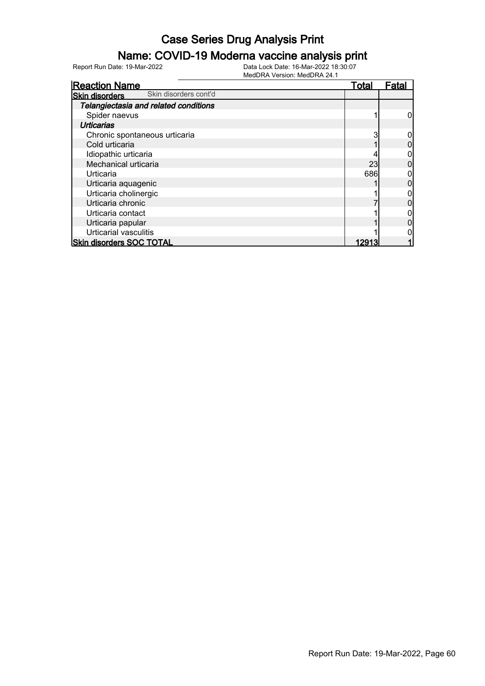### Name: COVID-19 Moderna vaccine analysis print

| <b>Reaction Name</b>                           | <b>Total</b> | Fata |
|------------------------------------------------|--------------|------|
| Skin disorders cont'd<br><b>Skin disorders</b> |              |      |
| Telangiectasia and related conditions          |              |      |
| Spider naevus                                  |              |      |
| <b>Urticarias</b>                              |              |      |
| Chronic spontaneous urticaria                  |              |      |
| Cold urticaria                                 |              |      |
| Idiopathic urticaria                           |              |      |
| Mechanical urticaria                           | 23           |      |
| Urticaria                                      | 686          |      |
| Urticaria aquagenic                            |              |      |
| Urticaria cholinergic                          |              |      |
| Urticaria chronic                              |              |      |
| Urticaria contact                              |              |      |
| Urticaria papular                              |              |      |
| Urticarial vasculitis                          |              |      |
| <b>Skin disorders SOC TOTAL</b>                | 12913        |      |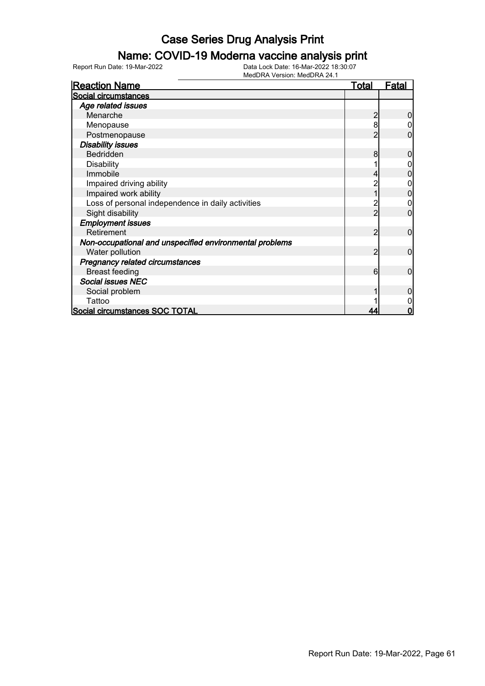### Name: COVID-19 Moderna vaccine analysis print

Report Run Date: 19-Mar-2022 Data Lock Date: 16-Mar-2022 18:30:07

| <b>Reaction Name</b>                                    | <u>Total</u> | <u>Fatal</u> |
|---------------------------------------------------------|--------------|--------------|
| Social circumstances                                    |              |              |
| Age related issues                                      |              |              |
| Menarche                                                |              |              |
| Menopause                                               | 8            |              |
| Postmenopause                                           |              | 0            |
| <b>Disability issues</b>                                |              |              |
| Bedridden                                               | 8            |              |
| <b>Disability</b>                                       |              |              |
| Immobile                                                |              |              |
| Impaired driving ability                                |              |              |
| Impaired work ability                                   |              |              |
| Loss of personal independence in daily activities       |              |              |
| Sight disability                                        |              |              |
| <b>Employment issues</b>                                |              |              |
| Retirement                                              | 2            | 0            |
| Non-occupational and unspecified environmental problems |              |              |
| Water pollution                                         | 2            | 0            |
| Pregnancy related circumstances                         |              |              |
| <b>Breast feeding</b>                                   | 6            | 0            |
| <b>Social issues NEC</b>                                |              |              |
| Social problem                                          |              |              |
| Tattoo                                                  |              |              |
| Social circumstances SOC TOTAL                          |              | ი            |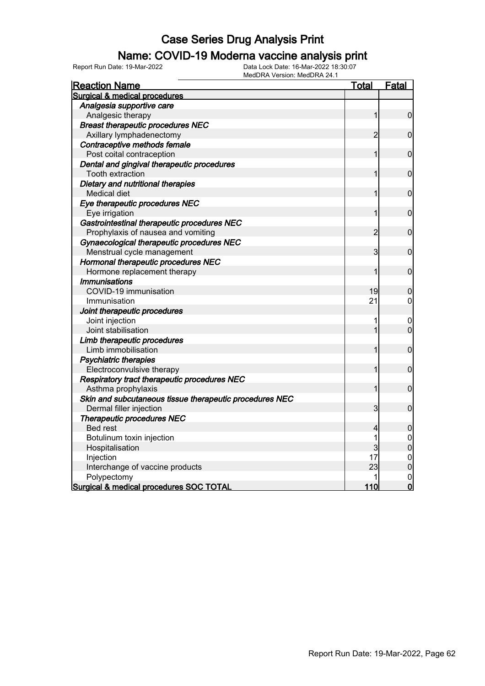#### Name: COVID-19 Moderna vaccine analysis print

Report Run Date: 19-Mar-2022 Data Lock Date: 16-Mar-2022 18:30:07

| <b>Reaction Name</b>                                    | <b>Total</b>   | Fatal                            |
|---------------------------------------------------------|----------------|----------------------------------|
| Surgical & medical procedures                           |                |                                  |
| Analgesia supportive care                               |                |                                  |
| Analgesic therapy                                       | 1              | $\overline{0}$                   |
| <b>Breast therapeutic procedures NEC</b>                |                |                                  |
| Axillary lymphadenectomy                                | $\overline{c}$ | $\mathbf 0$                      |
| Contraceptive methods female                            |                |                                  |
| Post coital contraception                               |                | $\mathbf 0$                      |
| Dental and gingival therapeutic procedures              |                |                                  |
| <b>Tooth extraction</b>                                 | 1              | $\mathbf 0$                      |
| Dietary and nutritional therapies                       |                |                                  |
| Medical diet                                            |                | $\mathbf 0$                      |
| Eye therapeutic procedures NEC                          |                |                                  |
| Eye irrigation                                          | 1              | $\mathbf 0$                      |
| Gastrointestinal therapeutic procedures NEC             |                |                                  |
| Prophylaxis of nausea and vomiting                      | $\overline{c}$ | $\mathbf 0$                      |
| Gynaecological therapeutic procedures NEC               |                |                                  |
| Menstrual cycle management                              | 3              | $\mathbf 0$                      |
| Hormonal therapeutic procedures NEC                     |                |                                  |
| Hormone replacement therapy                             |                | $\mathbf 0$                      |
| <b>Immunisations</b>                                    |                |                                  |
| COVID-19 immunisation                                   | 19             | 0                                |
| Immunisation                                            | 21             | 0                                |
| Joint therapeutic procedures                            |                |                                  |
| Joint injection                                         |                | $\mathbf 0$                      |
| Joint stabilisation                                     | 1              | $\mathbf 0$                      |
| Limb therapeutic procedures                             |                |                                  |
| Limb immobilisation                                     | 1              | $\mathbf 0$                      |
| <b>Psychiatric therapies</b>                            |                |                                  |
| Electroconvulsive therapy                               | 1              | $\mathbf 0$                      |
| Respiratory tract therapeutic procedures NEC            |                |                                  |
| Asthma prophylaxis                                      | 1              | $\mathbf 0$                      |
| Skin and subcutaneous tissue therapeutic procedures NEC |                |                                  |
| Dermal filler injection                                 | 3              | $\mathbf 0$                      |
| <b>Therapeutic procedures NEC</b>                       |                |                                  |
| <b>Bed rest</b>                                         | 4              | $\mathbf 0$                      |
| Botulinum toxin injection                               | 1              | $\mathbf 0$                      |
| Hospitalisation                                         | 3              | $\overline{0}$                   |
| Injection                                               | 17             | $\begin{matrix}0\\0\end{matrix}$ |
| Interchange of vaccine products                         | 23             |                                  |
| Polypectomy                                             |                | $\mathbf 0$                      |
| <b>Surgical &amp; medical procedures SOC TOTAL</b>      | 110            | $\overline{0}$                   |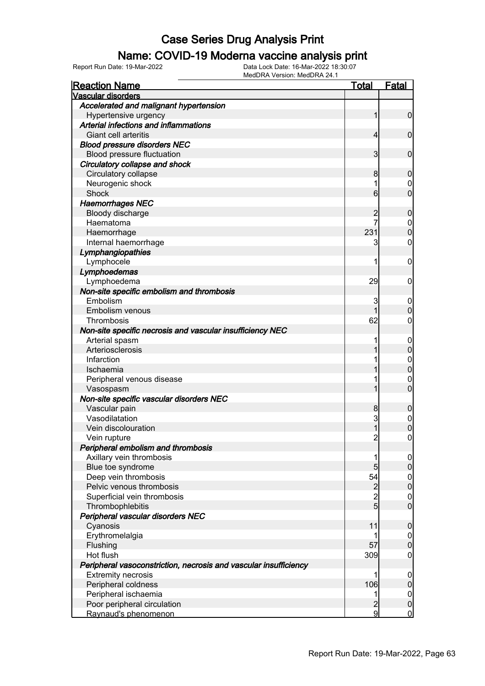#### Name: COVID-19 Moderna vaccine analysis print

Report Run Date: 19-Mar-2022 Data Lock Date: 16-Mar-2022 18:30:07

| <b>Vascular disorders</b><br>Accelerated and malignant hypertension |                     |                                      |
|---------------------------------------------------------------------|---------------------|--------------------------------------|
|                                                                     |                     |                                      |
|                                                                     |                     |                                      |
| Hypertensive urgency                                                | 1                   | $\overline{0}$                       |
| Arterial infections and inflammations                               |                     |                                      |
| Giant cell arteritis                                                | $\overline{4}$      | $\mathbf 0$                          |
| <b>Blood pressure disorders NEC</b>                                 |                     |                                      |
| Blood pressure fluctuation                                          | 3                   | $\mathbf 0$                          |
| Circulatory collapse and shock                                      |                     |                                      |
| Circulatory collapse                                                | 8                   | 0                                    |
| Neurogenic shock                                                    | 1                   | $\mathbf 0$                          |
| <b>Shock</b>                                                        | 6                   | $\overline{0}$                       |
| <b>Haemorrhages NEC</b>                                             |                     |                                      |
| Bloody discharge                                                    | $\overline{c}$      | 0                                    |
| Haematoma                                                           | $\overline{7}$      | $\mathbf 0$                          |
| Haemorrhage                                                         | 231                 | $\overline{0}$                       |
| Internal haemorrhage                                                | 3                   | 0                                    |
| Lymphangiopathies                                                   |                     |                                      |
| Lymphocele                                                          | 1                   | 0                                    |
| Lymphoedemas                                                        |                     |                                      |
| Lymphoedema                                                         | 29                  | 0                                    |
| Non-site specific embolism and thrombosis                           |                     |                                      |
| Embolism                                                            | 3                   | $\mathbf 0$                          |
| Embolism venous                                                     |                     | $\Omega$                             |
| Thrombosis                                                          | 62                  | 0                                    |
| Non-site specific necrosis and vascular insufficiency NEC           |                     |                                      |
| Arterial spasm                                                      | 1                   | $\overline{0}$                       |
| Arteriosclerosis                                                    |                     | $\mathbf 0$                          |
| Infarction                                                          |                     | $\mathbf{0}$                         |
| Ischaemia                                                           |                     | $\overline{0}$                       |
| Peripheral venous disease                                           |                     | $\mathbf 0$                          |
| Vasospasm                                                           |                     | $\overline{0}$                       |
| Non-site specific vascular disorders NEC                            |                     |                                      |
| Vascular pain                                                       | 8                   | $\boldsymbol{0}$                     |
| Vasodilatation                                                      | 3                   | $\mathbf 0$                          |
| Vein discolouration                                                 |                     | 0                                    |
| Vein rupture                                                        | $\overline{c}$      | $\mathbf 0$                          |
| Peripheral embolism and thrombosis                                  |                     |                                      |
| Axillary vein thrombosis                                            | 1                   | 0                                    |
| Blue toe syndrome                                                   | $5\overline{)}$     | $\mathbf 0$                          |
| Deep vein thrombosis                                                | 54                  | $\begin{matrix} 0 \\ 0 \end{matrix}$ |
| Pelvic venous thrombosis                                            | $\frac{2}{2}$       |                                      |
| Superficial vein thrombosis                                         | $\overline{5}$      | $\boldsymbol{0}$                     |
| Thrombophlebitis                                                    |                     | $\overline{0}$                       |
| Peripheral vascular disorders NEC                                   |                     |                                      |
| Cyanosis                                                            | 11                  | $\boldsymbol{0}$                     |
| Erythromelalgia                                                     | 1                   | $\mathbf 0$                          |
| Flushing                                                            | 57                  | $\overline{0}$                       |
| Hot flush                                                           | 309                 | $\boldsymbol{0}$                     |
| Peripheral vasoconstriction, necrosis and vascular insufficiency    |                     |                                      |
| <b>Extremity necrosis</b>                                           | 1                   | $\mathbf 0$                          |
| Peripheral coldness                                                 | 106                 | $\boldsymbol{0}$                     |
| Peripheral ischaemia                                                | 1                   | $\mathbf 0$                          |
| Poor peripheral circulation<br>Raynaud's phenomenon                 | $\overline{c}$<br>9 | $\mathbf 0$<br>$\overline{0}$        |